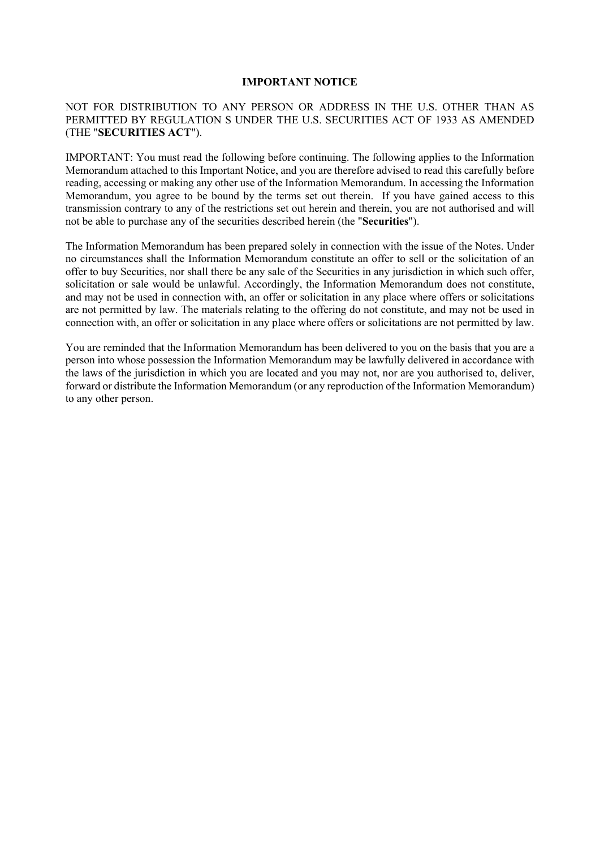#### **IMPORTANT NOTICE**

#### NOT FOR DISTRIBUTION TO ANY PERSON OR ADDRESS IN THE U.S. OTHER THAN AS PERMITTED BY REGULATION S UNDER THE U.S. SECURITIES ACT OF 1933 AS AMENDED (THE "**SECURITIES ACT**").

IMPORTANT: You must read the following before continuing. The following applies to the Information Memorandum attached to this Important Notice, and you are therefore advised to read this carefully before reading, accessing or making any other use of the Information Memorandum. In accessing the Information Memorandum, you agree to be bound by the terms set out therein. If you have gained access to this transmission contrary to any of the restrictions set out herein and therein, you are not authorised and will not be able to purchase any of the securities described herein (the "**Securities**").

The Information Memorandum has been prepared solely in connection with the issue of the Notes. Under no circumstances shall the Information Memorandum constitute an offer to sell or the solicitation of an offer to buy Securities, nor shall there be any sale of the Securities in any jurisdiction in which such offer, solicitation or sale would be unlawful. Accordingly, the Information Memorandum does not constitute, and may not be used in connection with, an offer or solicitation in any place where offers or solicitations are not permitted by law. The materials relating to the offering do not constitute, and may not be used in connection with, an offer or solicitation in any place where offers or solicitations are not permitted by law.

You are reminded that the Information Memorandum has been delivered to you on the basis that you are a person into whose possession the Information Memorandum may be lawfully delivered in accordance with the laws of the jurisdiction in which you are located and you may not, nor are you authorised to, deliver, forward or distribute the Information Memorandum (or any reproduction of the Information Memorandum) to any other person.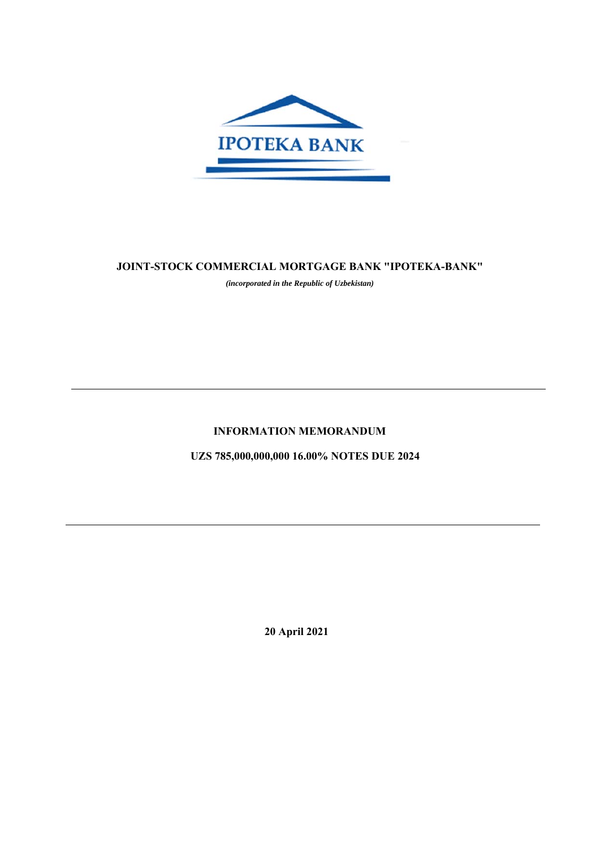

# **JOINT-STOCK COMMERCIAL MORTGAGE BANK "IPOTEKA-BANK"**

*(incorporated in the Republic of Uzbekistan)* 

# **INFORMATION MEMORANDUM**

**UZS 785,000,000,000 16.00% NOTES DUE 2024** 

**20 April 2021**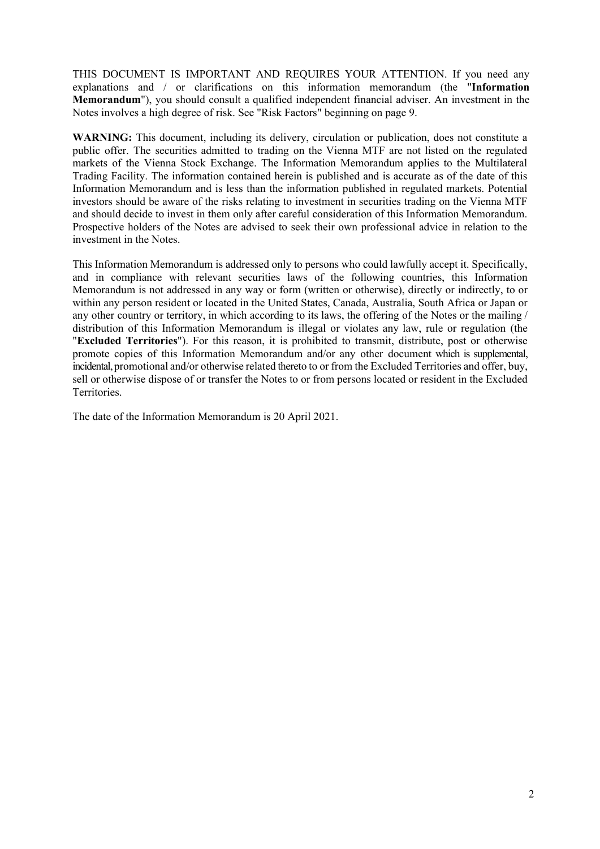THIS DOCUMENT IS IMPORTANT AND REQUIRES YOUR ATTENTION. If you need any explanations and / or clarifications on this information memorandum (the "**Information Memorandum**"), you should consult a qualified independent financial adviser. An investment in the Notes involves a high degree of risk. See "Risk Factors" beginning on page 9.

**WARNING:** This document, including its delivery, circulation or publication, does not constitute a public offer. The securities admitted to trading on the Vienna MTF are not listed on the regulated markets of the Vienna Stock Exchange. The Information Memorandum applies to the Multilateral Trading Facility. The information contained herein is published and is accurate as of the date of this Information Memorandum and is less than the information published in regulated markets. Potential investors should be aware of the risks relating to investment in securities trading on the Vienna MTF and should decide to invest in them only after careful consideration of this Information Memorandum. Prospective holders of the Notes are advised to seek their own professional advice in relation to the investment in the Notes.

This Information Memorandum is addressed only to persons who could lawfully accept it. Specifically, and in compliance with relevant securities laws of the following countries, this Information Memorandum is not addressed in any way or form (written or otherwise), directly or indirectly, to or within any person resident or located in the United States, Canada, Australia, South Africa or Japan or any other country or territory, in which according to its laws, the offering of the Notes or the mailing / distribution of this Information Memorandum is illegal or violates any law, rule or regulation (the "**Excluded Territories**"). For this reason, it is prohibited to transmit, distribute, post or otherwise promote copies of this Information Memorandum and/or any other document which is supplemental, incidental, promotional and/or otherwise related thereto to or from the Excluded Territories and offer, buy, sell or otherwise dispose of or transfer the Notes to or from persons located or resident in the Excluded Territories.

The date of the Information Memorandum is 20 April 2021.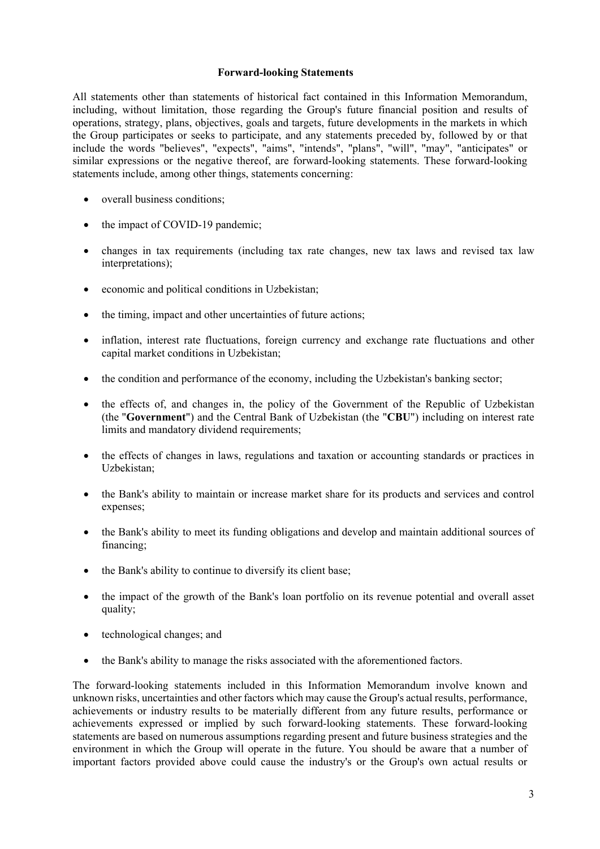#### **Forward-looking Statements**

All statements other than statements of historical fact contained in this Information Memorandum, including, without limitation, those regarding the Group's future financial position and results of operations, strategy, plans, objectives, goals and targets, future developments in the markets in which the Group participates or seeks to participate, and any statements preceded by, followed by or that include the words "believes", "expects", "aims", "intends", "plans", "will", "may", "anticipates" or similar expressions or the negative thereof, are forward-looking statements. These forward-looking statements include, among other things, statements concerning:

- overall business conditions:
- the impact of COVID-19 pandemic;
- changes in tax requirements (including tax rate changes, new tax laws and revised tax law interpretations);
- economic and political conditions in Uzbekistan;
- the timing, impact and other uncertainties of future actions;
- inflation, interest rate fluctuations, foreign currency and exchange rate fluctuations and other capital market conditions in Uzbekistan;
- the condition and performance of the economy, including the Uzbekistan's banking sector;
- the effects of, and changes in, the policy of the Government of the Republic of Uzbekistan (the "**Government**") and the Central Bank of Uzbekistan (the "**CBU**") including on interest rate limits and mandatory dividend requirements;
- the effects of changes in laws, regulations and taxation or accounting standards or practices in Uzbekistan;
- the Bank's ability to maintain or increase market share for its products and services and control expenses;
- the Bank's ability to meet its funding obligations and develop and maintain additional sources of financing;
- the Bank's ability to continue to diversify its client base;
- the impact of the growth of the Bank's loan portfolio on its revenue potential and overall asset quality;
- technological changes; and
- the Bank's ability to manage the risks associated with the aforementioned factors.

The forward-looking statements included in this Information Memorandum involve known and unknown risks, uncertainties and other factors which may cause the Group's actual results, performance, achievements or industry results to be materially different from any future results, performance or achievements expressed or implied by such forward-looking statements. These forward-looking statements are based on numerous assumptions regarding present and future business strategies and the environment in which the Group will operate in the future. You should be aware that a number of important factors provided above could cause the industry's or the Group's own actual results or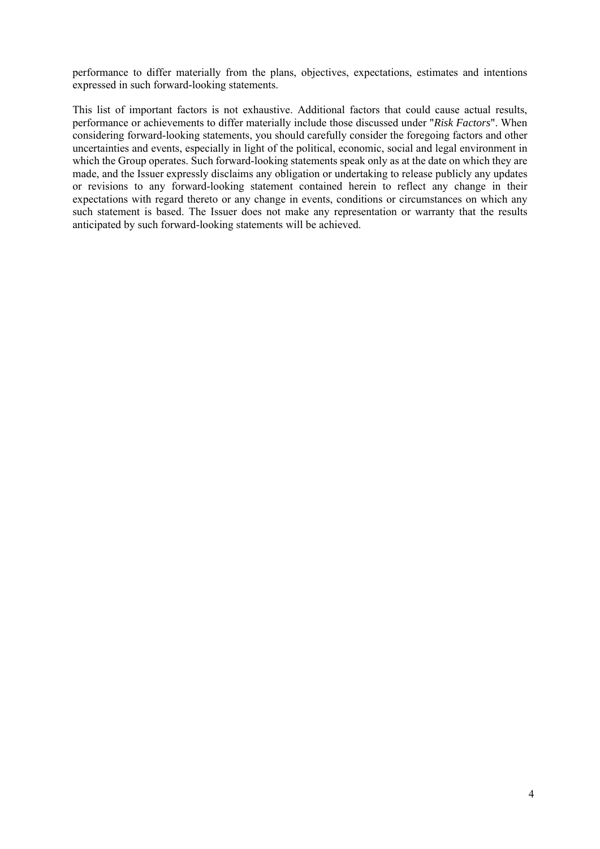performance to differ materially from the plans, objectives, expectations, estimates and intentions expressed in such forward-looking statements.

This list of important factors is not exhaustive. Additional factors that could cause actual results, performance or achievements to differ materially include those discussed under "*Risk Factors*". When considering forward-looking statements, you should carefully consider the foregoing factors and other uncertainties and events, especially in light of the political, economic, social and legal environment in which the Group operates. Such forward-looking statements speak only as at the date on which they are made, and the Issuer expressly disclaims any obligation or undertaking to release publicly any updates or revisions to any forward-looking statement contained herein to reflect any change in their expectations with regard thereto or any change in events, conditions or circumstances on which any such statement is based. The Issuer does not make any representation or warranty that the results anticipated by such forward-looking statements will be achieved.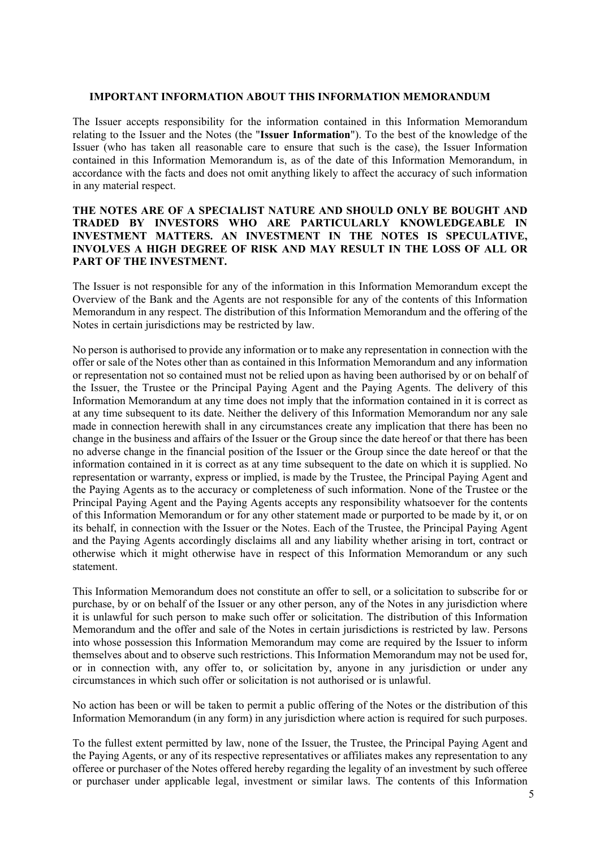#### **IMPORTANT INFORMATION ABOUT THIS INFORMATION MEMORANDUM**

The Issuer accepts responsibility for the information contained in this Information Memorandum relating to the Issuer and the Notes (the "**Issuer Information**"). To the best of the knowledge of the Issuer (who has taken all reasonable care to ensure that such is the case), the Issuer Information contained in this Information Memorandum is, as of the date of this Information Memorandum, in accordance with the facts and does not omit anything likely to affect the accuracy of such information in any material respect.

#### **THE NOTES ARE OF A SPECIALIST NATURE AND SHOULD ONLY BE BOUGHT AND TRADED BY INVESTORS WHO ARE PARTICULARLY KNOWLEDGEABLE IN INVESTMENT MATTERS. AN INVESTMENT IN THE NOTES IS SPECULATIVE, INVOLVES A HIGH DEGREE OF RISK AND MAY RESULT IN THE LOSS OF ALL OR PART OF THE INVESTMENT.**

The Issuer is not responsible for any of the information in this Information Memorandum except the Overview of the Bank and the Agents are not responsible for any of the contents of this Information Memorandum in any respect. The distribution of this Information Memorandum and the offering of the Notes in certain jurisdictions may be restricted by law.

No person is authorised to provide any information or to make any representation in connection with the offer or sale of the Notes other than as contained in this Information Memorandum and any information or representation not so contained must not be relied upon as having been authorised by or on behalf of the Issuer, the Trustee or the Principal Paying Agent and the Paying Agents. The delivery of this Information Memorandum at any time does not imply that the information contained in it is correct as at any time subsequent to its date. Neither the delivery of this Information Memorandum nor any sale made in connection herewith shall in any circumstances create any implication that there has been no change in the business and affairs of the Issuer or the Group since the date hereof or that there has been no adverse change in the financial position of the Issuer or the Group since the date hereof or that the information contained in it is correct as at any time subsequent to the date on which it is supplied. No representation or warranty, express or implied, is made by the Trustee, the Principal Paying Agent and the Paying Agents as to the accuracy or completeness of such information. None of the Trustee or the Principal Paying Agent and the Paying Agents accepts any responsibility whatsoever for the contents of this Information Memorandum or for any other statement made or purported to be made by it, or on its behalf, in connection with the Issuer or the Notes. Each of the Trustee, the Principal Paying Agent and the Paying Agents accordingly disclaims all and any liability whether arising in tort, contract or otherwise which it might otherwise have in respect of this Information Memorandum or any such statement.

This Information Memorandum does not constitute an offer to sell, or a solicitation to subscribe for or purchase, by or on behalf of the Issuer or any other person, any of the Notes in any jurisdiction where it is unlawful for such person to make such offer or solicitation. The distribution of this Information Memorandum and the offer and sale of the Notes in certain jurisdictions is restricted by law. Persons into whose possession this Information Memorandum may come are required by the Issuer to inform themselves about and to observe such restrictions. This Information Memorandum may not be used for, or in connection with, any offer to, or solicitation by, anyone in any jurisdiction or under any circumstances in which such offer or solicitation is not authorised or is unlawful.

No action has been or will be taken to permit a public offering of the Notes or the distribution of this Information Memorandum (in any form) in any jurisdiction where action is required for such purposes.

To the fullest extent permitted by law, none of the Issuer, the Trustee, the Principal Paying Agent and the Paying Agents, or any of its respective representatives or affiliates makes any representation to any offeree or purchaser of the Notes offered hereby regarding the legality of an investment by such offeree or purchaser under applicable legal, investment or similar laws. The contents of this Information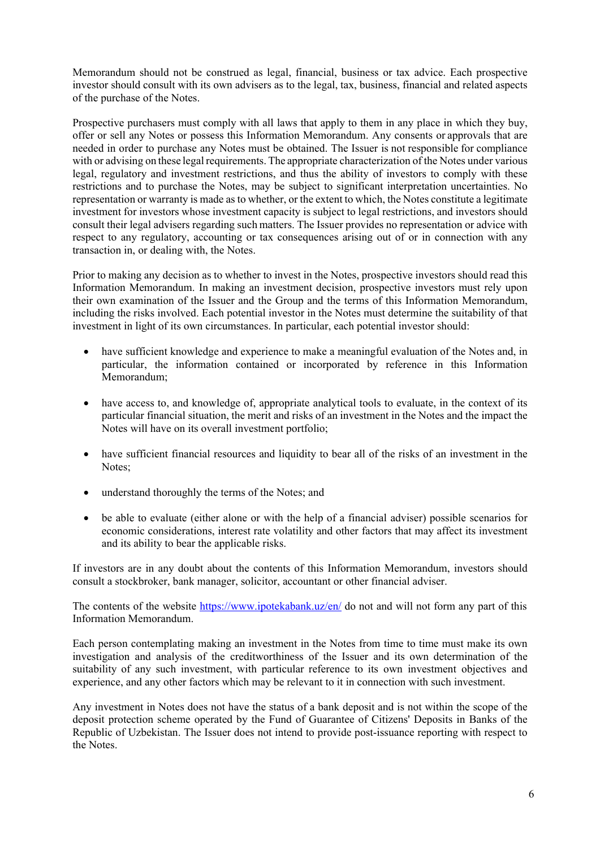Memorandum should not be construed as legal, financial, business or tax advice. Each prospective investor should consult with its own advisers as to the legal, tax, business, financial and related aspects of the purchase of the Notes.

Prospective purchasers must comply with all laws that apply to them in any place in which they buy, offer or sell any Notes or possess this Information Memorandum. Any consents or approvals that are needed in order to purchase any Notes must be obtained. The Issuer is not responsible for compliance with or advising on these legal requirements. The appropriate characterization of the Notes under various legal, regulatory and investment restrictions, and thus the ability of investors to comply with these restrictions and to purchase the Notes, may be subject to significant interpretation uncertainties. No representation or warranty is made as to whether, or the extent to which, the Notes constitute a legitimate investment for investors whose investment capacity is subject to legal restrictions, and investors should consult their legal advisers regarding such matters. The Issuer provides no representation or advice with respect to any regulatory, accounting or tax consequences arising out of or in connection with any transaction in, or dealing with, the Notes.

Prior to making any decision as to whether to invest in the Notes, prospective investors should read this Information Memorandum. In making an investment decision, prospective investors must rely upon their own examination of the Issuer and the Group and the terms of this Information Memorandum, including the risks involved. Each potential investor in the Notes must determine the suitability of that investment in light of its own circumstances. In particular, each potential investor should:

- have sufficient knowledge and experience to make a meaningful evaluation of the Notes and, in particular, the information contained or incorporated by reference in this Information Memorandum;
- have access to, and knowledge of, appropriate analytical tools to evaluate, in the context of its particular financial situation, the merit and risks of an investment in the Notes and the impact the Notes will have on its overall investment portfolio;
- have sufficient financial resources and liquidity to bear all of the risks of an investment in the Notes;
- understand thoroughly the terms of the Notes; and
- be able to evaluate (either alone or with the help of a financial adviser) possible scenarios for economic considerations, interest rate volatility and other factors that may affect its investment and its ability to bear the applicable risks.

If investors are in any doubt about the contents of this Information Memorandum, investors should consult a stockbroker, bank manager, solicitor, accountant or other financial adviser.

The contents of the website https://www.ipotekabank.uz/en/ do not and will not form any part of this Information Memorandum.

Each person contemplating making an investment in the Notes from time to time must make its own investigation and analysis of the creditworthiness of the Issuer and its own determination of the suitability of any such investment, with particular reference to its own investment objectives and experience, and any other factors which may be relevant to it in connection with such investment.

Any investment in Notes does not have the status of a bank deposit and is not within the scope of the deposit protection scheme operated by the Fund of Guarantee of Citizens' Deposits in Banks of the Republic of Uzbekistan. The Issuer does not intend to provide post-issuance reporting with respect to the Notes.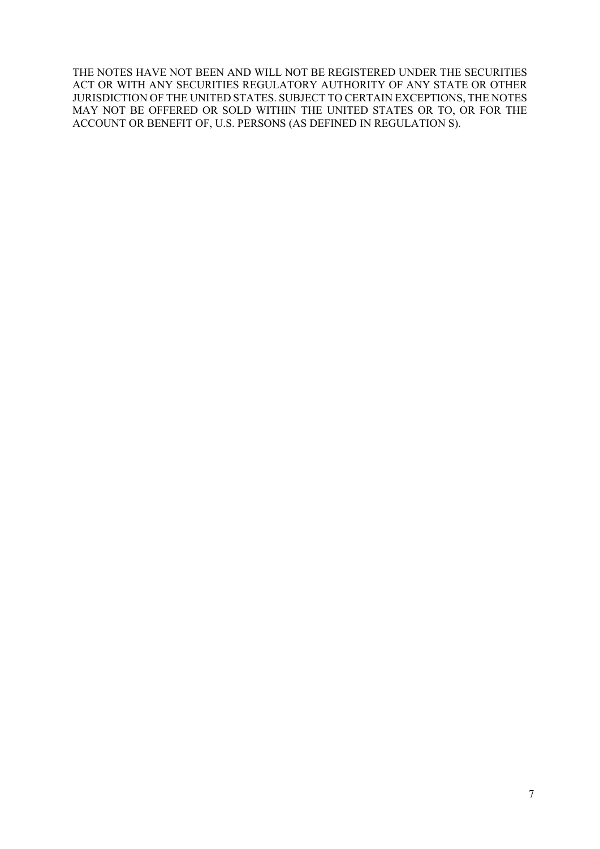THE NOTES HAVE NOT BEEN AND WILL NOT BE REGISTERED UNDER THE SECURITIES ACT OR WITH ANY SECURITIES REGULATORY AUTHORITY OF ANY STATE OR OTHER JURISDICTION OF THE UNITED STATES. SUBJECT TO CERTAIN EXCEPTIONS, THE NOTES MAY NOT BE OFFERED OR SOLD WITHIN THE UNITED STATES OR TO, OR FOR THE ACCOUNT OR BENEFIT OF, U.S. PERSONS (AS DEFINED IN REGULATION S).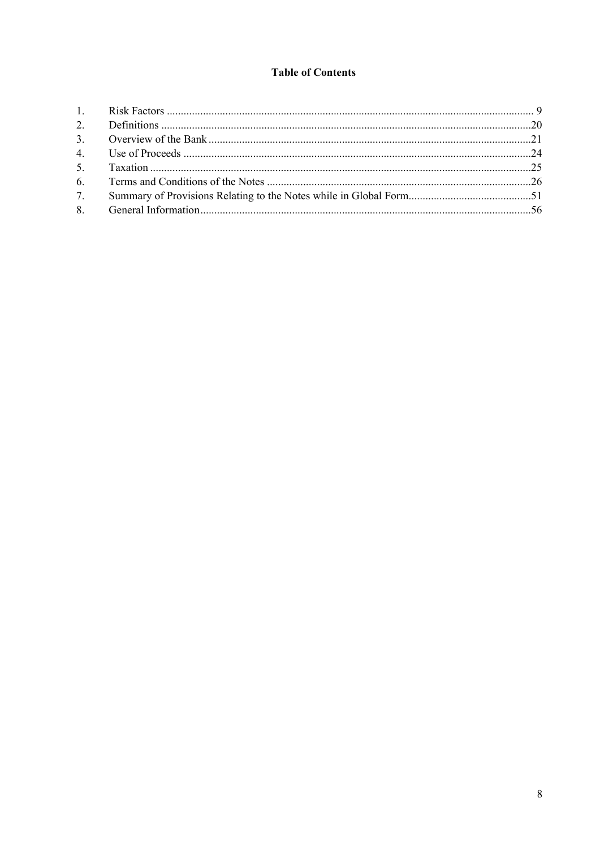# **Table of Contents**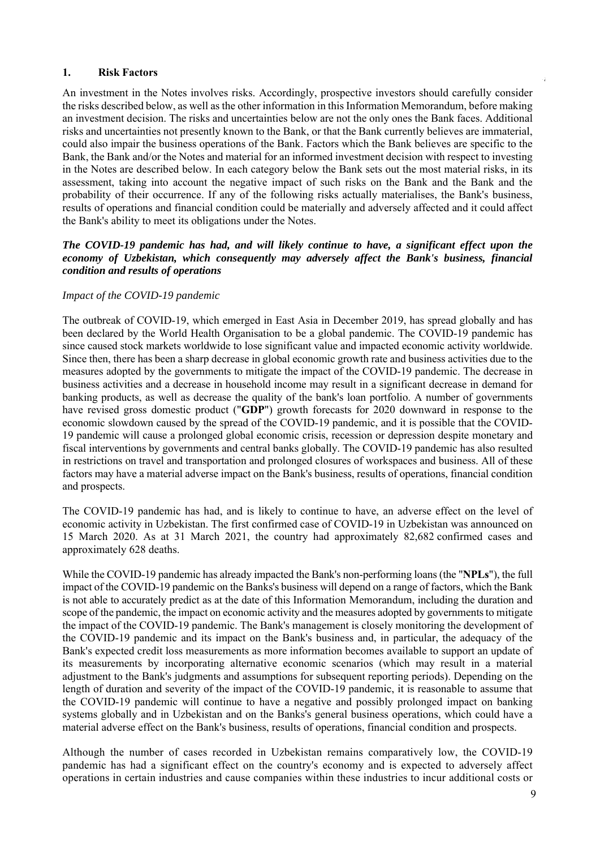#### **1. Risk Factors**

An investment in the Notes involves risks. Accordingly, prospective investors should carefully consider the risks described below, as well as the other information in this Information Memorandum, before making an investment decision. The risks and uncertainties below are not the only ones the Bank faces. Additional risks and uncertainties not presently known to the Bank, or that the Bank currently believes are immaterial, could also impair the business operations of the Bank. Factors which the Bank believes are specific to the Bank, the Bank and/or the Notes and material for an informed investment decision with respect to investing in the Notes are described below. In each category below the Bank sets out the most material risks, in its assessment, taking into account the negative impact of such risks on the Bank and the Bank and the probability of their occurrence. If any of the following risks actually materialises, the Bank's business, results of operations and financial condition could be materially and adversely affected and it could affect the Bank's ability to meet its obligations under the Notes.

#### *The COVID-19 pandemic has had, and will likely continue to have, a significant effect upon the economy of Uzbekistan, which consequently may adversely affect the Bank's business, financial condition and results of operations*

#### *Impact of the COVID-19 pandemic*

The outbreak of COVID-19, which emerged in East Asia in December 2019, has spread globally and has been declared by the World Health Organisation to be a global pandemic. The COVID-19 pandemic has since caused stock markets worldwide to lose significant value and impacted economic activity worldwide. Since then, there has been a sharp decrease in global economic growth rate and business activities due to the measures adopted by the governments to mitigate the impact of the COVID-19 pandemic. The decrease in business activities and a decrease in household income may result in a significant decrease in demand for banking products, as well as decrease the quality of the bank's loan portfolio. A number of governments have revised gross domestic product ("**GDP**") growth forecasts for 2020 downward in response to the economic slowdown caused by the spread of the COVID-19 pandemic, and it is possible that the COVID-19 pandemic will cause a prolonged global economic crisis, recession or depression despite monetary and fiscal interventions by governments and central banks globally. The COVID-19 pandemic has also resulted in restrictions on travel and transportation and prolonged closures of workspaces and business. All of these factors may have a material adverse impact on the Bank's business, results of operations, financial condition and prospects.

The COVID-19 pandemic has had, and is likely to continue to have, an adverse effect on the level of economic activity in Uzbekistan. The first confirmed case of COVID-19 in Uzbekistan was announced on 15 March 2020. As at 31 March 2021, the country had approximately 82,682 confirmed cases and approximately 628 deaths.

While the COVID-19 pandemic has already impacted the Bank's non-performing loans (the "**NPLs**"), the full impact of the COVID-19 pandemic on the Banks's business will depend on a range of factors, which the Bank is not able to accurately predict as at the date of this Information Memorandum, including the duration and scope of the pandemic, the impact on economic activity and the measures adopted by governments to mitigate the impact of the COVID-19 pandemic. The Bank's management is closely monitoring the development of the COVID-19 pandemic and its impact on the Bank's business and, in particular, the adequacy of the Bank's expected credit loss measurements as more information becomes available to support an update of its measurements by incorporating alternative economic scenarios (which may result in a material adjustment to the Bank's judgments and assumptions for subsequent reporting periods). Depending on the length of duration and severity of the impact of the COVID-19 pandemic, it is reasonable to assume that the COVID-19 pandemic will continue to have a negative and possibly prolonged impact on banking systems globally and in Uzbekistan and on the Banks's general business operations, which could have a material adverse effect on the Bank's business, results of operations, financial condition and prospects.

Although the number of cases recorded in Uzbekistan remains comparatively low, the COVID-19 pandemic has had a significant effect on the country's economy and is expected to adversely affect operations in certain industries and cause companies within these industries to incur additional costs or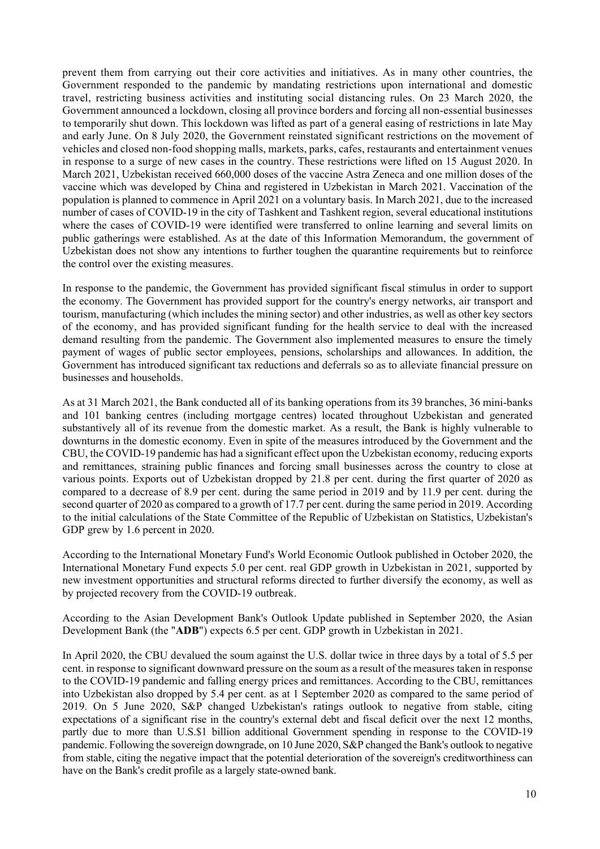prevent them from carrying out their core activities and initiatives. As in many other countries, the Government responded to the pandemic by mandating restrictions upon international and domestic travel, restricting business activities and instituting social distancing rules. On 23 March 2020, the Government announced a lockdown, closing all province borders and forcing all non-essential businesses to temporarily shut down. This lockdown was lifted as part of a general easing of restrictions in late May and early June. On 8 July 2020, the Government reinstated significant restrictions on the movement of vehicles and closed non-food shopping malls, markets, parks, cafes, restaurants and entertainment venues in response to a surge of new cases in the country. These restrictions were lifted on 15 August 2020. In March 2021, Uzbekistan received 660,000 doses of the vaccine Astra Zeneca and one million doses of the vaccine which was developed by China and registered in Uzbekistan in March 2021. Vaccination of the population is planned to commence in April 2021 on a voluntary basis. In March 2021, due to the increased number of cases of COVID-19 in the city of Tashkent and Tashkent region, several educational institutions where the cases of COVID-19 were identified were transferred to online learning and several limits on public gatherings were established. As at the date of this Information Memorandum, the government of Uzbekistan does not show any intentions to further toughen the quarantine requirements but to reinforce the control over the existing measures.

In response to the pandemic, the Government has provided significant fiscal stimulus in order to support the economy. The Government has provided support for the country's energy networks, air transport and tourism, manufacturing (which includes the mining sector) and other industries, as well as other key sectors of the economy, and has provided significant funding for the health service to deal with the increased demand resulting from the pandemic. The Government also implemented measures to ensure the timely payment of wages of public sector employees, pensions, scholarships and allowances. In addition, the Government has introduced significant tax reductions and deferrals so as to alleviate financial pressure on businesses and households.

As at 31 March 2021, the Bank conducted all of its banking operations from its 39 branches, 36 mini-banks and 101 banking centres (including mortgage centres) located throughout Uzbekistan and generated substantively all of its revenue from the domestic market. As a result, the Bank is highly vulnerable to downturns in the domestic economy. Even in spite of the measures introduced by the Government and the CBU, the COVID-19 pandemic has had a significant effect upon the Uzbekistan economy, reducing exports and remittances, straining public finances and forcing small businesses across the country to close at various points. Exports out of Uzbekistan dropped by 21.8 per cent. during the first quarter of 2020 as compared to a decrease of 8.9 per cent. during the same period in 2019 and by 11.9 per cent. during the second quarter of 2020 as compared to a growth of 17.7 per cent. during the same period in 2019. According to the initial calculations of the State Committee of the Republic of Uzbekistan on Statistics, Uzbekistan's GDP grew by 1.6 percent in 2020.

According to the International Monetary Fund's World Economic Outlook published in October 2020, the International Monetary Fund expects 5.0 per cent. real GDP growth in Uzbekistan in 2021, supported by new investment opportunities and structural reforms directed to further diversify the economy, as well as by projected recovery from the COVID-19 outbreak.

According to the Asian Development Bank's Outlook Update published in September 2020, the Asian Development Bank (the "**ADB**") expects 6.5 per cent. GDP growth in Uzbekistan in 2021.

In April 2020, the CBU devalued the soum against the U.S. dollar twice in three days by a total of 5.5 per cent. in response to significant downward pressure on the soum as a result of the measures taken in response to the COVID-19 pandemic and falling energy prices and remittances. According to the CBU, remittances into Uzbekistan also dropped by 5.4 per cent. as at 1 September 2020 as compared to the same period of 2019. On 5 June 2020, S&P changed Uzbekistan's ratings outlook to negative from stable, citing expectations of a significant rise in the country's external debt and fiscal deficit over the next 12 months, partly due to more than U.S.\$1 billion additional Government spending in response to the COVID-19 pandemic. Following the sovereign downgrade, on 10 June 2020, S&P changed the Bank's outlook to negative from stable, citing the negative impact that the potential deterioration of the sovereign's creditworthiness can have on the Bank's credit profile as a largely state-owned bank.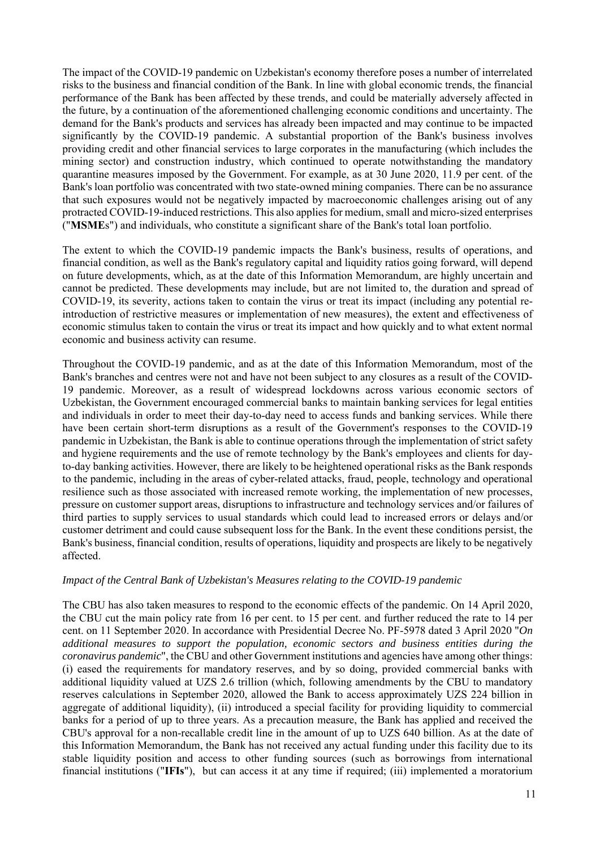The impact of the COVID-19 pandemic on Uzbekistan's economy therefore poses a number of interrelated risks to the business and financial condition of the Bank. In line with global economic trends, the financial performance of the Bank has been affected by these trends, and could be materially adversely affected in the future, by a continuation of the aforementioned challenging economic conditions and uncertainty. The demand for the Bank's products and services has already been impacted and may continue to be impacted significantly by the COVID-19 pandemic. A substantial proportion of the Bank's business involves providing credit and other financial services to large corporates in the manufacturing (which includes the mining sector) and construction industry, which continued to operate notwithstanding the mandatory quarantine measures imposed by the Government. For example, as at 30 June 2020, 11.9 per cent. of the Bank's loan portfolio was concentrated with two state-owned mining companies. There can be no assurance that such exposures would not be negatively impacted by macroeconomic challenges arising out of any protracted COVID-19-induced restrictions. This also applies for medium, small and micro-sized enterprises ("**MSME**s") and individuals, who constitute a significant share of the Bank's total loan portfolio.

The extent to which the COVID-19 pandemic impacts the Bank's business, results of operations, and financial condition, as well as the Bank's regulatory capital and liquidity ratios going forward, will depend on future developments, which, as at the date of this Information Memorandum, are highly uncertain and cannot be predicted. These developments may include, but are not limited to, the duration and spread of COVID-19, its severity, actions taken to contain the virus or treat its impact (including any potential reintroduction of restrictive measures or implementation of new measures), the extent and effectiveness of economic stimulus taken to contain the virus or treat its impact and how quickly and to what extent normal economic and business activity can resume.

Throughout the COVID-19 pandemic, and as at the date of this Information Memorandum, most of the Bank's branches and centres were not and have not been subject to any closures as a result of the COVID-19 pandemic. Moreover, as a result of widespread lockdowns across various economic sectors of Uzbekistan, the Government encouraged commercial banks to maintain banking services for legal entities and individuals in order to meet their day-to-day need to access funds and banking services. While there have been certain short-term disruptions as a result of the Government's responses to the COVID-19 pandemic in Uzbekistan, the Bank is able to continue operations through the implementation of strict safety and hygiene requirements and the use of remote technology by the Bank's employees and clients for dayto-day banking activities. However, there are likely to be heightened operational risks as the Bank responds to the pandemic, including in the areas of cyber-related attacks, fraud, people, technology and operational resilience such as those associated with increased remote working, the implementation of new processes, pressure on customer support areas, disruptions to infrastructure and technology services and/or failures of third parties to supply services to usual standards which could lead to increased errors or delays and/or customer detriment and could cause subsequent loss for the Bank. In the event these conditions persist, the Bank's business, financial condition, results of operations, liquidity and prospects are likely to be negatively affected.

#### *Impact of the Central Bank of Uzbekistan's Measures relating to the COVID-19 pandemic*

The CBU has also taken measures to respond to the economic effects of the pandemic. On 14 April 2020, the CBU cut the main policy rate from 16 per cent. to 15 per cent. and further reduced the rate to 14 per cent. on 11 September 2020. In accordance with Presidential Decree No. PF-5978 dated 3 April 2020 "*On additional measures to support the population, economic sectors and business entities during the coronavirus pandemic*", the CBU and other Government institutions and agencies have among other things: (i) eased the requirements for mandatory reserves, and by so doing, provided commercial banks with additional liquidity valued at UZS 2.6 trillion (which, following amendments by the CBU to mandatory reserves calculations in September 2020, allowed the Bank to access approximately UZS 224 billion in aggregate of additional liquidity), (ii) introduced a special facility for providing liquidity to commercial banks for a period of up to three years. As a precaution measure, the Bank has applied and received the CBU's approval for a non-recallable credit line in the amount of up to UZS 640 billion. As at the date of this Information Memorandum, the Bank has not received any actual funding under this facility due to its stable liquidity position and access to other funding sources (such as borrowings from international financial institutions ("**IFIs**"), but can access it at any time if required; (iii) implemented a moratorium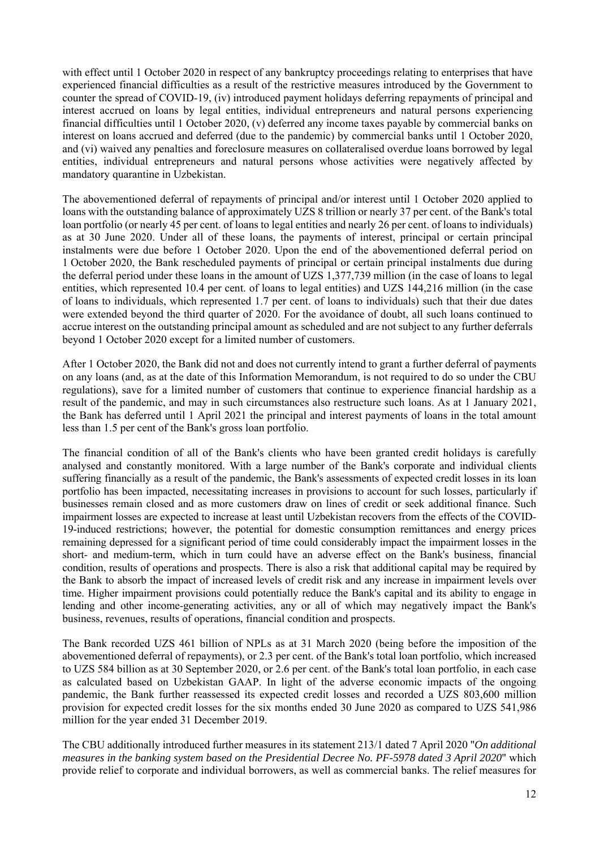with effect until 1 October 2020 in respect of any bankruptcy proceedings relating to enterprises that have experienced financial difficulties as a result of the restrictive measures introduced by the Government to counter the spread of COVID-19, (iv) introduced payment holidays deferring repayments of principal and interest accrued on loans by legal entities, individual entrepreneurs and natural persons experiencing financial difficulties until 1 October 2020, (v) deferred any income taxes payable by commercial banks on interest on loans accrued and deferred (due to the pandemic) by commercial banks until 1 October 2020, and (vi) waived any penalties and foreclosure measures on collateralised overdue loans borrowed by legal entities, individual entrepreneurs and natural persons whose activities were negatively affected by mandatory quarantine in Uzbekistan.

The abovementioned deferral of repayments of principal and/or interest until 1 October 2020 applied to loans with the outstanding balance of approximately UZS 8 trillion or nearly 37 per cent. of the Bank's total loan portfolio (or nearly 45 per cent. of loans to legal entities and nearly 26 per cent. of loans to individuals) as at 30 June 2020. Under all of these loans, the payments of interest, principal or certain principal instalments were due before 1 October 2020. Upon the end of the abovementioned deferral period on 1 October 2020, the Bank rescheduled payments of principal or certain principal instalments due during the deferral period under these loans in the amount of UZS 1,377,739 million (in the case of loans to legal entities, which represented 10.4 per cent. of loans to legal entities) and UZS 144,216 million (in the case of loans to individuals, which represented 1.7 per cent. of loans to individuals) such that their due dates were extended beyond the third quarter of 2020. For the avoidance of doubt, all such loans continued to accrue interest on the outstanding principal amount as scheduled and are not subject to any further deferrals beyond 1 October 2020 except for a limited number of customers.

After 1 October 2020, the Bank did not and does not currently intend to grant a further deferral of payments on any loans (and, as at the date of this Information Memorandum, is not required to do so under the CBU regulations), save for a limited number of customers that continue to experience financial hardship as a result of the pandemic, and may in such circumstances also restructure such loans. As at 1 January 2021, the Bank has deferred until 1 April 2021 the principal and interest payments of loans in the total amount less than 1.5 per cent of the Bank's gross loan portfolio.

The financial condition of all of the Bank's clients who have been granted credit holidays is carefully analysed and constantly monitored. With a large number of the Bank's corporate and individual clients suffering financially as a result of the pandemic, the Bank's assessments of expected credit losses in its loan portfolio has been impacted, necessitating increases in provisions to account for such losses, particularly if businesses remain closed and as more customers draw on lines of credit or seek additional finance. Such impairment losses are expected to increase at least until Uzbekistan recovers from the effects of the COVID-19-induced restrictions; however, the potential for domestic consumption remittances and energy prices remaining depressed for a significant period of time could considerably impact the impairment losses in the short- and medium-term, which in turn could have an adverse effect on the Bank's business, financial condition, results of operations and prospects. There is also a risk that additional capital may be required by the Bank to absorb the impact of increased levels of credit risk and any increase in impairment levels over time. Higher impairment provisions could potentially reduce the Bank's capital and its ability to engage in lending and other income-generating activities, any or all of which may negatively impact the Bank's business, revenues, results of operations, financial condition and prospects.

The Bank recorded UZS 461 billion of NPLs as at 31 March 2020 (being before the imposition of the abovementioned deferral of repayments), or 2.3 per cent. of the Bank's total loan portfolio, which increased to UZS 584 billion as at 30 September 2020, or 2.6 per cent. of the Bank's total loan portfolio, in each case as calculated based on Uzbekistan GAAP. In light of the adverse economic impacts of the ongoing pandemic, the Bank further reassessed its expected credit losses and recorded a UZS 803,600 million provision for expected credit losses for the six months ended 30 June 2020 as compared to UZS 541,986 million for the year ended 31 December 2019.

The CBU additionally introduced further measures in its statement 213/1 dated 7 April 2020 "*On additional measures in the banking system based on the Presidential Decree No. PF-5978 dated 3 April 2020*" which provide relief to corporate and individual borrowers, as well as commercial banks. The relief measures for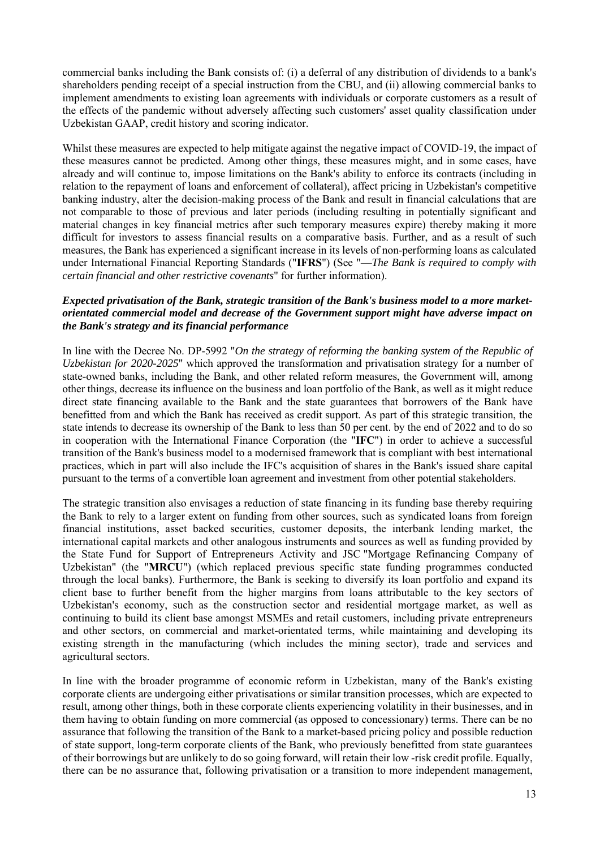commercial banks including the Bank consists of: (i) a deferral of any distribution of dividends to a bank's shareholders pending receipt of a special instruction from the CBU, and (ii) allowing commercial banks to implement amendments to existing loan agreements with individuals or corporate customers as a result of the effects of the pandemic without adversely affecting such customers' asset quality classification under Uzbekistan GAAP, credit history and scoring indicator.

Whilst these measures are expected to help mitigate against the negative impact of COVID-19, the impact of these measures cannot be predicted. Among other things, these measures might, and in some cases, have already and will continue to, impose limitations on the Bank's ability to enforce its contracts (including in relation to the repayment of loans and enforcement of collateral), affect pricing in Uzbekistan's competitive banking industry, alter the decision-making process of the Bank and result in financial calculations that are not comparable to those of previous and later periods (including resulting in potentially significant and material changes in key financial metrics after such temporary measures expire) thereby making it more difficult for investors to assess financial results on a comparative basis. Further, and as a result of such measures, the Bank has experienced a significant increase in its levels of non-performing loans as calculated under International Financial Reporting Standards ("**IFRS**") (See "—*The Bank is required to comply with certain financial and other restrictive covenants*" for further information).

#### *Expected privatisation of the Bank, strategic transition of the Bank's business model to a more marketorientated commercial model and decrease of the Government support might have adverse impact on the Bank's strategy and its financial performance*

In line with the Decree No. DP-5992 "*On the strategy of reforming the banking system of the Republic of Uzbekistan for 2020-2025*" which approved the transformation and privatisation strategy for a number of state-owned banks, including the Bank, and other related reform measures, the Government will, among other things, decrease its influence on the business and loan portfolio of the Bank, as well as it might reduce direct state financing available to the Bank and the state guarantees that borrowers of the Bank have benefitted from and which the Bank has received as credit support. As part of this strategic transition, the state intends to decrease its ownership of the Bank to less than 50 per cent. by the end of 2022 and to do so in cooperation with the International Finance Corporation (the "**IFC**") in order to achieve a successful transition of the Bank's business model to a modernised framework that is compliant with best international practices, which in part will also include the IFC's acquisition of shares in the Bank's issued share capital pursuant to the terms of a convertible loan agreement and investment from other potential stakeholders.

The strategic transition also envisages a reduction of state financing in its funding base thereby requiring the Bank to rely to a larger extent on funding from other sources, such as syndicated loans from foreign financial institutions, asset backed securities, customer deposits, the interbank lending market, the international capital markets and other analogous instruments and sources as well as funding provided by the State Fund for Support of Entrepreneurs Activity and JSC "Mortgage Refinancing Company of Uzbekistan" (the "**MRCU**") (which replaced previous specific state funding programmes conducted through the local banks). Furthermore, the Bank is seeking to diversify its loan portfolio and expand its client base to further benefit from the higher margins from loans attributable to the key sectors of Uzbekistan's economy, such as the construction sector and residential mortgage market, as well as continuing to build its client base amongst MSMEs and retail customers, including private entrepreneurs and other sectors, on commercial and market-orientated terms, while maintaining and developing its existing strength in the manufacturing (which includes the mining sector), trade and services and agricultural sectors.

In line with the broader programme of economic reform in Uzbekistan, many of the Bank's existing corporate clients are undergoing either privatisations or similar transition processes, which are expected to result, among other things, both in these corporate clients experiencing volatility in their businesses, and in them having to obtain funding on more commercial (as opposed to concessionary) terms. There can be no assurance that following the transition of the Bank to a market-based pricing policy and possible reduction of state support, long-term corporate clients of the Bank, who previously benefitted from state guarantees of their borrowings but are unlikely to do so going forward, will retain their low -risk credit profile. Equally, there can be no assurance that, following privatisation or a transition to more independent management,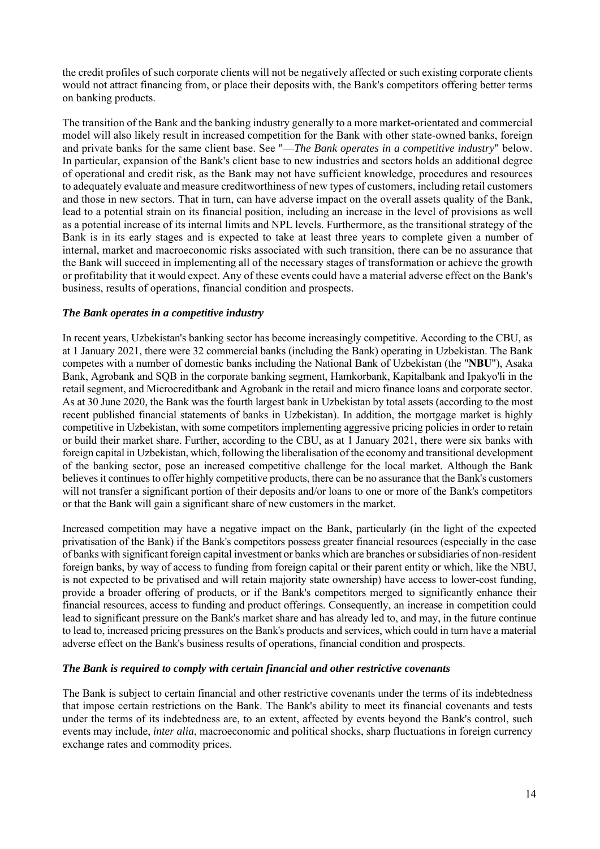the credit profiles of such corporate clients will not be negatively affected or such existing corporate clients would not attract financing from, or place their deposits with, the Bank's competitors offering better terms on banking products.

The transition of the Bank and the banking industry generally to a more market-orientated and commercial model will also likely result in increased competition for the Bank with other state-owned banks, foreign and private banks for the same client base. See "—*The Bank operates in a competitive industry*" below. In particular, expansion of the Bank's client base to new industries and sectors holds an additional degree of operational and credit risk, as the Bank may not have sufficient knowledge, procedures and resources to adequately evaluate and measure creditworthiness of new types of customers, including retail customers and those in new sectors. That in turn, can have adverse impact on the overall assets quality of the Bank, lead to a potential strain on its financial position, including an increase in the level of provisions as well as a potential increase of its internal limits and NPL levels. Furthermore, as the transitional strategy of the Bank is in its early stages and is expected to take at least three years to complete given a number of internal, market and macroeconomic risks associated with such transition, there can be no assurance that the Bank will succeed in implementing all of the necessary stages of transformation or achieve the growth or profitability that it would expect. Any of these events could have a material adverse effect on the Bank's business, results of operations, financial condition and prospects.

## *The Bank operates in a competitive industry*

In recent years, Uzbekistan's banking sector has become increasingly competitive. According to the CBU, as at 1 January 2021, there were 32 commercial banks (including the Bank) operating in Uzbekistan. The Bank competes with a number of domestic banks including the National Bank of Uzbekistan (the "**NBU**"), Asaka Bank, Agrobank and SQB in the corporate banking segment, Hamkorbank, Kapitalbank and Ipakyo'li in the retail segment, and Microcreditbank and Agrobank in the retail and micro finance loans and corporate sector. As at 30 June 2020, the Bank was the fourth largest bank in Uzbekistan by total assets (according to the most recent published financial statements of banks in Uzbekistan). In addition, the mortgage market is highly competitive in Uzbekistan, with some competitors implementing aggressive pricing policies in order to retain or build their market share. Further, according to the CBU, as at 1 January 2021, there were six banks with foreign capital in Uzbekistan, which, following the liberalisation of the economy and transitional development of the banking sector, pose an increased competitive challenge for the local market. Although the Bank believes it continues to offer highly competitive products, there can be no assurance that the Bank's customers will not transfer a significant portion of their deposits and/or loans to one or more of the Bank's competitors or that the Bank will gain a significant share of new customers in the market.

Increased competition may have a negative impact on the Bank, particularly (in the light of the expected privatisation of the Bank) if the Bank's competitors possess greater financial resources (especially in the case of banks with significant foreign capital investment or banks which are branches or subsidiaries of non-resident foreign banks, by way of access to funding from foreign capital or their parent entity or which, like the NBU, is not expected to be privatised and will retain majority state ownership) have access to lower-cost funding, provide a broader offering of products, or if the Bank's competitors merged to significantly enhance their financial resources, access to funding and product offerings. Consequently, an increase in competition could lead to significant pressure on the Bank's market share and has already led to, and may, in the future continue to lead to, increased pricing pressures on the Bank's products and services, which could in turn have a material adverse effect on the Bank's business results of operations, financial condition and prospects.

# *The Bank is required to comply with certain financial and other restrictive covenants*

The Bank is subject to certain financial and other restrictive covenants under the terms of its indebtedness that impose certain restrictions on the Bank. The Bank's ability to meet its financial covenants and tests under the terms of its indebtedness are, to an extent, affected by events beyond the Bank's control, such events may include, *inter alia*, macroeconomic and political shocks, sharp fluctuations in foreign currency exchange rates and commodity prices.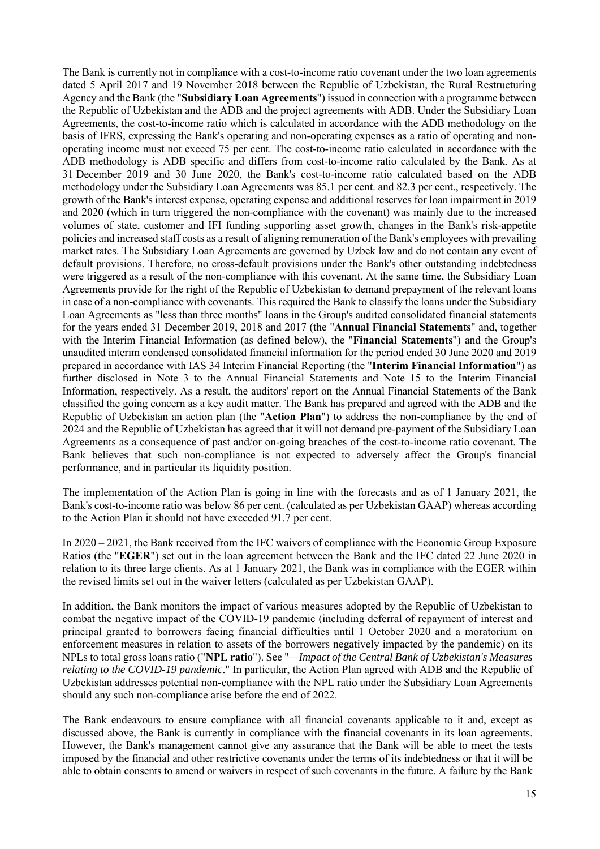The Bank is currently not in compliance with a cost-to-income ratio covenant under the two loan agreements dated 5 April 2017 and 19 November 2018 between the Republic of Uzbekistan, the Rural Restructuring Agency and the Bank (the "**Subsidiary Loan Agreements**") issued in connection with a programme between the Republic of Uzbekistan and the ADB and the project agreements with ADB. Under the Subsidiary Loan Agreements, the cost-to-income ratio which is calculated in accordance with the ADB methodology on the basis of IFRS, expressing the Bank's operating and non-operating expenses as a ratio of operating and nonoperating income must not exceed 75 per cent. The cost-to-income ratio calculated in accordance with the ADB methodology is ADB specific and differs from cost-to-income ratio calculated by the Bank. As at 31 December 2019 and 30 June 2020, the Bank's cost-to-income ratio calculated based on the ADB methodology under the Subsidiary Loan Agreements was 85.1 per cent. and 82.3 per cent., respectively. The growth of the Bank's interest expense, operating expense and additional reserves for loan impairment in 2019 and 2020 (which in turn triggered the non-compliance with the covenant) was mainly due to the increased volumes of state, customer and IFI funding supporting asset growth, changes in the Bank's risk-appetite policies and increased staff costs as a result of aligning remuneration of the Bank's employees with prevailing market rates. The Subsidiary Loan Agreements are governed by Uzbek law and do not contain any event of default provisions. Therefore, no cross-default provisions under the Bank's other outstanding indebtedness were triggered as a result of the non-compliance with this covenant. At the same time, the Subsidiary Loan Agreements provide for the right of the Republic of Uzbekistan to demand prepayment of the relevant loans in case of a non-compliance with covenants. This required the Bank to classify the loans under the Subsidiary Loan Agreements as "less than three months" loans in the Group's audited consolidated financial statements for the years ended 31 December 2019, 2018 and 2017 (the "**Annual Financial Statements**" and, together with the Interim Financial Information (as defined below), the "**Financial Statements**") and the Group's unaudited interim condensed consolidated financial information for the period ended 30 June 2020 and 2019 prepared in accordance with IAS 34 Interim Financial Reporting (the "**Interim Financial Information**") as further disclosed in Note 3 to the Annual Financial Statements and Note 15 to the Interim Financial Information, respectively. As a result, the auditors' report on the Annual Financial Statements of the Bank classified the going concern as a key audit matter. The Bank has prepared and agreed with the ADB and the Republic of Uzbekistan an action plan (the "**Action Plan**") to address the non-compliance by the end of 2024 and the Republic of Uzbekistan has agreed that it will not demand pre-payment of the Subsidiary Loan Agreements as a consequence of past and/or on-going breaches of the cost-to-income ratio covenant. The Bank believes that such non-compliance is not expected to adversely affect the Group's financial performance, and in particular its liquidity position.

The implementation of the Action Plan is going in line with the forecasts and as of 1 January 2021, the Bank's cost-to-income ratio was below 86 per cent. (calculated as per Uzbekistan GAAP) whereas according to the Action Plan it should not have exceeded 91.7 per cent.

In 2020 – 2021, the Bank received from the IFC waivers of compliance with the Economic Group Exposure Ratios (the "**EGER**") set out in the loan agreement between the Bank and the IFC dated 22 June 2020 in relation to its three large clients. As at 1 January 2021, the Bank was in compliance with the EGER within the revised limits set out in the waiver letters (calculated as per Uzbekistan GAAP).

In addition, the Bank monitors the impact of various measures adopted by the Republic of Uzbekistan to combat the negative impact of the COVID-19 pandemic (including deferral of repayment of interest and principal granted to borrowers facing financial difficulties until 1 October 2020 and a moratorium on enforcement measures in relation to assets of the borrowers negatively impacted by the pandemic) on its NPLs to total gross loans ratio ("**NPL ratio**"). See "*—Impact of the Central Bank of Uzbekistan's Measures relating to the COVID-19 pandemic*." In particular, the Action Plan agreed with ADB and the Republic of Uzbekistan addresses potential non-compliance with the NPL ratio under the Subsidiary Loan Agreements should any such non-compliance arise before the end of 2022.

The Bank endeavours to ensure compliance with all financial covenants applicable to it and, except as discussed above, the Bank is currently in compliance with the financial covenants in its loan agreements. However, the Bank's management cannot give any assurance that the Bank will be able to meet the tests imposed by the financial and other restrictive covenants under the terms of its indebtedness or that it will be able to obtain consents to amend or waivers in respect of such covenants in the future. A failure by the Bank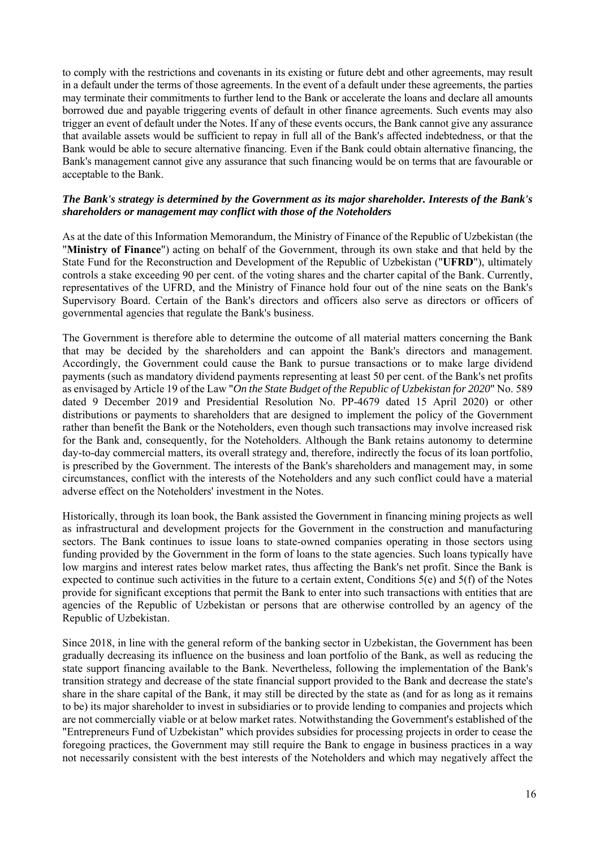to comply with the restrictions and covenants in its existing or future debt and other agreements, may result in a default under the terms of those agreements. In the event of a default under these agreements, the parties may terminate their commitments to further lend to the Bank or accelerate the loans and declare all amounts borrowed due and payable triggering events of default in other finance agreements. Such events may also trigger an event of default under the Notes. If any of these events occurs, the Bank cannot give any assurance that available assets would be sufficient to repay in full all of the Bank's affected indebtedness, or that the Bank would be able to secure alternative financing. Even if the Bank could obtain alternative financing, the Bank's management cannot give any assurance that such financing would be on terms that are favourable or acceptable to the Bank.

#### *The Bank's strategy is determined by the Government as its major shareholder. Interests of the Bank's shareholders or management may conflict with those of the Noteholders*

As at the date of this Information Memorandum, the Ministry of Finance of the Republic of Uzbekistan (the "**Ministry of Finance**") acting on behalf of the Government, through its own stake and that held by the State Fund for the Reconstruction and Development of the Republic of Uzbekistan ("**UFRD**"), ultimately controls a stake exceeding 90 per cent. of the voting shares and the charter capital of the Bank. Currently, representatives of the UFRD, and the Ministry of Finance hold four out of the nine seats on the Bank's Supervisory Board. Certain of the Bank's directors and officers also serve as directors or officers of governmental agencies that regulate the Bank's business.

The Government is therefore able to determine the outcome of all material matters concerning the Bank that may be decided by the shareholders and can appoint the Bank's directors and management. Accordingly, the Government could cause the Bank to pursue transactions or to make large dividend payments (such as mandatory dividend payments representing at least 50 per cent. of the Bank's net profits as envisaged by Article 19 of the Law "*On the State Budget of the Republic of Uzbekistan for 2020*" No. 589 dated 9 December 2019 and Presidential Resolution No. PP-4679 dated 15 April 2020) or other distributions or payments to shareholders that are designed to implement the policy of the Government rather than benefit the Bank or the Noteholders, even though such transactions may involve increased risk for the Bank and, consequently, for the Noteholders. Although the Bank retains autonomy to determine day-to-day commercial matters, its overall strategy and, therefore, indirectly the focus of its loan portfolio, is prescribed by the Government. The interests of the Bank's shareholders and management may, in some circumstances, conflict with the interests of the Noteholders and any such conflict could have a material adverse effect on the Noteholders' investment in the Notes.

Historically, through its loan book, the Bank assisted the Government in financing mining projects as well as infrastructural and development projects for the Government in the construction and manufacturing sectors. The Bank continues to issue loans to state-owned companies operating in those sectors using funding provided by the Government in the form of loans to the state agencies. Such loans typically have low margins and interest rates below market rates, thus affecting the Bank's net profit. Since the Bank is expected to continue such activities in the future to a certain extent, Conditions  $5(e)$  and  $5(f)$  of the Notes provide for significant exceptions that permit the Bank to enter into such transactions with entities that are agencies of the Republic of Uzbekistan or persons that are otherwise controlled by an agency of the Republic of Uzbekistan.

Since 2018, in line with the general reform of the banking sector in Uzbekistan, the Government has been gradually decreasing its influence on the business and loan portfolio of the Bank, as well as reducing the state support financing available to the Bank. Nevertheless, following the implementation of the Bank's transition strategy and decrease of the state financial support provided to the Bank and decrease the state's share in the share capital of the Bank, it may still be directed by the state as (and for as long as it remains to be) its major shareholder to invest in subsidiaries or to provide lending to companies and projects which are not commercially viable or at below market rates. Notwithstanding the Government's established of the "Entrepreneurs Fund of Uzbekistan" which provides subsidies for processing projects in order to cease the foregoing practices, the Government may still require the Bank to engage in business practices in a way not necessarily consistent with the best interests of the Noteholders and which may negatively affect the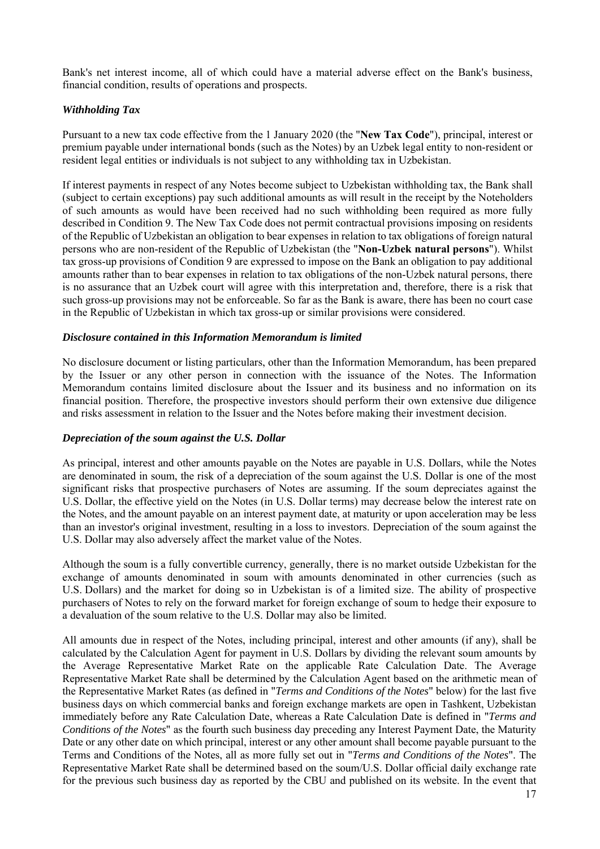Bank's net interest income, all of which could have a material adverse effect on the Bank's business, financial condition, results of operations and prospects.

## *Withholding Tax*

Pursuant to a new tax code effective from the 1 January 2020 (the "**New Tax Code**"), principal, interest or premium payable under international bonds (such as the Notes) by an Uzbek legal entity to non-resident or resident legal entities or individuals is not subject to any withholding tax in Uzbekistan.

If interest payments in respect of any Notes become subject to Uzbekistan withholding tax, the Bank shall (subject to certain exceptions) pay such additional amounts as will result in the receipt by the Noteholders of such amounts as would have been received had no such withholding been required as more fully described in Condition 9. The New Tax Code does not permit contractual provisions imposing on residents of the Republic of Uzbekistan an obligation to bear expenses in relation to tax obligations of foreign natural persons who are non-resident of the Republic of Uzbekistan (the "**Non-Uzbek natural persons**"). Whilst tax gross-up provisions of Condition 9 are expressed to impose on the Bank an obligation to pay additional amounts rather than to bear expenses in relation to tax obligations of the non-Uzbek natural persons, there is no assurance that an Uzbek court will agree with this interpretation and, therefore, there is a risk that such gross-up provisions may not be enforceable. So far as the Bank is aware, there has been no court case in the Republic of Uzbekistan in which tax gross-up or similar provisions were considered.

#### *Disclosure contained in this Information Memorandum is limited*

No disclosure document or listing particulars, other than the Information Memorandum, has been prepared by the Issuer or any other person in connection with the issuance of the Notes. The Information Memorandum contains limited disclosure about the Issuer and its business and no information on its financial position. Therefore, the prospective investors should perform their own extensive due diligence and risks assessment in relation to the Issuer and the Notes before making their investment decision.

#### *Depreciation of the soum against the U.S. Dollar*

As principal, interest and other amounts payable on the Notes are payable in U.S. Dollars, while the Notes are denominated in soum, the risk of a depreciation of the soum against the U.S. Dollar is one of the most significant risks that prospective purchasers of Notes are assuming. If the soum depreciates against the U.S. Dollar, the effective yield on the Notes (in U.S. Dollar terms) may decrease below the interest rate on the Notes, and the amount payable on an interest payment date, at maturity or upon acceleration may be less than an investor's original investment, resulting in a loss to investors. Depreciation of the soum against the U.S. Dollar may also adversely affect the market value of the Notes.

Although the soum is a fully convertible currency, generally, there is no market outside Uzbekistan for the exchange of amounts denominated in soum with amounts denominated in other currencies (such as U.S. Dollars) and the market for doing so in Uzbekistan is of a limited size. The ability of prospective purchasers of Notes to rely on the forward market for foreign exchange of soum to hedge their exposure to a devaluation of the soum relative to the U.S. Dollar may also be limited.

All amounts due in respect of the Notes, including principal, interest and other amounts (if any), shall be calculated by the Calculation Agent for payment in U.S. Dollars by dividing the relevant soum amounts by the Average Representative Market Rate on the applicable Rate Calculation Date. The Average Representative Market Rate shall be determined by the Calculation Agent based on the arithmetic mean of the Representative Market Rates (as defined in "*Terms and Conditions of the Notes*" below) for the last five business days on which commercial banks and foreign exchange markets are open in Tashkent, Uzbekistan immediately before any Rate Calculation Date, whereas a Rate Calculation Date is defined in "*Terms and Conditions of the Notes*" as the fourth such business day preceding any Interest Payment Date, the Maturity Date or any other date on which principal, interest or any other amount shall become payable pursuant to the Terms and Conditions of the Notes, all as more fully set out in "*Terms and Conditions of the Notes*". The Representative Market Rate shall be determined based on the soum/U.S. Dollar official daily exchange rate for the previous such business day as reported by the CBU and published on its website. In the event that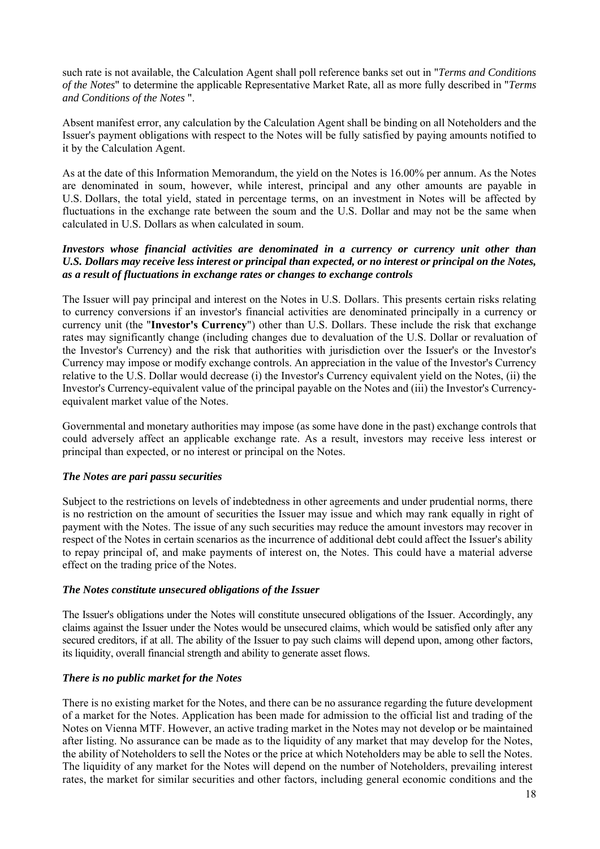such rate is not available, the Calculation Agent shall poll reference banks set out in "*Terms and Conditions of the Notes*" to determine the applicable Representative Market Rate, all as more fully described in "*Terms and Conditions of the Notes* ".

Absent manifest error, any calculation by the Calculation Agent shall be binding on all Noteholders and the Issuer's payment obligations with respect to the Notes will be fully satisfied by paying amounts notified to it by the Calculation Agent.

As at the date of this Information Memorandum, the yield on the Notes is 16.00% per annum. As the Notes are denominated in soum, however, while interest, principal and any other amounts are payable in U.S. Dollars, the total yield, stated in percentage terms, on an investment in Notes will be affected by fluctuations in the exchange rate between the soum and the U.S. Dollar and may not be the same when calculated in U.S. Dollars as when calculated in soum.

#### *Investors whose financial activities are denominated in a currency or currency unit other than U.S. Dollars may receive less interest or principal than expected, or no interest or principal on the Notes, as a result of fluctuations in exchange rates or changes to exchange controls*

The Issuer will pay principal and interest on the Notes in U.S. Dollars. This presents certain risks relating to currency conversions if an investor's financial activities are denominated principally in a currency or currency unit (the "**Investor's Currency**") other than U.S. Dollars. These include the risk that exchange rates may significantly change (including changes due to devaluation of the U.S. Dollar or revaluation of the Investor's Currency) and the risk that authorities with jurisdiction over the Issuer's or the Investor's Currency may impose or modify exchange controls. An appreciation in the value of the Investor's Currency relative to the U.S. Dollar would decrease (i) the Investor's Currency equivalent yield on the Notes, (ii) the Investor's Currency-equivalent value of the principal payable on the Notes and (iii) the Investor's Currencyequivalent market value of the Notes.

Governmental and monetary authorities may impose (as some have done in the past) exchange controls that could adversely affect an applicable exchange rate. As a result, investors may receive less interest or principal than expected, or no interest or principal on the Notes.

#### *The Notes are pari passu securities*

Subject to the restrictions on levels of indebtedness in other agreements and under prudential norms, there is no restriction on the amount of securities the Issuer may issue and which may rank equally in right of payment with the Notes. The issue of any such securities may reduce the amount investors may recover in respect of the Notes in certain scenarios as the incurrence of additional debt could affect the Issuer's ability to repay principal of, and make payments of interest on, the Notes. This could have a material adverse effect on the trading price of the Notes.

#### *The Notes constitute unsecured obligations of the Issuer*

The Issuer's obligations under the Notes will constitute unsecured obligations of the Issuer. Accordingly, any claims against the Issuer under the Notes would be unsecured claims, which would be satisfied only after any secured creditors, if at all. The ability of the Issuer to pay such claims will depend upon, among other factors, its liquidity, overall financial strength and ability to generate asset flows.

#### *There is no public market for the Notes*

There is no existing market for the Notes, and there can be no assurance regarding the future development of a market for the Notes. Application has been made for admission to the official list and trading of the Notes on Vienna MTF. However, an active trading market in the Notes may not develop or be maintained after listing. No assurance can be made as to the liquidity of any market that may develop for the Notes, the ability of Noteholders to sell the Notes or the price at which Noteholders may be able to sell the Notes. The liquidity of any market for the Notes will depend on the number of Noteholders, prevailing interest rates, the market for similar securities and other factors, including general economic conditions and the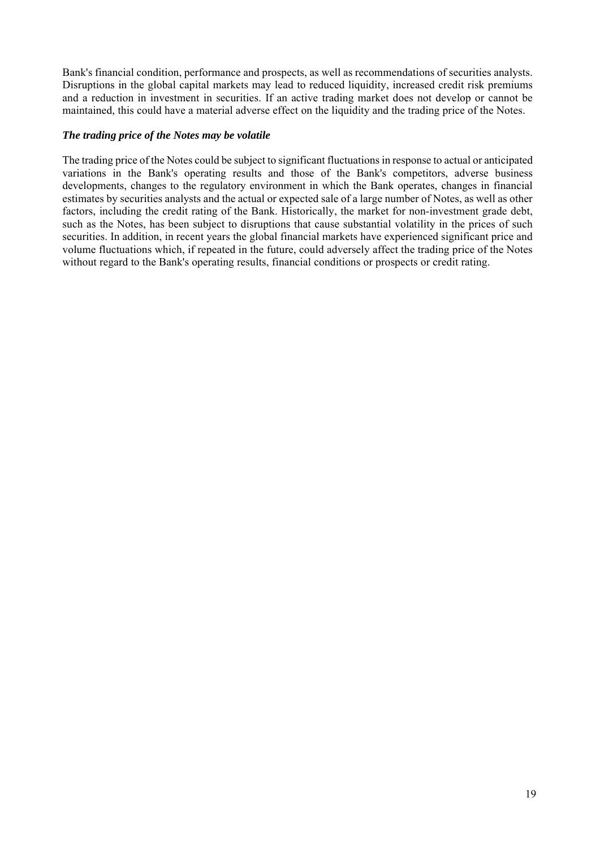Bank's financial condition, performance and prospects, as well as recommendations of securities analysts. Disruptions in the global capital markets may lead to reduced liquidity, increased credit risk premiums and a reduction in investment in securities. If an active trading market does not develop or cannot be maintained, this could have a material adverse effect on the liquidity and the trading price of the Notes.

## *The trading price of the Notes may be volatile*

The trading price of the Notes could be subject to significant fluctuations in response to actual or anticipated variations in the Bank's operating results and those of the Bank's competitors, adverse business developments, changes to the regulatory environment in which the Bank operates, changes in financial estimates by securities analysts and the actual or expected sale of a large number of Notes, as well as other factors, including the credit rating of the Bank. Historically, the market for non-investment grade debt, such as the Notes, has been subject to disruptions that cause substantial volatility in the prices of such securities. In addition, in recent years the global financial markets have experienced significant price and volume fluctuations which, if repeated in the future, could adversely affect the trading price of the Notes without regard to the Bank's operating results, financial conditions or prospects or credit rating.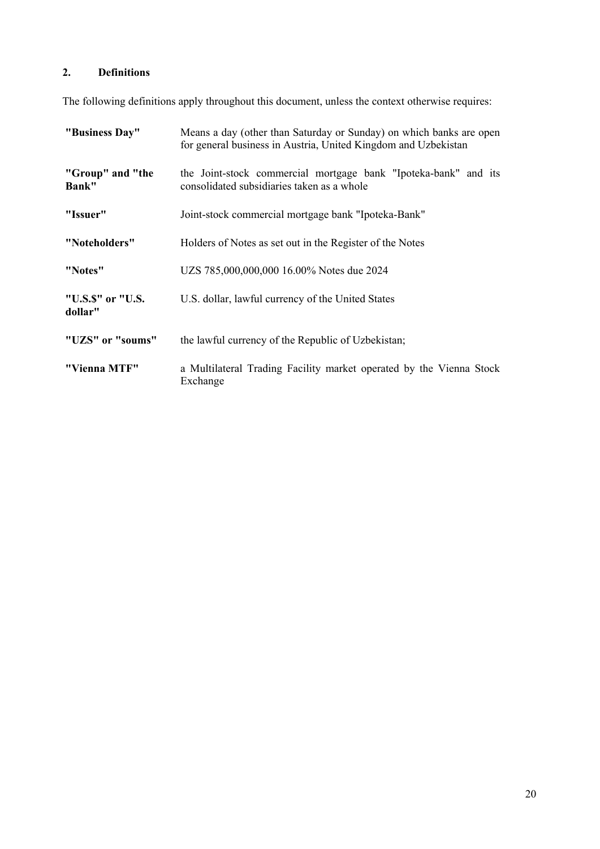# **2. Definitions**

The following definitions apply throughout this document, unless the context otherwise requires:

| "Business Day"               | Means a day (other than Saturday or Sunday) on which banks are open<br>for general business in Austria, United Kingdom and Uzbekistan |  |
|------------------------------|---------------------------------------------------------------------------------------------------------------------------------------|--|
| "Group" and "the<br>Bank"    | the Joint-stock commercial mortgage bank "Ipoteka-bank" and its<br>consolidated subsidiaries taken as a whole                         |  |
| "Issuer"                     | Joint-stock commercial mortgage bank "Ipoteka-Bank"                                                                                   |  |
| "Noteholders"                | Holders of Notes as set out in the Register of the Notes                                                                              |  |
| "Notes"                      | UZS 785,000,000,000 16.00% Notes due 2024                                                                                             |  |
| "U.S.\$" or "U.S.<br>dollar" | U.S. dollar, lawful currency of the United States                                                                                     |  |
| "UZS" or "soums"             | the lawful currency of the Republic of Uzbekistan;                                                                                    |  |
| "Vienna MTF"                 | a Multilateral Trading Facility market operated by the Vienna Stock<br>Exchange                                                       |  |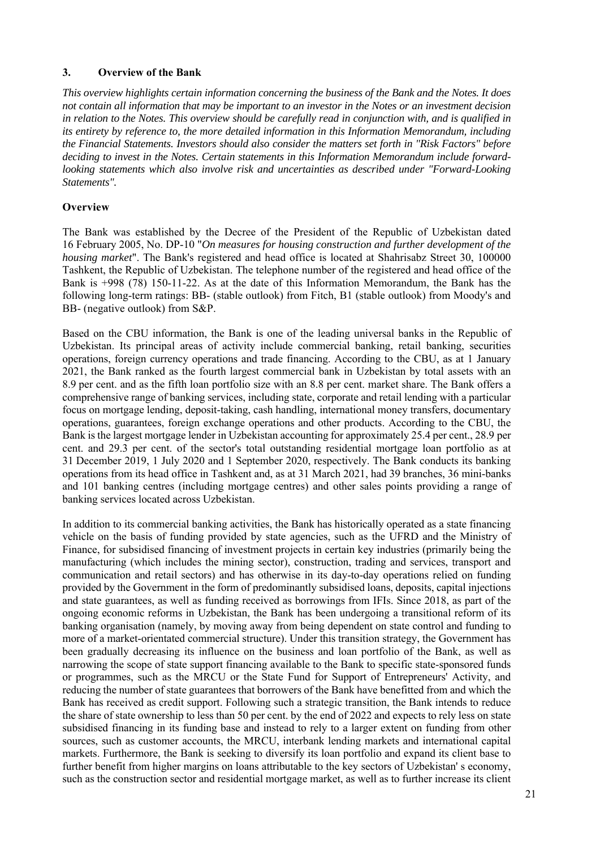#### **3. Overview of the Bank**

*This overview highlights certain information concerning the business of the Bank and the Notes. It does not contain all information that may be important to an investor in the Notes or an investment decision in relation to the Notes. This overview should be carefully read in conjunction with, and is qualified in its entirety by reference to, the more detailed information in this Information Memorandum, including the Financial Statements. Investors should also consider the matters set forth in "Risk Factors" before deciding to invest in the Notes. Certain statements in this Information Memorandum include forwardlooking statements which also involve risk and uncertainties as described under "Forward-Looking Statements".* 

#### **Overview**

The Bank was established by the Decree of the President of the Republic of Uzbekistan dated 16 February 2005, No. DP-10 "*On measures for housing construction and further development of the housing market*". The Bank's registered and head office is located at Shahrisabz Street 30, 100000 Tashkent, the Republic of Uzbekistan. The telephone number of the registered and head office of the Bank is +998 (78) 150-11-22. As at the date of this Information Memorandum, the Bank has the following long-term ratings: BB- (stable outlook) from Fitch, B1 (stable outlook) from Moody's and BB- (negative outlook) from S&P.

Based on the CBU information, the Bank is one of the leading universal banks in the Republic of Uzbekistan. Its principal areas of activity include commercial banking, retail banking, securities operations, foreign currency operations and trade financing. According to the CBU, as at 1 January 2021, the Bank ranked as the fourth largest commercial bank in Uzbekistan by total assets with an 8.9 per cent. and as the fifth loan portfolio size with an 8.8 per cent. market share. The Bank offers a comprehensive range of banking services, including state, corporate and retail lending with a particular focus on mortgage lending, deposit-taking, cash handling, international money transfers, documentary operations, guarantees, foreign exchange operations and other products. According to the CBU, the Bank is the largest mortgage lender in Uzbekistan accounting for approximately 25.4 per cent., 28.9 per cent. and 29.3 per cent. of the sector's total outstanding residential mortgage loan portfolio as at 31 December 2019, 1 July 2020 and 1 September 2020, respectively. The Bank conducts its banking operations from its head office in Tashkent and, as at 31 March 2021, had 39 branches, 36 mini-banks and 101 banking centres (including mortgage centres) and other sales points providing a range of banking services located across Uzbekistan.

In addition to its commercial banking activities, the Bank has historically operated as a state financing vehicle on the basis of funding provided by state agencies, such as the UFRD and the Ministry of Finance, for subsidised financing of investment projects in certain key industries (primarily being the manufacturing (which includes the mining sector), construction, trading and services, transport and communication and retail sectors) and has otherwise in its day-to-day operations relied on funding provided by the Government in the form of predominantly subsidised loans, deposits, capital injections and state guarantees, as well as funding received as borrowings from IFIs. Since 2018, as part of the ongoing economic reforms in Uzbekistan, the Bank has been undergoing a transitional reform of its banking organisation (namely, by moving away from being dependent on state control and funding to more of a market-orientated commercial structure). Under this transition strategy, the Government has been gradually decreasing its influence on the business and loan portfolio of the Bank, as well as narrowing the scope of state support financing available to the Bank to specific state-sponsored funds or programmes, such as the MRCU or the State Fund for Support of Entrepreneurs' Activity, and reducing the number of state guarantees that borrowers of the Bank have benefitted from and which the Bank has received as credit support. Following such a strategic transition, the Bank intends to reduce the share of state ownership to less than 50 per cent. by the end of 2022 and expects to rely less on state subsidised financing in its funding base and instead to rely to a larger extent on funding from other sources, such as customer accounts, the MRCU, interbank lending markets and international capital markets. Furthermore, the Bank is seeking to diversify its loan portfolio and expand its client base to further benefit from higher margins on loans attributable to the key sectors of Uzbekistan' s economy, such as the construction sector and residential mortgage market, as well as to further increase its client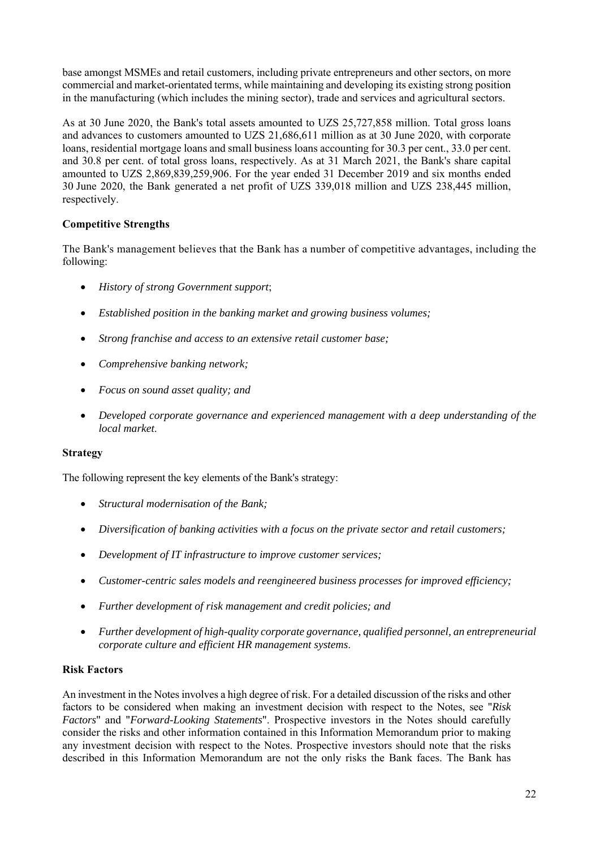base amongst MSMEs and retail customers, including private entrepreneurs and other sectors, on more commercial and market-orientated terms, while maintaining and developing its existing strong position in the manufacturing (which includes the mining sector), trade and services and agricultural sectors.

As at 30 June 2020, the Bank's total assets amounted to UZS 25,727,858 million. Total gross loans and advances to customers amounted to UZS 21,686,611 million as at 30 June 2020, with corporate loans, residential mortgage loans and small business loans accounting for 30.3 per cent., 33.0 per cent. and 30.8 per cent. of total gross loans, respectively. As at 31 March 2021, the Bank's share capital amounted to UZS 2,869,839,259,906. For the year ended 31 December 2019 and six months ended 30 June 2020, the Bank generated a net profit of UZS 339,018 million and UZS 238,445 million, respectively.

# **Competitive Strengths**

The Bank's management believes that the Bank has a number of competitive advantages, including the following:

- *History of strong Government support*;
- *Established position in the banking market and growing business volumes;*
- *Strong franchise and access to an extensive retail customer base;*
- *Comprehensive banking network;*
- *Focus on sound asset quality; and*
- *Developed corporate governance and experienced management with a deep understanding of the local market*.

#### **Strategy**

The following represent the key elements of the Bank's strategy:

- *Structural modernisation of the Bank;*
- *Diversification of banking activities with a focus on the private sector and retail customers;*
- *Development of IT infrastructure to improve customer services;*
- *Customer-centric sales models and reengineered business processes for improved efficiency;*
- *Further development of risk management and credit policies; and*
- *Further development of high-quality corporate governance, qualified personnel, an entrepreneurial corporate culture and efficient HR management systems*.

#### **Risk Factors**

An investment in the Notes involves a high degree of risk. For a detailed discussion of the risks and other factors to be considered when making an investment decision with respect to the Notes, see "*Risk Factors*" and "*Forward-Looking Statements*". Prospective investors in the Notes should carefully consider the risks and other information contained in this Information Memorandum prior to making any investment decision with respect to the Notes. Prospective investors should note that the risks described in this Information Memorandum are not the only risks the Bank faces. The Bank has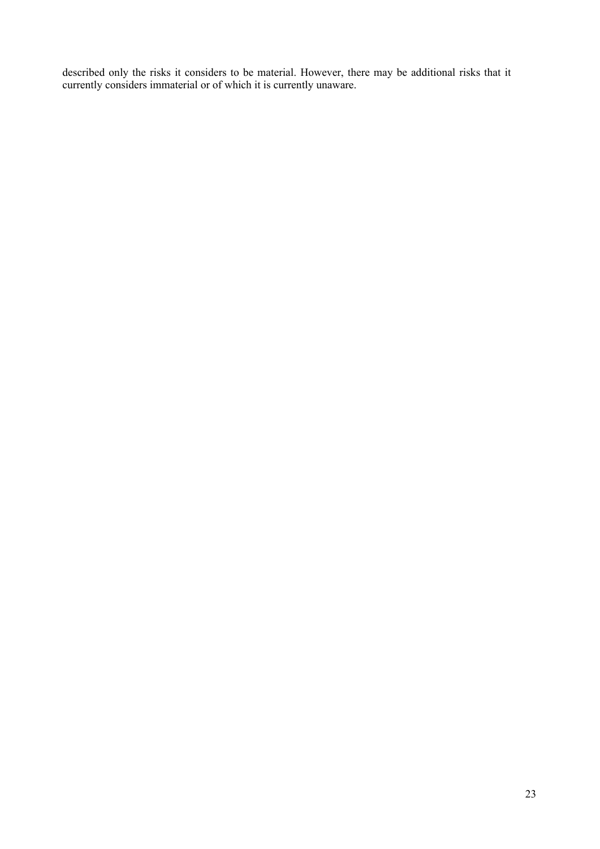described only the risks it considers to be material. However, there may be additional risks that it currently considers immaterial or of which it is currently unaware.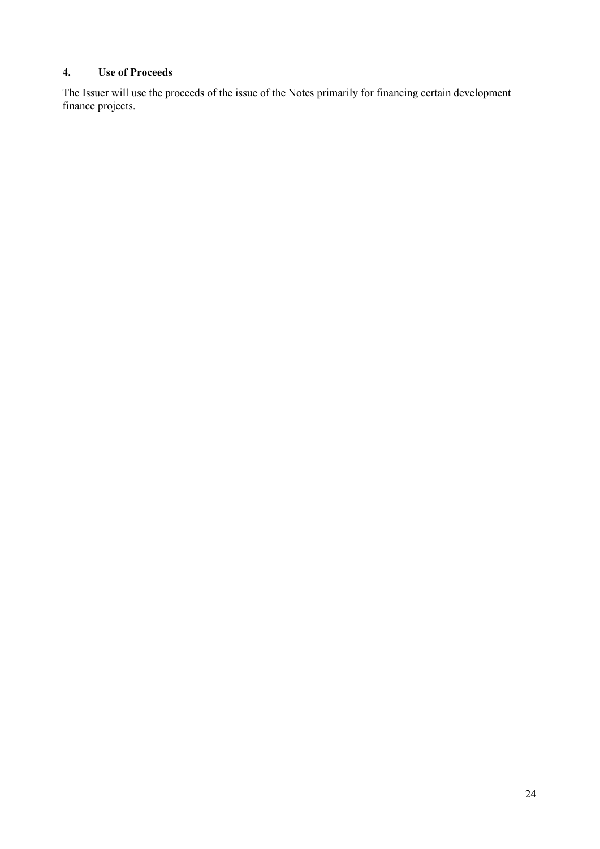# **4. Use of Proceeds**

The Issuer will use the proceeds of the issue of the Notes primarily for financing certain development finance projects.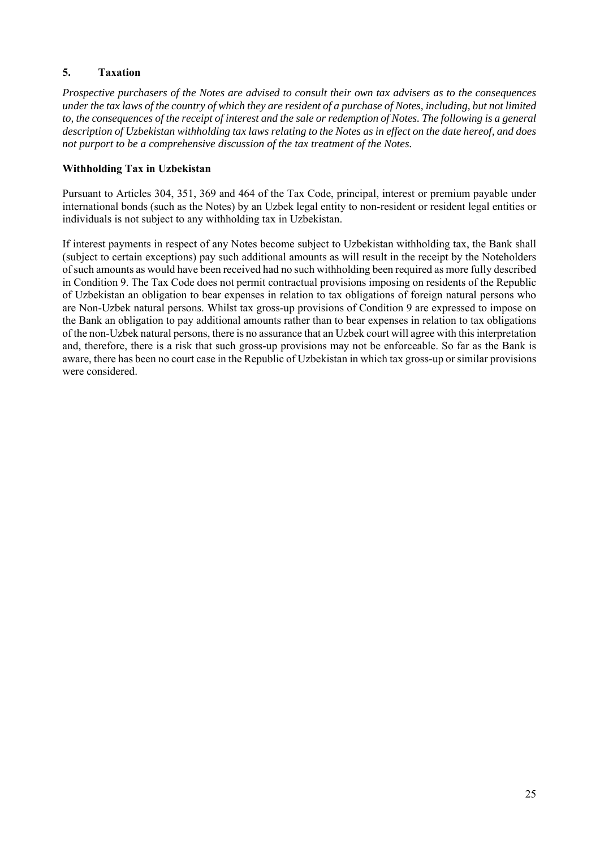# **5. Taxation**

*Prospective purchasers of the Notes are advised to consult their own tax advisers as to the consequences under the tax laws of the country of which they are resident of a purchase of Notes, including, but not limited*  to, the consequences of the receipt of interest and the sale or redemption of Notes. The following is a general *description of Uzbekistan withholding tax laws relating to the Notes as in effect on the date hereof, and does not purport to be a comprehensive discussion of the tax treatment of the Notes.* 

# **Withholding Tax in Uzbekistan**

Pursuant to Articles 304, 351, 369 and 464 of the Tax Code, principal, interest or premium payable under international bonds (such as the Notes) by an Uzbek legal entity to non-resident or resident legal entities or individuals is not subject to any withholding tax in Uzbekistan.

If interest payments in respect of any Notes become subject to Uzbekistan withholding tax, the Bank shall (subject to certain exceptions) pay such additional amounts as will result in the receipt by the Noteholders of such amounts as would have been received had no such withholding been required as more fully described in Condition 9. The Tax Code does not permit contractual provisions imposing on residents of the Republic of Uzbekistan an obligation to bear expenses in relation to tax obligations of foreign natural persons who are Non-Uzbek natural persons. Whilst tax gross-up provisions of Condition 9 are expressed to impose on the Bank an obligation to pay additional amounts rather than to bear expenses in relation to tax obligations of the non-Uzbek natural persons, there is no assurance that an Uzbek court will agree with this interpretation and, therefore, there is a risk that such gross-up provisions may not be enforceable. So far as the Bank is aware, there has been no court case in the Republic of Uzbekistan in which tax gross-up or similar provisions were considered.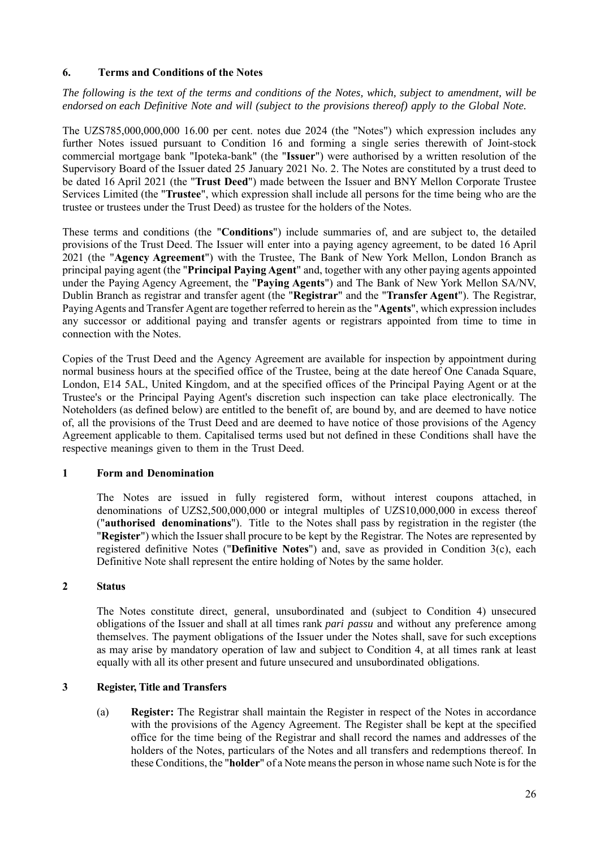# **6. Terms and Conditions of the Notes**

*The following is the text of the terms and conditions of the Notes, which, subject to amendment, will be endorsed on each Definitive Note and will (subject to the provisions thereof) apply to the Global Note.* 

The UZS785,000,000,000 16.00 per cent. notes due 2024 (the "Notes") which expression includes any further Notes issued pursuant to Condition 16 and forming a single series therewith of Joint-stock commercial mortgage bank "Ipoteka-bank" (the "**Issuer**") were authorised by a written resolution of the Supervisory Board of the Issuer dated 25 January 2021 No. 2. The Notes are constituted by a trust deed to be dated 16 April 2021 (the "**Trust Deed**") made between the Issuer and BNY Mellon Corporate Trustee Services Limited (the "**Trustee**", which expression shall include all persons for the time being who are the trustee or trustees under the Trust Deed) as trustee for the holders of the Notes.

These terms and conditions (the "**Conditions**") include summaries of, and are subject to, the detailed provisions of the Trust Deed. The Issuer will enter into a paying agency agreement, to be dated 16 April 2021 (the "**Agency Agreement**") with the Trustee, The Bank of New York Mellon, London Branch as principal paying agent (the "**Principal Paying Agent**" and, together with any other paying agents appointed under the Paying Agency Agreement, the "**Paying Agents**") and The Bank of New York Mellon SA/NV, Dublin Branch as registrar and transfer agent (the "**Registrar**" and the "**Transfer Agent**"). The Registrar, Paying Agents and Transfer Agent are together referred to herein as the "**Agents**", which expression includes any successor or additional paying and transfer agents or registrars appointed from time to time in connection with the Notes.

Copies of the Trust Deed and the Agency Agreement are available for inspection by appointment during normal business hours at the specified office of the Trustee, being at the date hereof One Canada Square, London, E14 5AL, United Kingdom, and at the specified offices of the Principal Paying Agent or at the Trustee's or the Principal Paying Agent's discretion such inspection can take place electronically. The Noteholders (as defined below) are entitled to the benefit of, are bound by, and are deemed to have notice of, all the provisions of the Trust Deed and are deemed to have notice of those provisions of the Agency Agreement applicable to them. Capitalised terms used but not defined in these Conditions shall have the respective meanings given to them in the Trust Deed.

# **1 Form and Denomination**

The Notes are issued in fully registered form, without interest coupons attached, in denominations of UZS2,500,000,000 or integral multiples of UZS10,000,000 in excess thereof ("**authorised denominations**"). Title to the Notes shall pass by registration in the register (the "**Register**") which the Issuer shall procure to be kept by the Registrar. The Notes are represented by registered definitive Notes ("**Definitive Notes**") and, save as provided in Condition 3(c), each Definitive Note shall represent the entire holding of Notes by the same holder.

#### **2 Status**

The Notes constitute direct, general, unsubordinated and (subject to Condition 4) unsecured obligations of the Issuer and shall at all times rank *pari passu* and without any preference among themselves. The payment obligations of the Issuer under the Notes shall, save for such exceptions as may arise by mandatory operation of law and subject to Condition 4, at all times rank at least equally with all its other present and future unsecured and unsubordinated obligations.

# **3 Register, Title and Transfers**

(a) **Register:** The Registrar shall maintain the Register in respect of the Notes in accordance with the provisions of the Agency Agreement. The Register shall be kept at the specified office for the time being of the Registrar and shall record the names and addresses of the holders of the Notes, particulars of the Notes and all transfers and redemptions thereof. In these Conditions, the "**holder**" of a Note means the person in whose name such Note is for the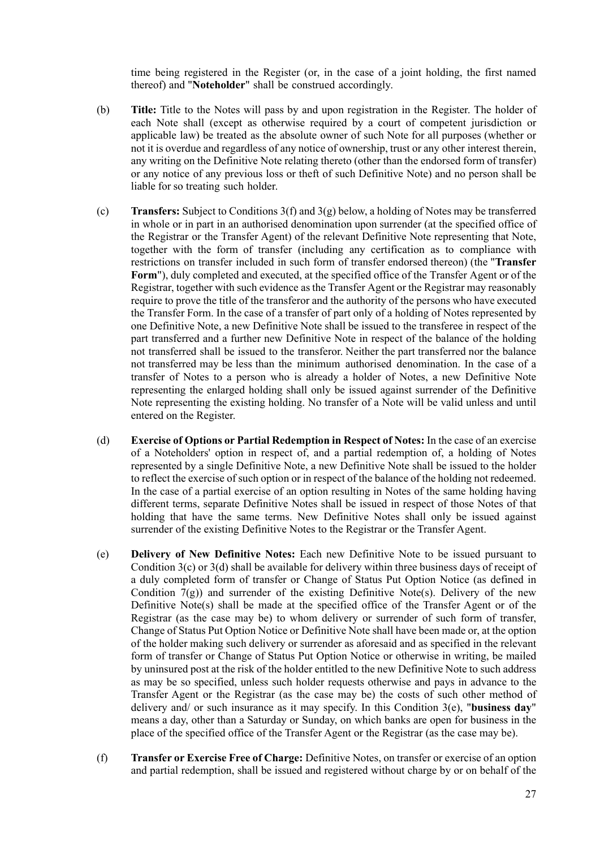time being registered in the Register (or, in the case of a joint holding, the first named thereof) and "**Noteholder**" shall be construed accordingly.

- (b) **Title:** Title to the Notes will pass by and upon registration in the Register. The holder of each Note shall (except as otherwise required by a court of competent jurisdiction or applicable law) be treated as the absolute owner of such Note for all purposes (whether or not it is overdue and regardless of any notice of ownership, trust or any other interest therein, any writing on the Definitive Note relating thereto (other than the endorsed form of transfer) or any notice of any previous loss or theft of such Definitive Note) and no person shall be liable for so treating such holder.
- (c) **Transfers:** Subject to Conditions 3(f) and 3(g) below, a holding of Notes may be transferred in whole or in part in an authorised denomination upon surrender (at the specified office of the Registrar or the Transfer Agent) of the relevant Definitive Note representing that Note, together with the form of transfer (including any certification as to compliance with restrictions on transfer included in such form of transfer endorsed thereon) (the "**Transfer Form**"), duly completed and executed, at the specified office of the Transfer Agent or of the Registrar, together with such evidence as the Transfer Agent or the Registrar may reasonably require to prove the title of the transferor and the authority of the persons who have executed the Transfer Form. In the case of a transfer of part only of a holding of Notes represented by one Definitive Note, a new Definitive Note shall be issued to the transferee in respect of the part transferred and a further new Definitive Note in respect of the balance of the holding not transferred shall be issued to the transferor. Neither the part transferred nor the balance not transferred may be less than the minimum authorised denomination. In the case of a transfer of Notes to a person who is already a holder of Notes, a new Definitive Note representing the enlarged holding shall only be issued against surrender of the Definitive Note representing the existing holding. No transfer of a Note will be valid unless and until entered on the Register.
- (d) **Exercise of Options or Partial Redemption in Respect of Notes:** In the case of an exercise of a Noteholders' option in respect of, and a partial redemption of, a holding of Notes represented by a single Definitive Note, a new Definitive Note shall be issued to the holder to reflect the exercise of such option or in respect of the balance of the holding not redeemed. In the case of a partial exercise of an option resulting in Notes of the same holding having different terms, separate Definitive Notes shall be issued in respect of those Notes of that holding that have the same terms. New Definitive Notes shall only be issued against surrender of the existing Definitive Notes to the Registrar or the Transfer Agent.
- (e) **Delivery of New Definitive Notes:** Each new Definitive Note to be issued pursuant to Condition 3(c) or 3(d) shall be available for delivery within three business days of receipt of a duly completed form of transfer or Change of Status Put Option Notice (as defined in Condition  $7(g)$ ) and surrender of the existing Definitive Note(s). Delivery of the new Definitive Note(s) shall be made at the specified office of the Transfer Agent or of the Registrar (as the case may be) to whom delivery or surrender of such form of transfer, Change of Status Put Option Notice or Definitive Note shall have been made or, at the option of the holder making such delivery or surrender as aforesaid and as specified in the relevant form of transfer or Change of Status Put Option Notice or otherwise in writing, be mailed by uninsured post at the risk of the holder entitled to the new Definitive Note to such address as may be so specified, unless such holder requests otherwise and pays in advance to the Transfer Agent or the Registrar (as the case may be) the costs of such other method of delivery and/ or such insurance as it may specify. In this Condition 3(e), "**business day**" means a day, other than a Saturday or Sunday, on which banks are open for business in the place of the specified office of the Transfer Agent or the Registrar (as the case may be).
- (f) **Transfer or Exercise Free of Charge:** Definitive Notes, on transfer or exercise of an option and partial redemption, shall be issued and registered without charge by or on behalf of the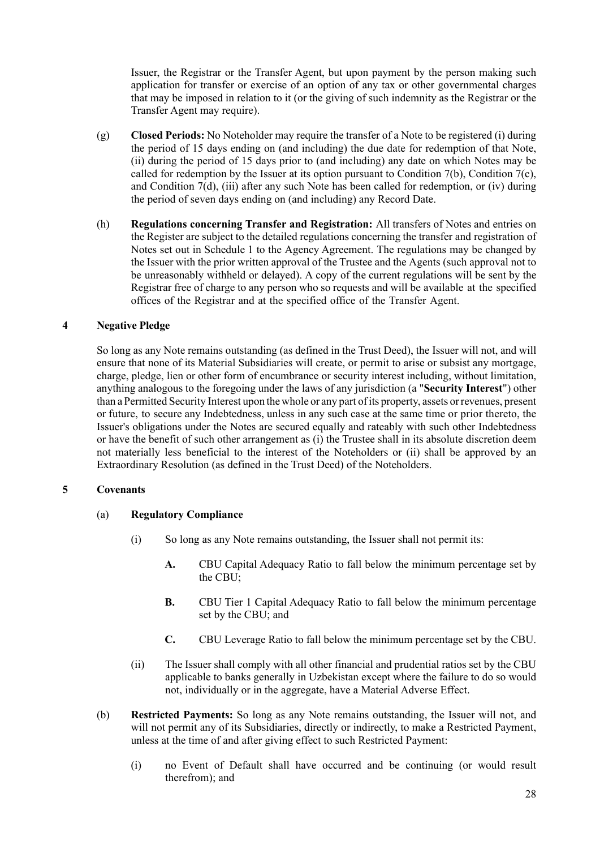Issuer, the Registrar or the Transfer Agent, but upon payment by the person making such application for transfer or exercise of an option of any tax or other governmental charges that may be imposed in relation to it (or the giving of such indemnity as the Registrar or the Transfer Agent may require).

- (g) **Closed Periods:** No Noteholder may require the transfer of a Note to be registered (i) during the period of 15 days ending on (and including) the due date for redemption of that Note, (ii) during the period of 15 days prior to (and including) any date on which Notes may be called for redemption by the Issuer at its option pursuant to Condition 7(b), Condition 7(c), and Condition 7(d), (iii) after any such Note has been called for redemption, or (iv) during the period of seven days ending on (and including) any Record Date.
- (h) **Regulations concerning Transfer and Registration:** All transfers of Notes and entries on the Register are subject to the detailed regulations concerning the transfer and registration of Notes set out in Schedule 1 to the Agency Agreement. The regulations may be changed by the Issuer with the prior written approval of the Trustee and the Agents (such approval not to be unreasonably withheld or delayed). A copy of the current regulations will be sent by the Registrar free of charge to any person who so requests and will be available at the specified offices of the Registrar and at the specified office of the Transfer Agent.

#### **4 Negative Pledge**

So long as any Note remains outstanding (as defined in the Trust Deed), the Issuer will not, and will ensure that none of its Material Subsidiaries will create, or permit to arise or subsist any mortgage, charge, pledge, lien or other form of encumbrance or security interest including, without limitation, anything analogous to the foregoing under the laws of any jurisdiction (a "**Security Interest**") other than a Permitted Security Interest upon the whole or any part of its property, assets or revenues, present or future, to secure any Indebtedness, unless in any such case at the same time or prior thereto, the Issuer's obligations under the Notes are secured equally and rateably with such other Indebtedness or have the benefit of such other arrangement as (i) the Trustee shall in its absolute discretion deem not materially less beneficial to the interest of the Noteholders or (ii) shall be approved by an Extraordinary Resolution (as defined in the Trust Deed) of the Noteholders.

# **5 Covenants**

#### (a) **Regulatory Compliance**

- (i) So long as any Note remains outstanding, the Issuer shall not permit its:
	- **A.** CBU Capital Adequacy Ratio to fall below the minimum percentage set by the CBU;
	- **B.** CBU Tier 1 Capital Adequacy Ratio to fall below the minimum percentage set by the CBU; and
	- **C.** CBU Leverage Ratio to fall below the minimum percentage set by the CBU.
- (ii) The Issuer shall comply with all other financial and prudential ratios set by the CBU applicable to banks generally in Uzbekistan except where the failure to do so would not, individually or in the aggregate, have a Material Adverse Effect.
- (b) **Restricted Payments:** So long as any Note remains outstanding, the Issuer will not, and will not permit any of its Subsidiaries, directly or indirectly, to make a Restricted Payment, unless at the time of and after giving effect to such Restricted Payment:
	- (i) no Event of Default shall have occurred and be continuing (or would result therefrom); and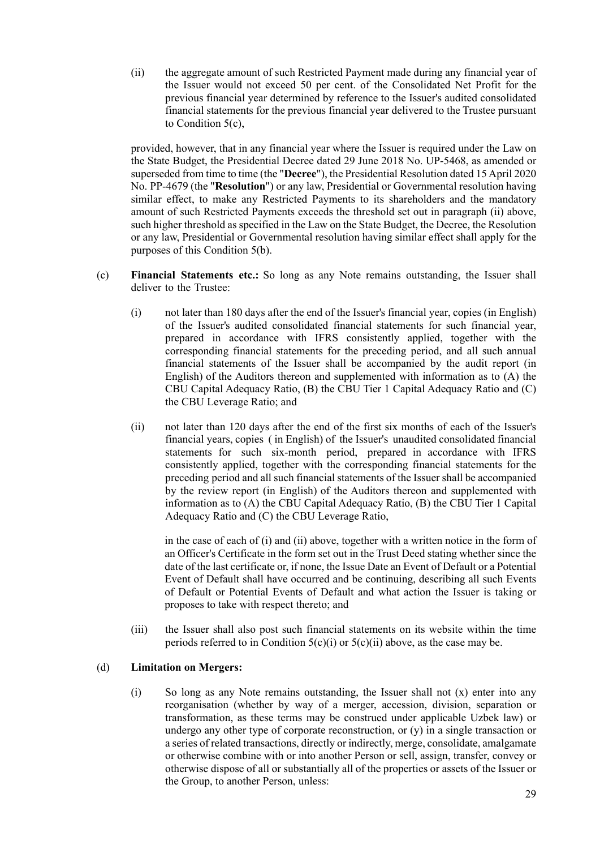(ii) the aggregate amount of such Restricted Payment made during any financial year of the Issuer would not exceed 50 per cent. of the Consolidated Net Profit for the previous financial year determined by reference to the Issuer's audited consolidated financial statements for the previous financial year delivered to the Trustee pursuant to Condition 5(c),

provided, however, that in any financial year where the Issuer is required under the Law on the State Budget, the Presidential Decree dated 29 June 2018 No. UP-5468, as amended or superseded from time to time (the "**Decree**"), the Presidential Resolution dated 15 April 2020 No. PP-4679 (the "**Resolution**") or any law, Presidential or Governmental resolution having similar effect, to make any Restricted Payments to its shareholders and the mandatory amount of such Restricted Payments exceeds the threshold set out in paragraph (ii) above, such higher threshold as specified in the Law on the State Budget, the Decree, the Resolution or any law, Presidential or Governmental resolution having similar effect shall apply for the purposes of this Condition 5(b).

- (c) **Financial Statements etc.:** So long as any Note remains outstanding, the Issuer shall deliver to the Trustee:
	- (i) not later than 180 days after the end of the Issuer's financial year, copies (in English) of the Issuer's audited consolidated financial statements for such financial year, prepared in accordance with IFRS consistently applied, together with the corresponding financial statements for the preceding period, and all such annual financial statements of the Issuer shall be accompanied by the audit report (in English) of the Auditors thereon and supplemented with information as to (A) the CBU Capital Adequacy Ratio, (B) the CBU Tier 1 Capital Adequacy Ratio and (C) the CBU Leverage Ratio; and
	- (ii) not later than 120 days after the end of the first six months of each of the Issuer's financial years, copies ( in English) of the Issuer's unaudited consolidated financial statements for such six-month period, prepared in accordance with IFRS consistently applied, together with the corresponding financial statements for the preceding period and all such financial statements of the Issuer shall be accompanied by the review report (in English) of the Auditors thereon and supplemented with information as to (A) the CBU Capital Adequacy Ratio, (B) the CBU Tier 1 Capital Adequacy Ratio and (C) the CBU Leverage Ratio,

in the case of each of (i) and (ii) above, together with a written notice in the form of an Officer's Certificate in the form set out in the Trust Deed stating whether since the date of the last certificate or, if none, the Issue Date an Event of Default or a Potential Event of Default shall have occurred and be continuing, describing all such Events of Default or Potential Events of Default and what action the Issuer is taking or proposes to take with respect thereto; and

(iii) the Issuer shall also post such financial statements on its website within the time periods referred to in Condition  $5(c)(i)$  or  $5(c)(ii)$  above, as the case may be.

#### (d) **Limitation on Mergers:**

(i) So long as any Note remains outstanding, the Issuer shall not (x) enter into any reorganisation (whether by way of a merger, accession, division, separation or transformation, as these terms may be construed under applicable Uzbek law) or undergo any other type of corporate reconstruction, or (y) in a single transaction or a series of related transactions, directly or indirectly, merge, consolidate, amalgamate or otherwise combine with or into another Person or sell, assign, transfer, convey or otherwise dispose of all or substantially all of the properties or assets of the Issuer or the Group, to another Person, unless: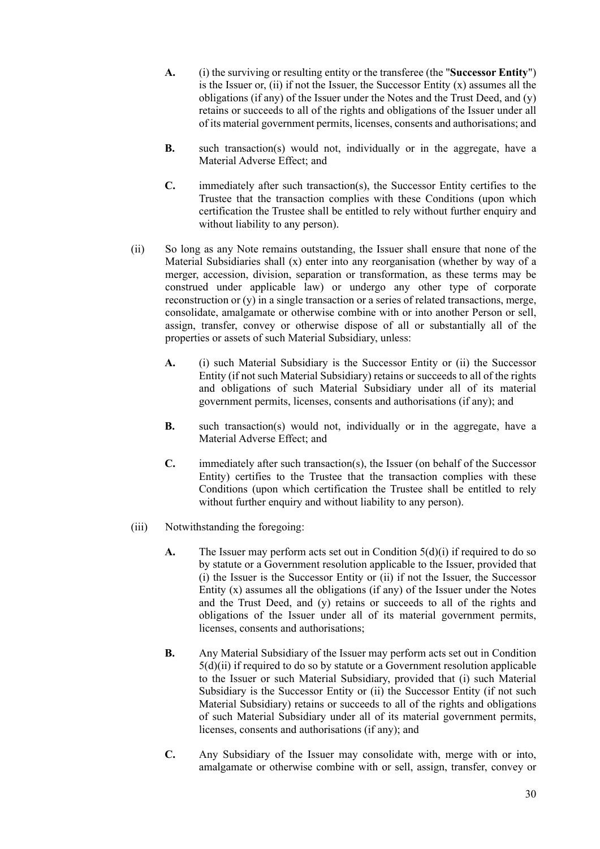- **A.** (i) the surviving or resulting entity or the transferee (the "**Successor Entity**") is the Issuer or, (ii) if not the Issuer, the Successor Entity  $(x)$  assumes all the obligations (if any) of the Issuer under the Notes and the Trust Deed, and (y) retains or succeeds to all of the rights and obligations of the Issuer under all of its material government permits, licenses, consents and authorisations; and
- **B.** such transaction(s) would not, individually or in the aggregate, have a Material Adverse Effect; and
- **C.** immediately after such transaction(s), the Successor Entity certifies to the Trustee that the transaction complies with these Conditions (upon which certification the Trustee shall be entitled to rely without further enquiry and without liability to any person).
- (ii) So long as any Note remains outstanding, the Issuer shall ensure that none of the Material Subsidiaries shall (x) enter into any reorganisation (whether by way of a merger, accession, division, separation or transformation, as these terms may be construed under applicable law) or undergo any other type of corporate reconstruction or (y) in a single transaction or a series of related transactions, merge, consolidate, amalgamate or otherwise combine with or into another Person or sell, assign, transfer, convey or otherwise dispose of all or substantially all of the properties or assets of such Material Subsidiary, unless:
	- **A.** (i) such Material Subsidiary is the Successor Entity or (ii) the Successor Entity (if not such Material Subsidiary) retains or succeeds to all of the rights and obligations of such Material Subsidiary under all of its material government permits, licenses, consents and authorisations (if any); and
	- **B.** such transaction(s) would not, individually or in the aggregate, have a Material Adverse Effect; and
	- **C.** immediately after such transaction(s), the Issuer (on behalf of the Successor Entity) certifies to the Trustee that the transaction complies with these Conditions (upon which certification the Trustee shall be entitled to rely without further enquiry and without liability to any person).
- (iii) Notwithstanding the foregoing:
	- **A.** The Issuer may perform acts set out in Condition  $5(d)(i)$  if required to do so by statute or a Government resolution applicable to the Issuer, provided that (i) the Issuer is the Successor Entity or (ii) if not the Issuer, the Successor Entity (x) assumes all the obligations (if any) of the Issuer under the Notes and the Trust Deed, and (y) retains or succeeds to all of the rights and obligations of the Issuer under all of its material government permits, licenses, consents and authorisations;
	- **B.** Any Material Subsidiary of the Issuer may perform acts set out in Condition 5(d)(ii) if required to do so by statute or a Government resolution applicable to the Issuer or such Material Subsidiary, provided that (i) such Material Subsidiary is the Successor Entity or (ii) the Successor Entity (if not such Material Subsidiary) retains or succeeds to all of the rights and obligations of such Material Subsidiary under all of its material government permits, licenses, consents and authorisations (if any); and
	- **C.** Any Subsidiary of the Issuer may consolidate with, merge with or into, amalgamate or otherwise combine with or sell, assign, transfer, convey or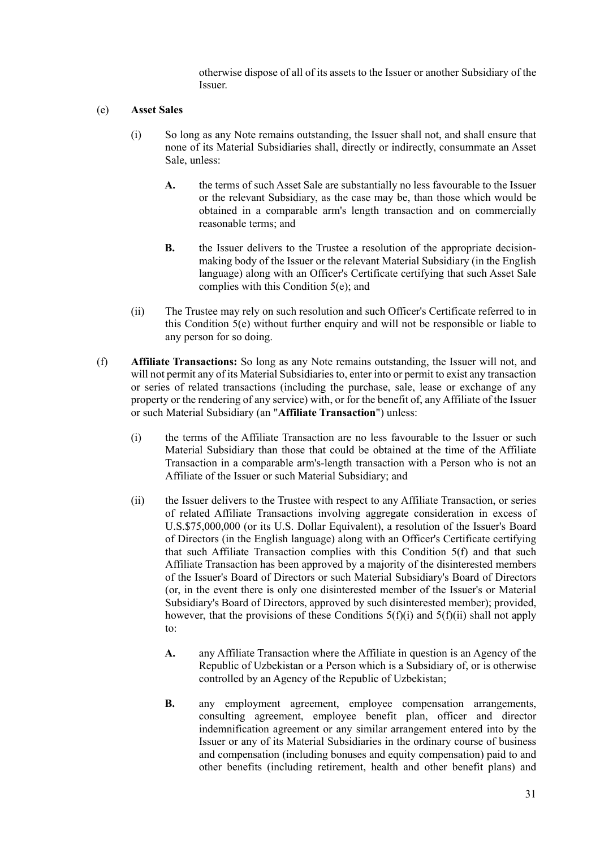otherwise dispose of all of its assets to the Issuer or another Subsidiary of the Issuer.

#### (e) **Asset Sales**

- (i) So long as any Note remains outstanding, the Issuer shall not, and shall ensure that none of its Material Subsidiaries shall, directly or indirectly, consummate an Asset Sale, unless:
	- **A.** the terms of such Asset Sale are substantially no less favourable to the Issuer or the relevant Subsidiary, as the case may be, than those which would be obtained in a comparable arm's length transaction and on commercially reasonable terms; and
	- **B.** the Issuer delivers to the Trustee a resolution of the appropriate decisionmaking body of the Issuer or the relevant Material Subsidiary (in the English language) along with an Officer's Certificate certifying that such Asset Sale complies with this Condition 5(e); and
- (ii) The Trustee may rely on such resolution and such Officer's Certificate referred to in this Condition 5(e) without further enquiry and will not be responsible or liable to any person for so doing.
- (f) **Affiliate Transactions:** So long as any Note remains outstanding, the Issuer will not, and will not permit any of its Material Subsidiaries to, enter into or permit to exist any transaction or series of related transactions (including the purchase, sale, lease or exchange of any property or the rendering of any service) with, or for the benefit of, any Affiliate of the Issuer or such Material Subsidiary (an "**Affiliate Transaction**") unless:
	- (i) the terms of the Affiliate Transaction are no less favourable to the Issuer or such Material Subsidiary than those that could be obtained at the time of the Affiliate Transaction in a comparable arm's-length transaction with a Person who is not an Affiliate of the Issuer or such Material Subsidiary; and
	- (ii) the Issuer delivers to the Trustee with respect to any Affiliate Transaction, or series of related Affiliate Transactions involving aggregate consideration in excess of U.S.\$75,000,000 (or its U.S. Dollar Equivalent), a resolution of the Issuer's Board of Directors (in the English language) along with an Officer's Certificate certifying that such Affiliate Transaction complies with this Condition 5(f) and that such Affiliate Transaction has been approved by a majority of the disinterested members of the Issuer's Board of Directors or such Material Subsidiary's Board of Directors (or, in the event there is only one disinterested member of the Issuer's or Material Subsidiary's Board of Directors, approved by such disinterested member); provided, however, that the provisions of these Conditions  $5(f)(i)$  and  $5(f)(ii)$  shall not apply to:
		- **A.** any Affiliate Transaction where the Affiliate in question is an Agency of the Republic of Uzbekistan or a Person which is a Subsidiary of, or is otherwise controlled by an Agency of the Republic of Uzbekistan;
		- **B.** any employment agreement, employee compensation arrangements, consulting agreement, employee benefit plan, officer and director indemnification agreement or any similar arrangement entered into by the Issuer or any of its Material Subsidiaries in the ordinary course of business and compensation (including bonuses and equity compensation) paid to and other benefits (including retirement, health and other benefit plans) and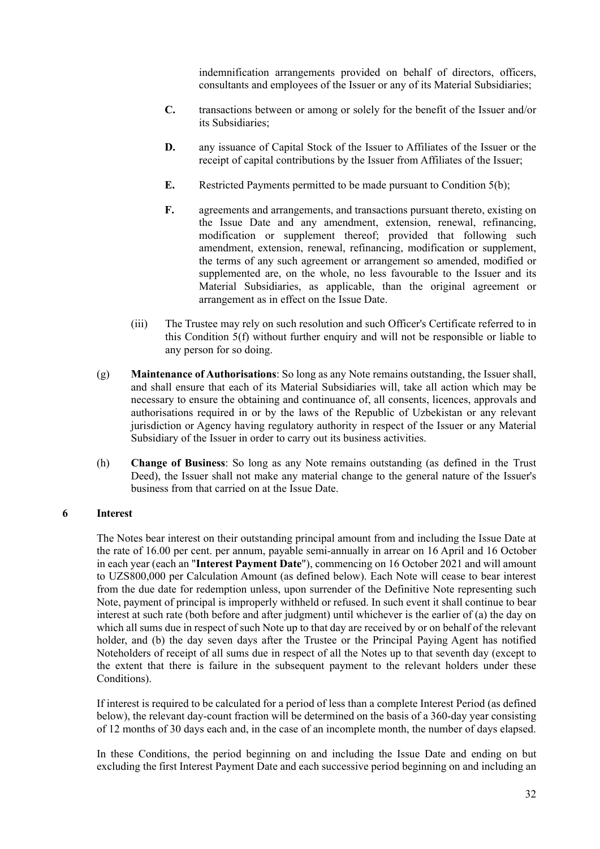indemnification arrangements provided on behalf of directors, officers, consultants and employees of the Issuer or any of its Material Subsidiaries;

- **C.** transactions between or among or solely for the benefit of the Issuer and/or its Subsidiaries;
- **D.** any issuance of Capital Stock of the Issuer to Affiliates of the Issuer or the receipt of capital contributions by the Issuer from Affiliates of the Issuer;
- **E.** Restricted Payments permitted to be made pursuant to Condition 5(b);
- **F.** agreements and arrangements, and transactions pursuant thereto, existing on the Issue Date and any amendment, extension, renewal, refinancing, modification or supplement thereof; provided that following such amendment, extension, renewal, refinancing, modification or supplement, the terms of any such agreement or arrangement so amended, modified or supplemented are, on the whole, no less favourable to the Issuer and its Material Subsidiaries, as applicable, than the original agreement or arrangement as in effect on the Issue Date.
- (iii) The Trustee may rely on such resolution and such Officer's Certificate referred to in this Condition 5(f) without further enquiry and will not be responsible or liable to any person for so doing.
- (g) **Maintenance of Authorisations**: So long as any Note remains outstanding, the Issuer shall, and shall ensure that each of its Material Subsidiaries will, take all action which may be necessary to ensure the obtaining and continuance of, all consents, licences, approvals and authorisations required in or by the laws of the Republic of Uzbekistan or any relevant jurisdiction or Agency having regulatory authority in respect of the Issuer or any Material Subsidiary of the Issuer in order to carry out its business activities.
- (h) **Change of Business**: So long as any Note remains outstanding (as defined in the Trust Deed), the Issuer shall not make any material change to the general nature of the Issuer's business from that carried on at the Issue Date.

# **6 Interest**

The Notes bear interest on their outstanding principal amount from and including the Issue Date at the rate of 16.00 per cent. per annum, payable semi-annually in arrear on 16 April and 16 October in each year (each an "**Interest Payment Date**"), commencing on 16 October 2021 and will amount to UZS800,000 per Calculation Amount (as defined below). Each Note will cease to bear interest from the due date for redemption unless, upon surrender of the Definitive Note representing such Note, payment of principal is improperly withheld or refused. In such event it shall continue to bear interest at such rate (both before and after judgment) until whichever is the earlier of (a) the day on which all sums due in respect of such Note up to that day are received by or on behalf of the relevant holder, and (b) the day seven days after the Trustee or the Principal Paying Agent has notified Noteholders of receipt of all sums due in respect of all the Notes up to that seventh day (except to the extent that there is failure in the subsequent payment to the relevant holders under these Conditions).

If interest is required to be calculated for a period of less than a complete Interest Period (as defined below), the relevant day-count fraction will be determined on the basis of a 360-day year consisting of 12 months of 30 days each and, in the case of an incomplete month, the number of days elapsed.

In these Conditions, the period beginning on and including the Issue Date and ending on but excluding the first Interest Payment Date and each successive period beginning on and including an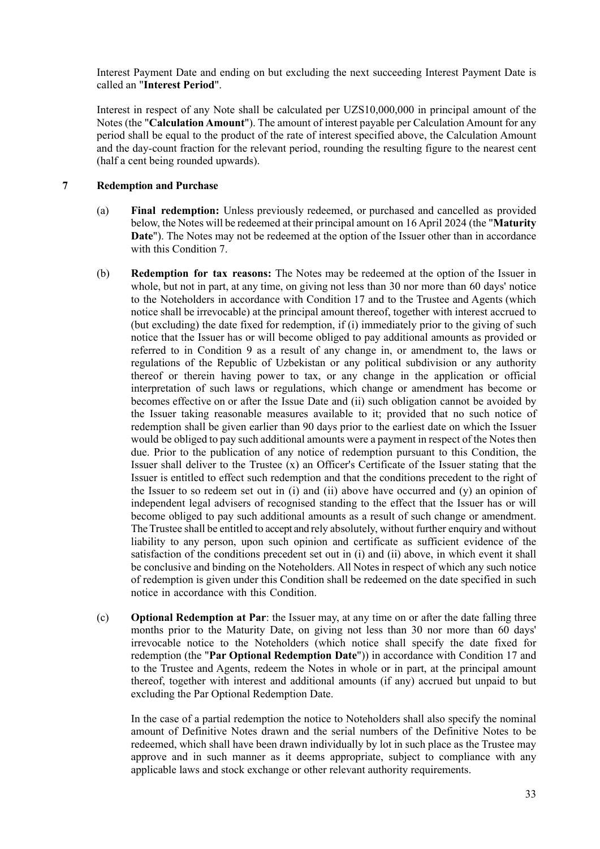Interest Payment Date and ending on but excluding the next succeeding Interest Payment Date is called an "**Interest Period**".

Interest in respect of any Note shall be calculated per UZS10,000,000 in principal amount of the Notes (the "**Calculation Amount**"). The amount of interest payable per Calculation Amount for any period shall be equal to the product of the rate of interest specified above, the Calculation Amount and the day-count fraction for the relevant period, rounding the resulting figure to the nearest cent (half a cent being rounded upwards).

#### **7 Redemption and Purchase**

- (a) **Final redemption:** Unless previously redeemed, or purchased and cancelled as provided below, the Notes will be redeemed at their principal amount on 16 April 2024 (the "**Maturity Date**"). The Notes may not be redeemed at the option of the Issuer other than in accordance with this Condition 7.
- (b) **Redemption for tax reasons:** The Notes may be redeemed at the option of the Issuer in whole, but not in part, at any time, on giving not less than 30 nor more than 60 days' notice to the Noteholders in accordance with Condition 17 and to the Trustee and Agents (which notice shall be irrevocable) at the principal amount thereof, together with interest accrued to (but excluding) the date fixed for redemption, if (i) immediately prior to the giving of such notice that the Issuer has or will become obliged to pay additional amounts as provided or referred to in Condition 9 as a result of any change in, or amendment to, the laws or regulations of the Republic of Uzbekistan or any political subdivision or any authority thereof or therein having power to tax, or any change in the application or official interpretation of such laws or regulations, which change or amendment has become or becomes effective on or after the Issue Date and (ii) such obligation cannot be avoided by the Issuer taking reasonable measures available to it; provided that no such notice of redemption shall be given earlier than 90 days prior to the earliest date on which the Issuer would be obliged to pay such additional amounts were a payment in respect of the Notes then due. Prior to the publication of any notice of redemption pursuant to this Condition, the Issuer shall deliver to the Trustee  $(x)$  an Officer's Certificate of the Issuer stating that the Issuer is entitled to effect such redemption and that the conditions precedent to the right of the Issuer to so redeem set out in (i) and (ii) above have occurred and (y) an opinion of independent legal advisers of recognised standing to the effect that the Issuer has or will become obliged to pay such additional amounts as a result of such change or amendment. The Trustee shall be entitled to accept and rely absolutely, without further enquiry and without liability to any person, upon such opinion and certificate as sufficient evidence of the satisfaction of the conditions precedent set out in (i) and (ii) above, in which event it shall be conclusive and binding on the Noteholders. All Notes in respect of which any such notice of redemption is given under this Condition shall be redeemed on the date specified in such notice in accordance with this Condition.
- (c) **Optional Redemption at Par**: the Issuer may, at any time on or after the date falling three months prior to the Maturity Date, on giving not less than 30 nor more than 60 days' irrevocable notice to the Noteholders (which notice shall specify the date fixed for redemption (the "**Par Optional Redemption Date**")) in accordance with Condition 17 and to the Trustee and Agents, redeem the Notes in whole or in part, at the principal amount thereof, together with interest and additional amounts (if any) accrued but unpaid to but excluding the Par Optional Redemption Date.

In the case of a partial redemption the notice to Noteholders shall also specify the nominal amount of Definitive Notes drawn and the serial numbers of the Definitive Notes to be redeemed, which shall have been drawn individually by lot in such place as the Trustee may approve and in such manner as it deems appropriate, subject to compliance with any applicable laws and stock exchange or other relevant authority requirements.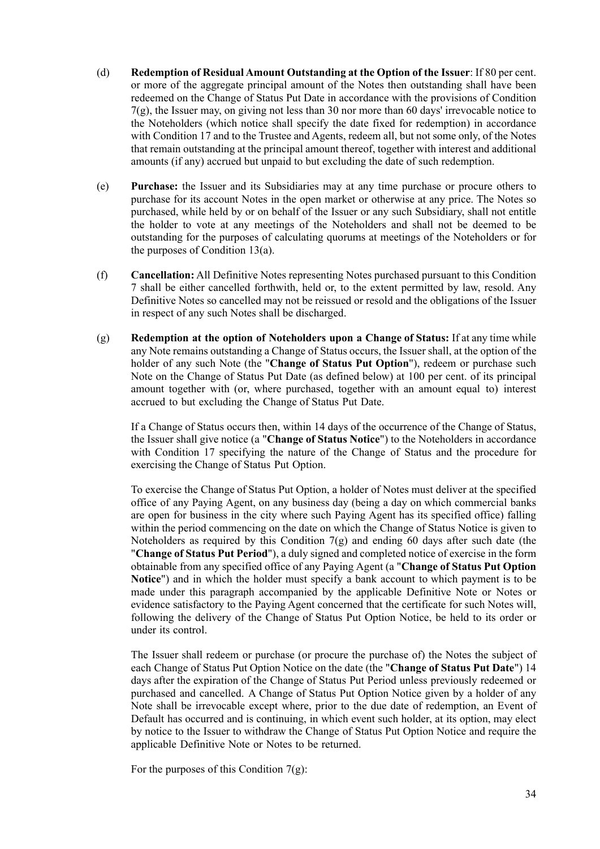- (d) **Redemption of Residual Amount Outstanding at the Option of the Issuer**: If 80 per cent. or more of the aggregate principal amount of the Notes then outstanding shall have been redeemed on the Change of Status Put Date in accordance with the provisions of Condition 7(g), the Issuer may, on giving not less than 30 nor more than 60 days' irrevocable notice to the Noteholders (which notice shall specify the date fixed for redemption) in accordance with Condition 17 and to the Trustee and Agents, redeem all, but not some only, of the Notes that remain outstanding at the principal amount thereof, together with interest and additional amounts (if any) accrued but unpaid to but excluding the date of such redemption.
- (e) **Purchase:** the Issuer and its Subsidiaries may at any time purchase or procure others to purchase for its account Notes in the open market or otherwise at any price. The Notes so purchased, while held by or on behalf of the Issuer or any such Subsidiary, shall not entitle the holder to vote at any meetings of the Noteholders and shall not be deemed to be outstanding for the purposes of calculating quorums at meetings of the Noteholders or for the purposes of Condition 13(a).
- (f) **Cancellation:** All Definitive Notes representing Notes purchased pursuant to this Condition 7 shall be either cancelled forthwith, held or, to the extent permitted by law, resold. Any Definitive Notes so cancelled may not be reissued or resold and the obligations of the Issuer in respect of any such Notes shall be discharged.
- (g) **Redemption at the option of Noteholders upon a Change of Status:** If at any time while any Note remains outstanding a Change of Status occurs, the Issuer shall, at the option of the holder of any such Note (the "**Change of Status Put Option**"), redeem or purchase such Note on the Change of Status Put Date (as defined below) at 100 per cent. of its principal amount together with (or, where purchased, together with an amount equal to) interest accrued to but excluding the Change of Status Put Date.

If a Change of Status occurs then, within 14 days of the occurrence of the Change of Status, the Issuer shall give notice (a "**Change of Status Notice**") to the Noteholders in accordance with Condition 17 specifying the nature of the Change of Status and the procedure for exercising the Change of Status Put Option.

To exercise the Change of Status Put Option, a holder of Notes must deliver at the specified office of any Paying Agent, on any business day (being a day on which commercial banks are open for business in the city where such Paying Agent has its specified office) falling within the period commencing on the date on which the Change of Status Notice is given to Noteholders as required by this Condition  $7(g)$  and ending 60 days after such date (the "**Change of Status Put Period**"), a duly signed and completed notice of exercise in the form obtainable from any specified office of any Paying Agent (a "**Change of Status Put Option Notice**") and in which the holder must specify a bank account to which payment is to be made under this paragraph accompanied by the applicable Definitive Note or Notes or evidence satisfactory to the Paying Agent concerned that the certificate for such Notes will, following the delivery of the Change of Status Put Option Notice, be held to its order or under its control.

The Issuer shall redeem or purchase (or procure the purchase of) the Notes the subject of each Change of Status Put Option Notice on the date (the "**Change of Status Put Date**") 14 days after the expiration of the Change of Status Put Period unless previously redeemed or purchased and cancelled. A Change of Status Put Option Notice given by a holder of any Note shall be irrevocable except where, prior to the due date of redemption, an Event of Default has occurred and is continuing, in which event such holder, at its option, may elect by notice to the Issuer to withdraw the Change of Status Put Option Notice and require the applicable Definitive Note or Notes to be returned.

For the purposes of this Condition  $7(g)$ :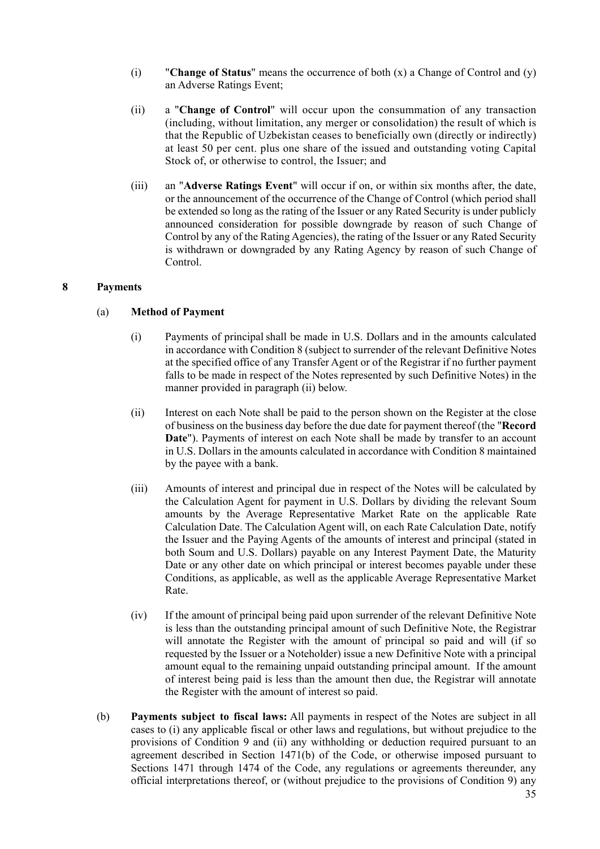- (i) "**Change of Status**" means the occurrence of both (x) a Change of Control and (y) an Adverse Ratings Event;
- (ii) a "**Change of Control**" will occur upon the consummation of any transaction (including, without limitation, any merger or consolidation) the result of which is that the Republic of Uzbekistan ceases to beneficially own (directly or indirectly) at least 50 per cent. plus one share of the issued and outstanding voting Capital Stock of, or otherwise to control, the Issuer; and
- (iii) an "**Adverse Ratings Event**" will occur if on, or within six months after, the date, or the announcement of the occurrence of the Change of Control (which period shall be extended so long as the rating of the Issuer or any Rated Security is under publicly announced consideration for possible downgrade by reason of such Change of Control by any of the Rating Agencies), the rating of the Issuer or any Rated Security is withdrawn or downgraded by any Rating Agency by reason of such Change of Control.

#### **8 Payments**

#### (a) **Method of Payment**

- (i) Payments of principalshall be made in U.S. Dollars and in the amounts calculated in accordance with Condition 8 (subject to surrender of the relevant Definitive Notes at the specified office of any Transfer Agent or of the Registrar if no further payment falls to be made in respect of the Notes represented by such Definitive Notes) in the manner provided in paragraph (ii) below.
- (ii) Interest on each Note shall be paid to the person shown on the Register at the close of business on the business day before the due date for payment thereof (the "**Record Date**"). Payments of interest on each Note shall be made by transfer to an account in U.S. Dollars in the amounts calculated in accordance with Condition 8 maintained by the payee with a bank.
- (iii) Amounts of interest and principal due in respect of the Notes will be calculated by the Calculation Agent for payment in U.S. Dollars by dividing the relevant Soum amounts by the Average Representative Market Rate on the applicable Rate Calculation Date. The Calculation Agent will, on each Rate Calculation Date, notify the Issuer and the Paying Agents of the amounts of interest and principal (stated in both Soum and U.S. Dollars) payable on any Interest Payment Date, the Maturity Date or any other date on which principal or interest becomes payable under these Conditions, as applicable, as well as the applicable Average Representative Market Rate.
- (iv) If the amount of principal being paid upon surrender of the relevant Definitive Note is less than the outstanding principal amount of such Definitive Note, the Registrar will annotate the Register with the amount of principal so paid and will (if so requested by the Issuer or a Noteholder) issue a new Definitive Note with a principal amount equal to the remaining unpaid outstanding principal amount. If the amount of interest being paid is less than the amount then due, the Registrar will annotate the Register with the amount of interest so paid.
- (b) **Payments subject to fiscal laws:** All payments in respect of the Notes are subject in all cases to (i) any applicable fiscal or other laws and regulations, but without prejudice to the provisions of Condition 9 and (ii) any withholding or deduction required pursuant to an agreement described in Section 1471(b) of the Code, or otherwise imposed pursuant to Sections 1471 through 1474 of the Code, any regulations or agreements thereunder, any official interpretations thereof, or (without prejudice to the provisions of Condition 9) any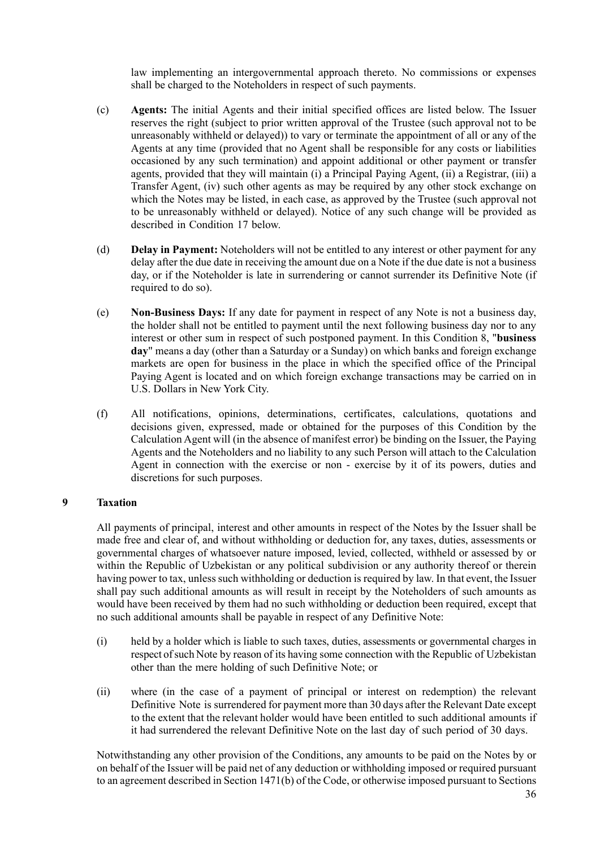law implementing an intergovernmental approach thereto. No commissions or expenses shall be charged to the Noteholders in respect of such payments.

- (c) **Agents:** The initial Agents and their initial specified offices are listed below. The Issuer reserves the right (subject to prior written approval of the Trustee (such approval not to be unreasonably withheld or delayed)) to vary or terminate the appointment of all or any of the Agents at any time (provided that no Agent shall be responsible for any costs or liabilities occasioned by any such termination) and appoint additional or other payment or transfer agents, provided that they will maintain (i) a Principal Paying Agent, (ii) a Registrar, (iii) a Transfer Agent, (iv) such other agents as may be required by any other stock exchange on which the Notes may be listed, in each case, as approved by the Trustee (such approval not to be unreasonably withheld or delayed). Notice of any such change will be provided as described in Condition 17 below.
- (d) **Delay in Payment:** Noteholders will not be entitled to any interest or other payment for any delay after the due date in receiving the amount due on a Note if the due date is not a business day, or if the Noteholder is late in surrendering or cannot surrender its Definitive Note (if required to do so).
- (e) **Non-Business Days:** If any date for payment in respect of any Note is not a business day, the holder shall not be entitled to payment until the next following business day nor to any interest or other sum in respect of such postponed payment. In this Condition 8, "**business day**" means a day (other than a Saturday or a Sunday) on which banks and foreign exchange markets are open for business in the place in which the specified office of the Principal Paying Agent is located and on which foreign exchange transactions may be carried on in U.S. Dollars in New York City.
- (f) All notifications, opinions, determinations, certificates, calculations, quotations and decisions given, expressed, made or obtained for the purposes of this Condition by the Calculation Agent will (in the absence of manifest error) be binding on the Issuer, the Paying Agents and the Noteholders and no liability to any such Person will attach to the Calculation Agent in connection with the exercise or non - exercise by it of its powers, duties and discretions for such purposes.

### **9 Taxation**

All payments of principal, interest and other amounts in respect of the Notes by the Issuer shall be made free and clear of, and without withholding or deduction for, any taxes, duties, assessments or governmental charges of whatsoever nature imposed, levied, collected, withheld or assessed by or within the Republic of Uzbekistan or any political subdivision or any authority thereof or therein having power to tax, unless such withholding or deduction is required by law. In that event, the Issuer shall pay such additional amounts as will result in receipt by the Noteholders of such amounts as would have been received by them had no such withholding or deduction been required, except that no such additional amounts shall be payable in respect of any Definitive Note:

- (i) held by a holder which is liable to such taxes, duties, assessments or governmental charges in respect of such Note by reason of its having some connection with the Republic of Uzbekistan other than the mere holding of such Definitive Note; or
- (ii) where (in the case of a payment of principal or interest on redemption) the relevant Definitive Note is surrendered for payment more than 30 days after the Relevant Date except to the extent that the relevant holder would have been entitled to such additional amounts if it had surrendered the relevant Definitive Note on the last day of such period of 30 days.

Notwithstanding any other provision of the Conditions, any amounts to be paid on the Notes by or on behalf of the Issuer will be paid net of any deduction or withholding imposed or required pursuant to an agreement described in Section 1471(b) of the Code, or otherwise imposed pursuant to Sections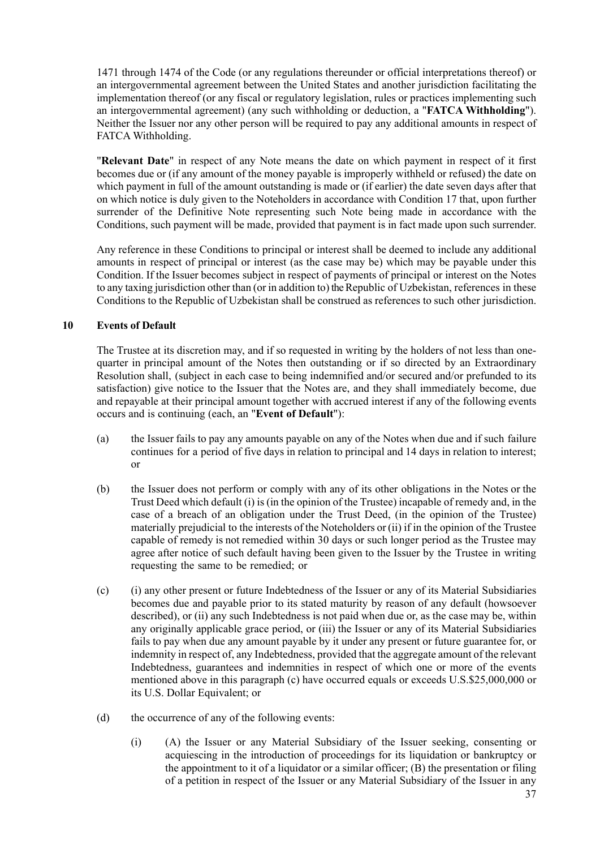1471 through 1474 of the Code (or any regulations thereunder or official interpretations thereof) or an intergovernmental agreement between the United States and another jurisdiction facilitating the implementation thereof (or any fiscal or regulatory legislation, rules or practices implementing such an intergovernmental agreement) (any such withholding or deduction, a "**FATCA Withholding**"). Neither the Issuer nor any other person will be required to pay any additional amounts in respect of FATCA Withholding.

"**Relevant Date**" in respect of any Note means the date on which payment in respect of it first becomes due or (if any amount of the money payable is improperly withheld or refused) the date on which payment in full of the amount outstanding is made or (if earlier) the date seven days after that on which notice is duly given to the Noteholders in accordance with Condition 17 that, upon further surrender of the Definitive Note representing such Note being made in accordance with the Conditions, such payment will be made, provided that payment is in fact made upon such surrender.

Any reference in these Conditions to principal or interest shall be deemed to include any additional amounts in respect of principal or interest (as the case may be) which may be payable under this Condition. If the Issuer becomes subject in respect of payments of principal or interest on the Notes to any taxing jurisdiction other than (or in addition to) the Republic of Uzbekistan, references in these Conditions to the Republic of Uzbekistan shall be construed as references to such other jurisdiction.

## **10 Events of Default**

The Trustee at its discretion may, and if so requested in writing by the holders of not less than onequarter in principal amount of the Notes then outstanding or if so directed by an Extraordinary Resolution shall, (subject in each case to being indemnified and/or secured and/or prefunded to its satisfaction) give notice to the Issuer that the Notes are, and they shall immediately become, due and repayable at their principal amount together with accrued interest if any of the following events occurs and is continuing (each, an "**Event of Default**"):

- (a) the Issuer fails to pay any amounts payable on any of the Notes when due and if such failure continues for a period of five days in relation to principal and 14 days in relation to interest; or
- (b) the Issuer does not perform or comply with any of its other obligations in the Notes or the Trust Deed which default (i) is (in the opinion of the Trustee) incapable of remedy and, in the case of a breach of an obligation under the Trust Deed, (in the opinion of the Trustee) materially prejudicial to the interests of the Noteholders or (ii) if in the opinion of the Trustee capable of remedy is not remedied within 30 days or such longer period as the Trustee may agree after notice of such default having been given to the Issuer by the Trustee in writing requesting the same to be remedied; or
- (c) (i) any other present or future Indebtedness of the Issuer or any of its Material Subsidiaries becomes due and payable prior to its stated maturity by reason of any default (howsoever described), or (ii) any such Indebtedness is not paid when due or, as the case may be, within any originally applicable grace period, or (iii) the Issuer or any of its Material Subsidiaries fails to pay when due any amount payable by it under any present or future guarantee for, or indemnity in respect of, any Indebtedness, provided that the aggregate amount of the relevant Indebtedness, guarantees and indemnities in respect of which one or more of the events mentioned above in this paragraph (c) have occurred equals or exceeds U.S.\$25,000,000 or its U.S. Dollar Equivalent; or
- (d) the occurrence of any of the following events:
	- (i) (A) the Issuer or any Material Subsidiary of the Issuer seeking, consenting or acquiescing in the introduction of proceedings for its liquidation or bankruptcy or the appointment to it of a liquidator or a similar officer;  $(B)$  the presentation or filing of a petition in respect of the Issuer or any Material Subsidiary of the Issuer in any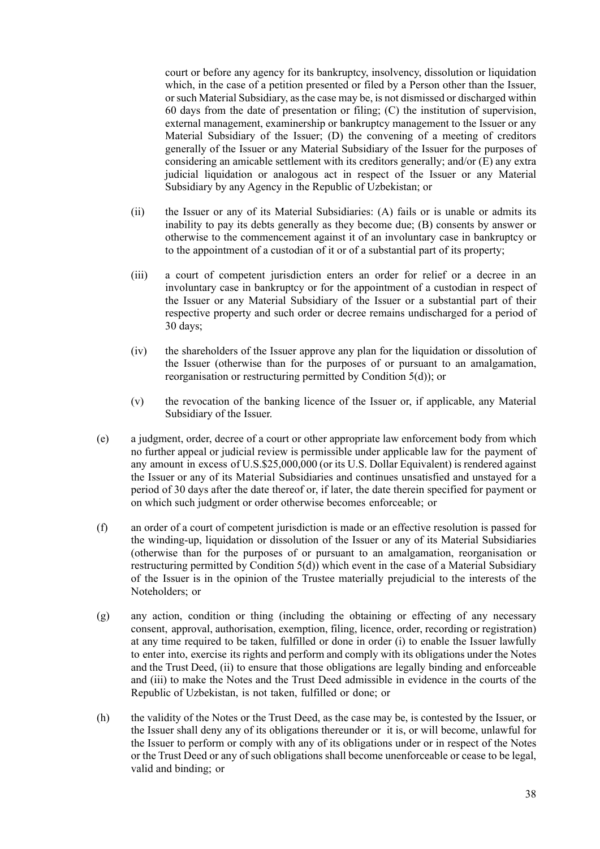court or before any agency for its bankruptcy, insolvency, dissolution or liquidation which, in the case of a petition presented or filed by a Person other than the Issuer, or such Material Subsidiary, as the case may be, is not dismissed or discharged within 60 days from the date of presentation or filing; (C) the institution of supervision, external management, examinership or bankruptcy management to the Issuer or any Material Subsidiary of the Issuer; (D) the convening of a meeting of creditors generally of the Issuer or any Material Subsidiary of the Issuer for the purposes of considering an amicable settlement with its creditors generally; and/or (E) any extra judicial liquidation or analogous act in respect of the Issuer or any Material Subsidiary by any Agency in the Republic of Uzbekistan; or

- (ii) the Issuer or any of its Material Subsidiaries: (A) fails or is unable or admits its inability to pay its debts generally as they become due; (B) consents by answer or otherwise to the commencement against it of an involuntary case in bankruptcy or to the appointment of a custodian of it or of a substantial part of its property;
- (iii) a court of competent jurisdiction enters an order for relief or a decree in an involuntary case in bankruptcy or for the appointment of a custodian in respect of the Issuer or any Material Subsidiary of the Issuer or a substantial part of their respective property and such order or decree remains undischarged for a period of 30 days;
- (iv) the shareholders of the Issuer approve any plan for the liquidation or dissolution of the Issuer (otherwise than for the purposes of or pursuant to an amalgamation, reorganisation or restructuring permitted by Condition 5(d)); or
- (v) the revocation of the banking licence of the Issuer or, if applicable, any Material Subsidiary of the Issuer.
- (e) a judgment, order, decree of a court or other appropriate law enforcement body from which no further appeal or judicial review is permissible under applicable law for the payment of any amount in excess of U.S.\$25,000,000 (or its U.S. Dollar Equivalent) is rendered against the Issuer or any of its Material Subsidiaries and continues unsatisfied and unstayed for a period of 30 days after the date thereof or, if later, the date therein specified for payment or on which such judgment or order otherwise becomes enforceable; or
- (f) an order of a court of competent jurisdiction is made or an effective resolution is passed for the winding-up, liquidation or dissolution of the Issuer or any of its Material Subsidiaries (otherwise than for the purposes of or pursuant to an amalgamation, reorganisation or restructuring permitted by Condition 5(d)) which event in the case of a Material Subsidiary of the Issuer is in the opinion of the Trustee materially prejudicial to the interests of the Noteholders; or
- (g) any action, condition or thing (including the obtaining or effecting of any necessary consent, approval, authorisation, exemption, filing, licence, order, recording or registration) at any time required to be taken, fulfilled or done in order (i) to enable the Issuer lawfully to enter into, exercise its rights and perform and comply with its obligations under the Notes and the Trust Deed, (ii) to ensure that those obligations are legally binding and enforceable and (iii) to make the Notes and the Trust Deed admissible in evidence in the courts of the Republic of Uzbekistan, is not taken, fulfilled or done; or
- (h) the validity of the Notes or the Trust Deed, as the case may be, is contested by the Issuer, or the Issuer shall deny any of its obligations thereunder or it is, or will become, unlawful for the Issuer to perform or comply with any of its obligations under or in respect of the Notes or the Trust Deed or any of such obligations shall become unenforceable or cease to be legal, valid and binding; or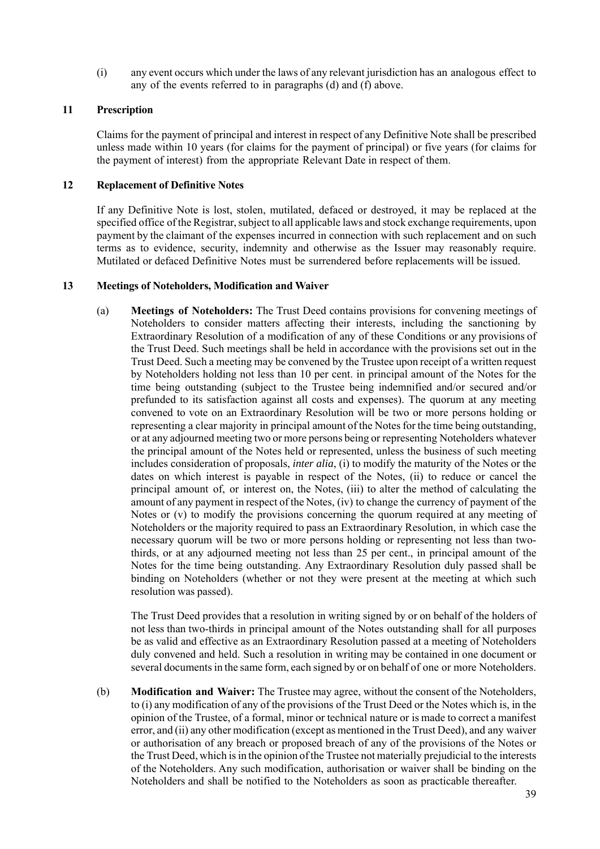(i) any event occurs which under the laws of any relevant jurisdiction has an analogous effect to any of the events referred to in paragraphs (d) and (f) above.

#### **11 Prescription**

Claims for the payment of principal and interest in respect of any Definitive Note shall be prescribed unless made within 10 years (for claims for the payment of principal) or five years (for claims for the payment of interest) from the appropriate Relevant Date in respect of them.

#### **12 Replacement of Definitive Notes**

If any Definitive Note is lost, stolen, mutilated, defaced or destroyed, it may be replaced at the specified office of the Registrar, subject to all applicable laws and stock exchange requirements, upon payment by the claimant of the expenses incurred in connection with such replacement and on such terms as to evidence, security, indemnity and otherwise as the Issuer may reasonably require. Mutilated or defaced Definitive Notes must be surrendered before replacements will be issued.

#### **13 Meetings of Noteholders, Modification and Waiver**

(a) **Meetings of Noteholders:** The Trust Deed contains provisions for convening meetings of Noteholders to consider matters affecting their interests, including the sanctioning by Extraordinary Resolution of a modification of any of these Conditions or any provisions of the Trust Deed. Such meetings shall be held in accordance with the provisions set out in the Trust Deed. Such a meeting may be convened by the Trustee upon receipt of a written request by Noteholders holding not less than 10 per cent. in principal amount of the Notes for the time being outstanding (subject to the Trustee being indemnified and/or secured and/or prefunded to its satisfaction against all costs and expenses). The quorum at any meeting convened to vote on an Extraordinary Resolution will be two or more persons holding or representing a clear majority in principal amount of the Notes for the time being outstanding, or at any adjourned meeting two or more persons being or representing Noteholders whatever the principal amount of the Notes held or represented, unless the business of such meeting includes consideration of proposals, *inter alia*, (i) to modify the maturity of the Notes or the dates on which interest is payable in respect of the Notes, (ii) to reduce or cancel the principal amount of, or interest on, the Notes, (iii) to alter the method of calculating the amount of any payment in respect of the Notes, (iv) to change the currency of payment of the Notes or (v) to modify the provisions concerning the quorum required at any meeting of Noteholders or the majority required to pass an Extraordinary Resolution, in which case the necessary quorum will be two or more persons holding or representing not less than twothirds, or at any adjourned meeting not less than 25 per cent., in principal amount of the Notes for the time being outstanding. Any Extraordinary Resolution duly passed shall be binding on Noteholders (whether or not they were present at the meeting at which such resolution was passed).

The Trust Deed provides that a resolution in writing signed by or on behalf of the holders of not less than two-thirds in principal amount of the Notes outstanding shall for all purposes be as valid and effective as an Extraordinary Resolution passed at a meeting of Noteholders duly convened and held. Such a resolution in writing may be contained in one document or several documents in the same form, each signed by or on behalf of one or more Noteholders.

(b) **Modification and Waiver:** The Trustee may agree, without the consent of the Noteholders, to (i) any modification of any of the provisions of the Trust Deed or the Notes which is, in the opinion of the Trustee, of a formal, minor or technical nature or is made to correct a manifest error, and (ii) any other modification (except as mentioned in the Trust Deed), and any waiver or authorisation of any breach or proposed breach of any of the provisions of the Notes or the Trust Deed, which is in the opinion of the Trustee not materially prejudicial to the interests of the Noteholders. Any such modification, authorisation or waiver shall be binding on the Noteholders and shall be notified to the Noteholders as soon as practicable thereafter.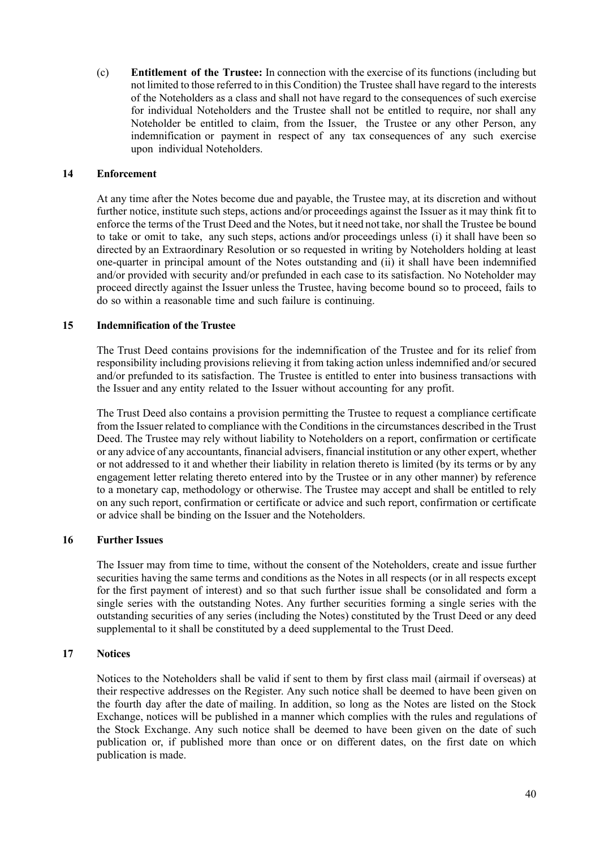(c) **Entitlement of the Trustee:** In connection with the exercise of its functions (including but not limited to those referred to in this Condition) the Trustee shall have regard to the interests of the Noteholders as a class and shall not have regard to the consequences of such exercise for individual Noteholders and the Trustee shall not be entitled to require, nor shall any Noteholder be entitled to claim, from the Issuer, the Trustee or any other Person, any indemnification or payment in respect of any tax consequences of any such exercise upon individual Noteholders.

### **14 Enforcement**

At any time after the Notes become due and payable, the Trustee may, at its discretion and without further notice, institute such steps, actions and/or proceedings against the Issuer as it may think fit to enforce the terms of the Trust Deed and the Notes, but it need not take, nor shall the Trustee be bound to take or omit to take, any such steps, actions and/or proceedings unless (i) it shall have been so directed by an Extraordinary Resolution or so requested in writing by Noteholders holding at least one-quarter in principal amount of the Notes outstanding and (ii) it shall have been indemnified and/or provided with security and/or prefunded in each case to its satisfaction. No Noteholder may proceed directly against the Issuer unless the Trustee, having become bound so to proceed, fails to do so within a reasonable time and such failure is continuing.

#### **15 Indemnification of the Trustee**

The Trust Deed contains provisions for the indemnification of the Trustee and for its relief from responsibility including provisions relieving it from taking action unless indemnified and/or secured and/or prefunded to its satisfaction. The Trustee is entitled to enter into business transactions with the Issuer and any entity related to the Issuer without accounting for any profit.

The Trust Deed also contains a provision permitting the Trustee to request a compliance certificate from the Issuer related to compliance with the Conditions in the circumstances described in the Trust Deed. The Trustee may rely without liability to Noteholders on a report, confirmation or certificate or any advice of any accountants, financial advisers, financial institution or any other expert, whether or not addressed to it and whether their liability in relation thereto is limited (by its terms or by any engagement letter relating thereto entered into by the Trustee or in any other manner) by reference to a monetary cap, methodology or otherwise. The Trustee may accept and shall be entitled to rely on any such report, confirmation or certificate or advice and such report, confirmation or certificate or advice shall be binding on the Issuer and the Noteholders.

#### **16 Further Issues**

The Issuer may from time to time, without the consent of the Noteholders, create and issue further securities having the same terms and conditions as the Notes in all respects (or in all respects except for the first payment of interest) and so that such further issue shall be consolidated and form a single series with the outstanding Notes. Any further securities forming a single series with the outstanding securities of any series (including the Notes) constituted by the Trust Deed or any deed supplemental to it shall be constituted by a deed supplemental to the Trust Deed.

#### **17 Notices**

Notices to the Noteholders shall be valid if sent to them by first class mail (airmail if overseas) at their respective addresses on the Register. Any such notice shall be deemed to have been given on the fourth day after the date of mailing. In addition, so long as the Notes are listed on the Stock Exchange, notices will be published in a manner which complies with the rules and regulations of the Stock Exchange. Any such notice shall be deemed to have been given on the date of such publication or, if published more than once or on different dates, on the first date on which publication is made.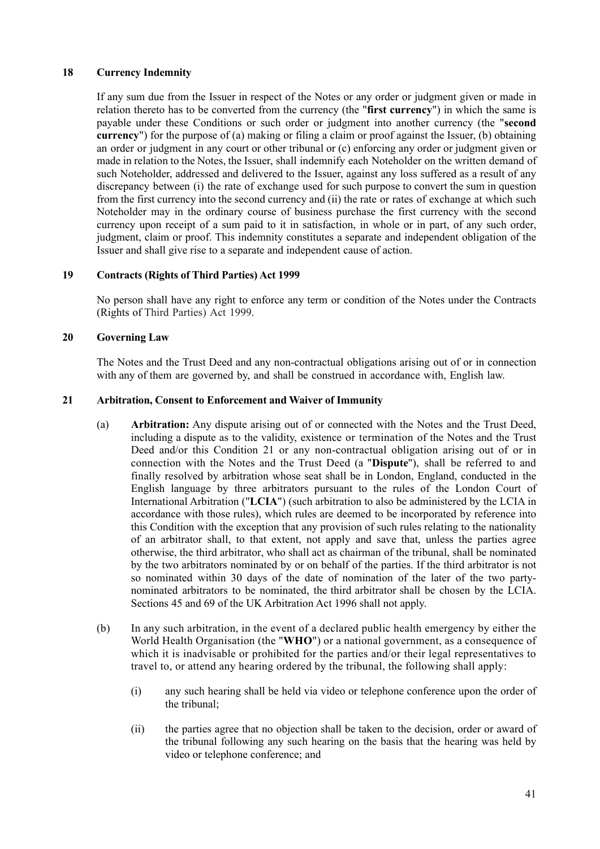## **18 Currency Indemnity**

If any sum due from the Issuer in respect of the Notes or any order or judgment given or made in relation thereto has to be converted from the currency (the "**first currency**") in which the same is payable under these Conditions or such order or judgment into another currency (the "**second currency**") for the purpose of (a) making or filing a claim or proof against the Issuer, (b) obtaining an order or judgment in any court or other tribunal or (c) enforcing any order or judgment given or made in relation to the Notes, the Issuer, shall indemnify each Noteholder on the written demand of such Noteholder, addressed and delivered to the Issuer, against any loss suffered as a result of any discrepancy between (i) the rate of exchange used for such purpose to convert the sum in question from the first currency into the second currency and (ii) the rate or rates of exchange at which such Noteholder may in the ordinary course of business purchase the first currency with the second currency upon receipt of a sum paid to it in satisfaction, in whole or in part, of any such order, judgment, claim or proof. This indemnity constitutes a separate and independent obligation of the Issuer and shall give rise to a separate and independent cause of action.

## **19 Contracts (Rights of Third Parties) Act 1999**

No person shall have any right to enforce any term or condition of the Notes under the Contracts (Rights of Third Parties) Act 1999.

#### **20 Governing Law**

The Notes and the Trust Deed and any non-contractual obligations arising out of or in connection with any of them are governed by, and shall be construed in accordance with, English law.

#### **21 Arbitration, Consent to Enforcement and Waiver of Immunity**

- (a) **Arbitration:** Any dispute arising out of or connected with the Notes and the Trust Deed, including a dispute as to the validity, existence or termination of the Notes and the Trust Deed and/or this Condition 21 or any non-contractual obligation arising out of or in connection with the Notes and the Trust Deed (a "**Dispute**"), shall be referred to and finally resolved by arbitration whose seat shall be in London, England, conducted in the English language by three arbitrators pursuant to the rules of the London Court of International Arbitration ("**LCIA**") (such arbitration to also be administered by the LCIA in accordance with those rules), which rules are deemed to be incorporated by reference into this Condition with the exception that any provision of such rules relating to the nationality of an arbitrator shall, to that extent, not apply and save that, unless the parties agree otherwise, the third arbitrator, who shall act as chairman of the tribunal, shall be nominated by the two arbitrators nominated by or on behalf of the parties. If the third arbitrator is not so nominated within 30 days of the date of nomination of the later of the two partynominated arbitrators to be nominated, the third arbitrator shall be chosen by the LCIA. Sections 45 and 69 of the UK Arbitration Act 1996 shall not apply.
- (b) In any such arbitration, in the event of a declared public health emergency by either the World Health Organisation (the "**WHO**") or a national government, as a consequence of which it is inadvisable or prohibited for the parties and/or their legal representatives to travel to, or attend any hearing ordered by the tribunal, the following shall apply:
	- (i) any such hearing shall be held via video or telephone conference upon the order of the tribunal;
	- (ii) the parties agree that no objection shall be taken to the decision, order or award of the tribunal following any such hearing on the basis that the hearing was held by video or telephone conference; and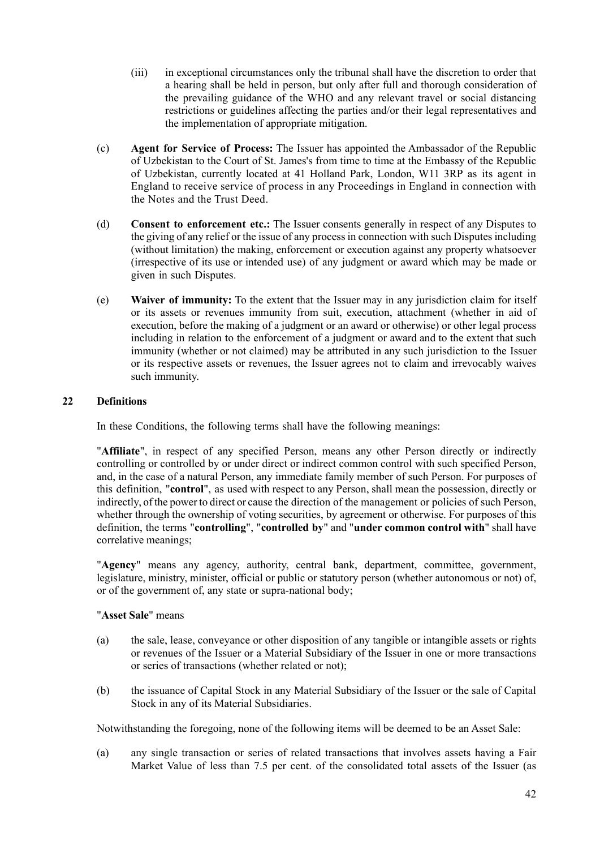- (iii) in exceptional circumstances only the tribunal shall have the discretion to order that a hearing shall be held in person, but only after full and thorough consideration of the prevailing guidance of the WHO and any relevant travel or social distancing restrictions or guidelines affecting the parties and/or their legal representatives and the implementation of appropriate mitigation.
- (c) **Agent for Service of Process:** The Issuer has appointed the Ambassador of the Republic of Uzbekistan to the Court of St. James's from time to time at the Embassy of the Republic of Uzbekistan, currently located at 41 Holland Park, London, W11 3RP as its agent in England to receive service of process in any Proceedings in England in connection with the Notes and the Trust Deed.
- (d) **Consent to enforcement etc.:** The Issuer consents generally in respect of any Disputes to the giving of any relief or the issue of any process in connection with such Disputes including (without limitation) the making, enforcement or execution against any property whatsoever (irrespective of its use or intended use) of any judgment or award which may be made or given in such Disputes.
- (e) **Waiver of immunity:** To the extent that the Issuer may in any jurisdiction claim for itself or its assets or revenues immunity from suit, execution, attachment (whether in aid of execution, before the making of a judgment or an award or otherwise) or other legal process including in relation to the enforcement of a judgment or award and to the extent that such immunity (whether or not claimed) may be attributed in any such jurisdiction to the Issuer or its respective assets or revenues, the Issuer agrees not to claim and irrevocably waives such immunity.

## **22 Definitions**

In these Conditions, the following terms shall have the following meanings:

"**Affiliate**", in respect of any specified Person, means any other Person directly or indirectly controlling or controlled by or under direct or indirect common control with such specified Person, and, in the case of a natural Person, any immediate family member of such Person. For purposes of this definition, "**control**", as used with respect to any Person, shall mean the possession, directly or indirectly, of the power to direct or cause the direction of the management or policies of such Person, whether through the ownership of voting securities, by agreement or otherwise. For purposes of this definition, the terms "**controlling**", "**controlled by**" and "**under common control with**" shall have correlative meanings;

"**Agency**" means any agency, authority, central bank, department, committee, government, legislature, ministry, minister, official or public or statutory person (whether autonomous or not) of, or of the government of, any state or supra-national body;

### "**Asset Sale**" means

- (a) the sale, lease, conveyance or other disposition of any tangible or intangible assets or rights or revenues of the Issuer or a Material Subsidiary of the Issuer in one or more transactions or series of transactions (whether related or not);
- (b) the issuance of Capital Stock in any Material Subsidiary of the Issuer or the sale of Capital Stock in any of its Material Subsidiaries.

Notwithstanding the foregoing, none of the following items will be deemed to be an Asset Sale:

(a) any single transaction or series of related transactions that involves assets having a Fair Market Value of less than 7.5 per cent. of the consolidated total assets of the Issuer (as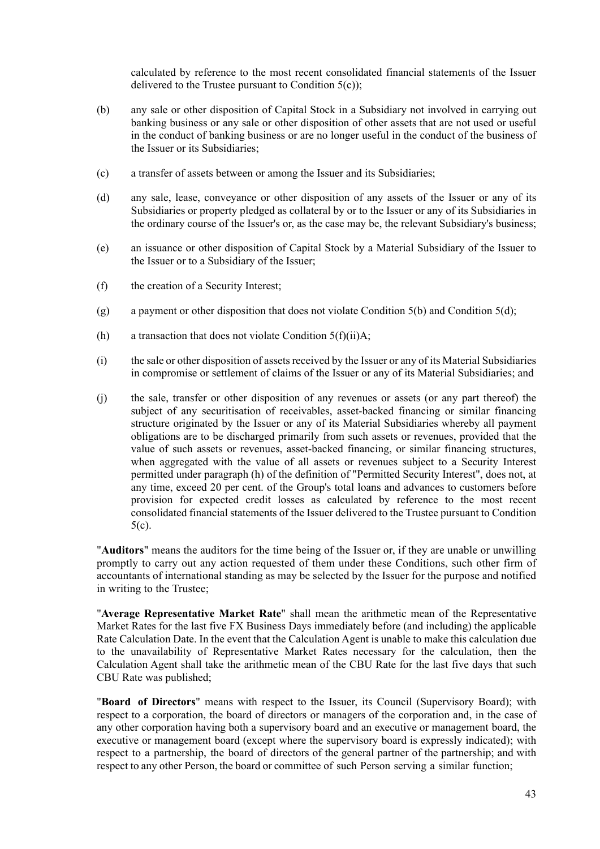calculated by reference to the most recent consolidated financial statements of the Issuer delivered to the Trustee pursuant to Condition 5(c));

- (b) any sale or other disposition of Capital Stock in a Subsidiary not involved in carrying out banking business or any sale or other disposition of other assets that are not used or useful in the conduct of banking business or are no longer useful in the conduct of the business of the Issuer or its Subsidiaries;
- (c) a transfer of assets between or among the Issuer and its Subsidiaries;
- (d) any sale, lease, conveyance or other disposition of any assets of the Issuer or any of its Subsidiaries or property pledged as collateral by or to the Issuer or any of its Subsidiaries in the ordinary course of the Issuer's or, as the case may be, the relevant Subsidiary's business;
- (e) an issuance or other disposition of Capital Stock by a Material Subsidiary of the Issuer to the Issuer or to a Subsidiary of the Issuer;
- (f) the creation of a Security Interest;
- (g) a payment or other disposition that does not violate Condition 5(b) and Condition 5(d);
- (h) a transaction that does not violate Condition  $5(f)(ii)A$ ;
- (i) the sale or other disposition of assets received by the Issuer or any of its Material Subsidiaries in compromise or settlement of claims of the Issuer or any of its Material Subsidiaries; and
- (j) the sale, transfer or other disposition of any revenues or assets (or any part thereof) the subject of any securitisation of receivables, asset-backed financing or similar financing structure originated by the Issuer or any of its Material Subsidiaries whereby all payment obligations are to be discharged primarily from such assets or revenues, provided that the value of such assets or revenues, asset-backed financing, or similar financing structures, when aggregated with the value of all assets or revenues subject to a Security Interest permitted under paragraph (h) of the definition of "Permitted Security Interest", does not, at any time, exceed 20 per cent. of the Group's total loans and advances to customers before provision for expected credit losses as calculated by reference to the most recent consolidated financial statements of the Issuer delivered to the Trustee pursuant to Condition 5(c).

"**Auditors**" means the auditors for the time being of the Issuer or, if they are unable or unwilling promptly to carry out any action requested of them under these Conditions, such other firm of accountants of international standing as may be selected by the Issuer for the purpose and notified in writing to the Trustee;

"**Average Representative Market Rate**" shall mean the arithmetic mean of the Representative Market Rates for the last five FX Business Days immediately before (and including) the applicable Rate Calculation Date. In the event that the Calculation Agent is unable to make this calculation due to the unavailability of Representative Market Rates necessary for the calculation, then the Calculation Agent shall take the arithmetic mean of the CBU Rate for the last five days that such CBU Rate was published;

"**Board of Directors**" means with respect to the Issuer, its Council (Supervisory Board); with respect to a corporation, the board of directors or managers of the corporation and, in the case of any other corporation having both a supervisory board and an executive or management board, the executive or management board (except where the supervisory board is expressly indicated); with respect to a partnership, the board of directors of the general partner of the partnership; and with respect to any other Person, the board or committee of such Person serving a similar function;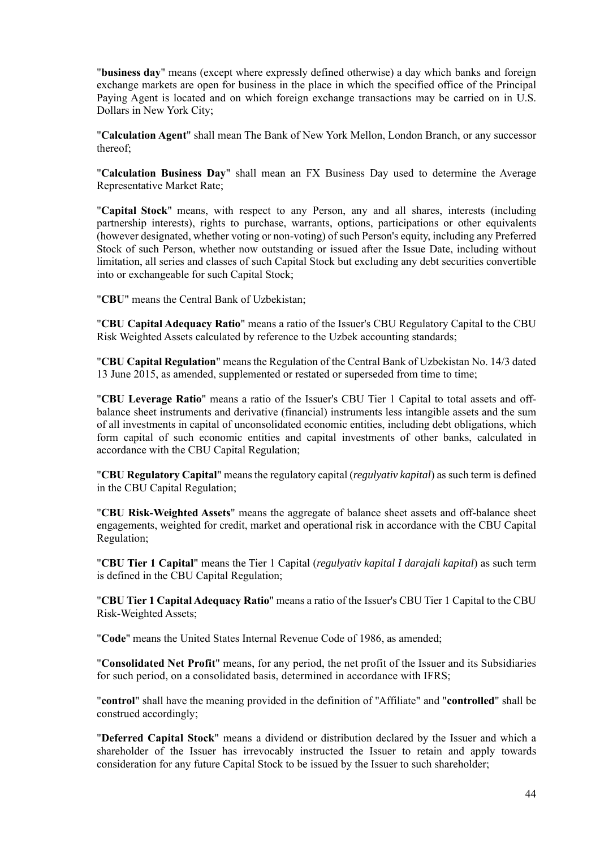"**business day**" means (except where expressly defined otherwise) a day which banks and foreign exchange markets are open for business in the place in which the specified office of the Principal Paying Agent is located and on which foreign exchange transactions may be carried on in U.S. Dollars in New York City;

"**Calculation Agent**" shall mean The Bank of New York Mellon, London Branch, or any successor thereof;

"**Calculation Business Day**" shall mean an FX Business Day used to determine the Average Representative Market Rate;

"**Capital Stock**" means, with respect to any Person, any and all shares, interests (including partnership interests), rights to purchase, warrants, options, participations or other equivalents (however designated, whether voting or non-voting) of such Person's equity, including any Preferred Stock of such Person, whether now outstanding or issued after the Issue Date, including without limitation, all series and classes of such Capital Stock but excluding any debt securities convertible into or exchangeable for such Capital Stock;

"**CBU**" means the Central Bank of Uzbekistan;

"**CBU Capital Adequacy Ratio**" means a ratio of the Issuer's CBU Regulatory Capital to the CBU Risk Weighted Assets calculated by reference to the Uzbek accounting standards;

"**CBU Capital Regulation**" means the Regulation of the Central Bank of Uzbekistan No. 14/3 dated 13 June 2015, as amended, supplemented or restated or superseded from time to time;

"**CBU Leverage Ratio**" means a ratio of the Issuer's CBU Tier 1 Capital to total assets and offbalance sheet instruments and derivative (financial) instruments less intangible assets and the sum of all investments in capital of unconsolidated economic entities, including debt obligations, which form capital of such economic entities and capital investments of other banks, calculated in accordance with the CBU Capital Regulation;

"**CBU Regulatory Capital**" means the regulatory capital (*regulyativ kapital*) as such term is defined in the CBU Capital Regulation;

"**CBU Risk-Weighted Assets**" means the aggregate of balance sheet assets and off-balance sheet engagements, weighted for credit, market and operational risk in accordance with the CBU Capital Regulation;

"**CBU Tier 1 Capital**" means the Tier 1 Capital (*regulyativ kapital I darajali kapital*) as such term is defined in the CBU Capital Regulation;

"**CBU Tier 1 Capital Adequacy Ratio**" means a ratio of the Issuer's CBU Tier 1 Capital to the CBU Risk-Weighted Assets;

"**Code**" means the United States Internal Revenue Code of 1986, as amended;

"**Consolidated Net Profit**" means, for any period, the net profit of the Issuer and its Subsidiaries for such period, on a consolidated basis, determined in accordance with IFRS;

"**control**" shall have the meaning provided in the definition of "Affiliate" and "**controlled**" shall be construed accordingly;

"**Deferred Capital Stock**" means a dividend or distribution declared by the Issuer and which a shareholder of the Issuer has irrevocably instructed the Issuer to retain and apply towards consideration for any future Capital Stock to be issued by the Issuer to such shareholder;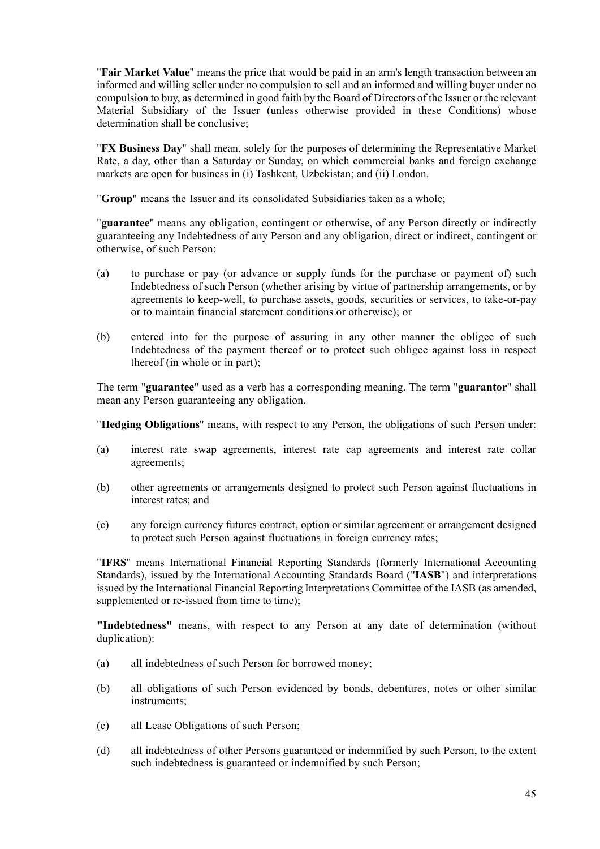"**Fair Market Value**" means the price that would be paid in an arm's length transaction between an informed and willing seller under no compulsion to sell and an informed and willing buyer under no compulsion to buy, as determined in good faith by the Board of Directors of the Issuer or the relevant Material Subsidiary of the Issuer (unless otherwise provided in these Conditions) whose determination shall be conclusive;

"**FX Business Day**" shall mean, solely for the purposes of determining the Representative Market Rate, a day, other than a Saturday or Sunday, on which commercial banks and foreign exchange markets are open for business in (i) Tashkent, Uzbekistan; and (ii) London.

"**Group**" means the Issuer and its consolidated Subsidiaries taken as a whole;

"**guarantee**" means any obligation, contingent or otherwise, of any Person directly or indirectly guaranteeing any Indebtedness of any Person and any obligation, direct or indirect, contingent or otherwise, of such Person:

- (a) to purchase or pay (or advance or supply funds for the purchase or payment of) such Indebtedness of such Person (whether arising by virtue of partnership arrangements, or by agreements to keep-well, to purchase assets, goods, securities or services, to take-or-pay or to maintain financial statement conditions or otherwise); or
- (b) entered into for the purpose of assuring in any other manner the obligee of such Indebtedness of the payment thereof or to protect such obligee against loss in respect thereof (in whole or in part);

The term "**guarantee**" used as a verb has a corresponding meaning. The term "**guarantor**" shall mean any Person guaranteeing any obligation.

"**Hedging Obligations**" means, with respect to any Person, the obligations of such Person under:

- (a) interest rate swap agreements, interest rate cap agreements and interest rate collar agreements;
- (b) other agreements or arrangements designed to protect such Person against fluctuations in interest rates; and
- (c) any foreign currency futures contract, option or similar agreement or arrangement designed to protect such Person against fluctuations in foreign currency rates;

"**IFRS**" means International Financial Reporting Standards (formerly International Accounting Standards), issued by the International Accounting Standards Board ("**IASB**") and interpretations issued by the International Financial Reporting Interpretations Committee of the IASB (as amended, supplemented or re-issued from time to time);

**"Indebtedness"** means, with respect to any Person at any date of determination (without duplication):

- (a) all indebtedness of such Person for borrowed money;
- (b) all obligations of such Person evidenced by bonds, debentures, notes or other similar instruments;
- (c) all Lease Obligations of such Person;
- (d) all indebtedness of other Persons guaranteed or indemnified by such Person, to the extent such indebtedness is guaranteed or indemnified by such Person;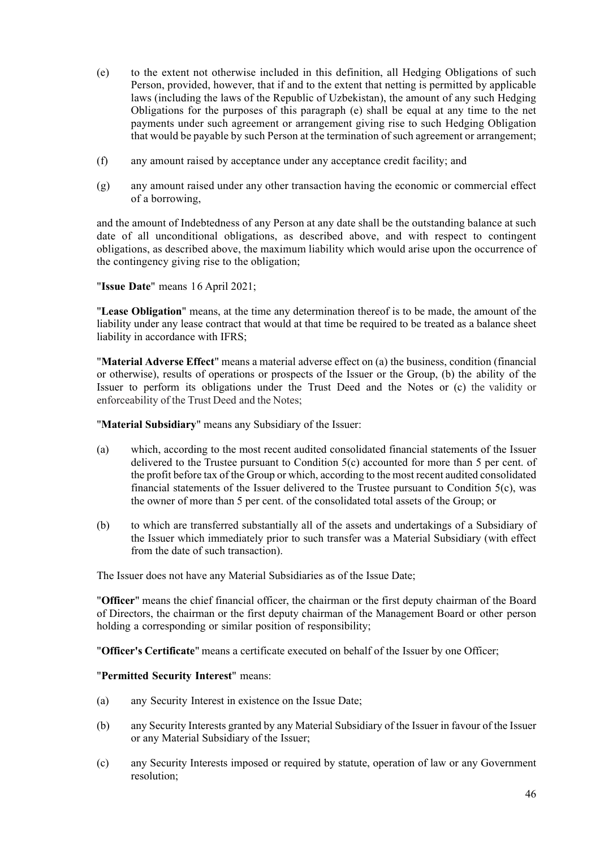- (e) to the extent not otherwise included in this definition, all Hedging Obligations of such Person, provided, however, that if and to the extent that netting is permitted by applicable laws (including the laws of the Republic of Uzbekistan), the amount of any such Hedging Obligations for the purposes of this paragraph (e) shall be equal at any time to the net payments under such agreement or arrangement giving rise to such Hedging Obligation that would be payable by such Person at the termination of such agreement or arrangement;
- (f) any amount raised by acceptance under any acceptance credit facility; and
- (g) any amount raised under any other transaction having the economic or commercial effect of a borrowing,

and the amount of Indebtedness of any Person at any date shall be the outstanding balance at such date of all unconditional obligations, as described above, and with respect to contingent obligations, as described above, the maximum liability which would arise upon the occurrence of the contingency giving rise to the obligation;

"**Issue Date**" means 16 April 2021;

"**Lease Obligation**" means, at the time any determination thereof is to be made, the amount of the liability under any lease contract that would at that time be required to be treated as a balance sheet liability in accordance with IFRS;

"**Material Adverse Effect**" means a material adverse effect on (a) the business, condition (financial or otherwise), results of operations or prospects of the Issuer or the Group, (b) the ability of the Issuer to perform its obligations under the Trust Deed and the Notes or (c) the validity or enforceability of the Trust Deed and the Notes;

"**Material Subsidiary**" means any Subsidiary of the Issuer:

- (a) which, according to the most recent audited consolidated financial statements of the Issuer delivered to the Trustee pursuant to Condition 5(c) accounted for more than 5 per cent. of the profit before tax of the Group or which, according to the most recent audited consolidated financial statements of the Issuer delivered to the Trustee pursuant to Condition 5(c), was the owner of more than 5 per cent. of the consolidated total assets of the Group; or
- (b) to which are transferred substantially all of the assets and undertakings of a Subsidiary of the Issuer which immediately prior to such transfer was a Material Subsidiary (with effect from the date of such transaction).

The Issuer does not have any Material Subsidiaries as of the Issue Date;

"**Officer**" means the chief financial officer, the chairman or the first deputy chairman of the Board of Directors, the chairman or the first deputy chairman of the Management Board or other person holding a corresponding or similar position of responsibility;

"**Officer's Certificate**" means a certificate executed on behalf of the Issuer by one Officer;

#### "**Permitted Security Interest**" means:

- (a) any Security Interest in existence on the Issue Date;
- (b) any Security Interests granted by any Material Subsidiary of the Issuer in favour of the Issuer or any Material Subsidiary of the Issuer;
- (c) any Security Interests imposed or required by statute, operation of law or any Government resolution;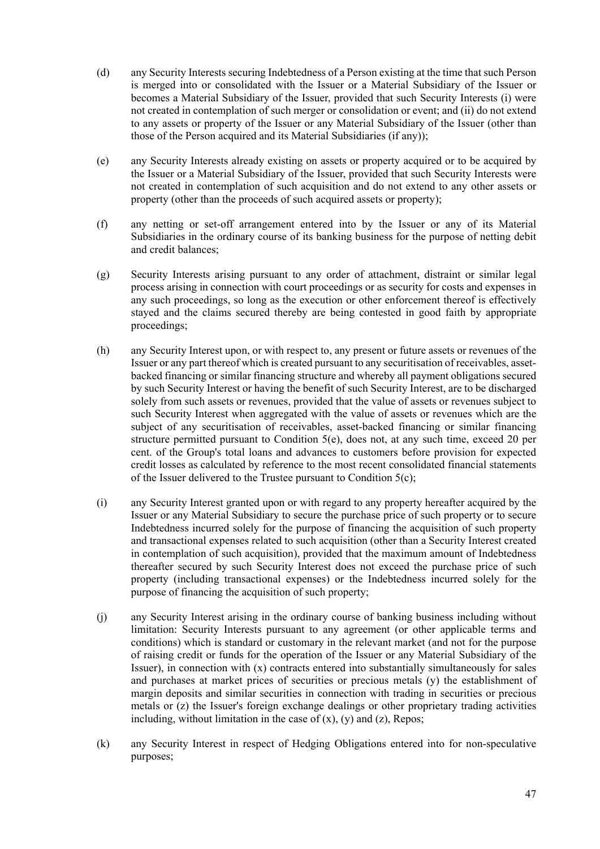- (d) any Security Interests securing Indebtedness of a Person existing at the time that such Person is merged into or consolidated with the Issuer or a Material Subsidiary of the Issuer or becomes a Material Subsidiary of the Issuer, provided that such Security Interests (i) were not created in contemplation of such merger or consolidation or event; and (ii) do not extend to any assets or property of the Issuer or any Material Subsidiary of the Issuer (other than those of the Person acquired and its Material Subsidiaries (if any));
- (e) any Security Interests already existing on assets or property acquired or to be acquired by the Issuer or a Material Subsidiary of the Issuer, provided that such Security Interests were not created in contemplation of such acquisition and do not extend to any other assets or property (other than the proceeds of such acquired assets or property);
- (f) any netting or set-off arrangement entered into by the Issuer or any of its Material Subsidiaries in the ordinary course of its banking business for the purpose of netting debit and credit balances;
- (g) Security Interests arising pursuant to any order of attachment, distraint or similar legal process arising in connection with court proceedings or as security for costs and expenses in any such proceedings, so long as the execution or other enforcement thereof is effectively stayed and the claims secured thereby are being contested in good faith by appropriate proceedings;
- (h) any Security Interest upon, or with respect to, any present or future assets or revenues of the Issuer or any part thereof which is created pursuant to any securitisation of receivables, assetbacked financing or similar financing structure and whereby all payment obligations secured by such Security Interest or having the benefit of such Security Interest, are to be discharged solely from such assets or revenues, provided that the value of assets or revenues subject to such Security Interest when aggregated with the value of assets or revenues which are the subject of any securitisation of receivables, asset-backed financing or similar financing structure permitted pursuant to Condition 5(e), does not, at any such time, exceed 20 per cent. of the Group's total loans and advances to customers before provision for expected credit losses as calculated by reference to the most recent consolidated financial statements of the Issuer delivered to the Trustee pursuant to Condition 5(c);
- (i) any Security Interest granted upon or with regard to any property hereafter acquired by the Issuer or any Material Subsidiary to secure the purchase price of such property or to secure Indebtedness incurred solely for the purpose of financing the acquisition of such property and transactional expenses related to such acquisition (other than a Security Interest created in contemplation of such acquisition), provided that the maximum amount of Indebtedness thereafter secured by such Security Interest does not exceed the purchase price of such property (including transactional expenses) or the Indebtedness incurred solely for the purpose of financing the acquisition of such property;
- (j) any Security Interest arising in the ordinary course of banking business including without limitation: Security Interests pursuant to any agreement (or other applicable terms and conditions) which is standard or customary in the relevant market (and not for the purpose of raising credit or funds for the operation of the Issuer or any Material Subsidiary of the Issuer), in connection with  $(x)$  contracts entered into substantially simultaneously for sales and purchases at market prices of securities or precious metals (y) the establishment of margin deposits and similar securities in connection with trading in securities or precious metals or (z) the Issuer's foreign exchange dealings or other proprietary trading activities including, without limitation in the case of  $(x)$ ,  $(y)$  and  $(z)$ , Repos;
- (k) any Security Interest in respect of Hedging Obligations entered into for non-speculative purposes;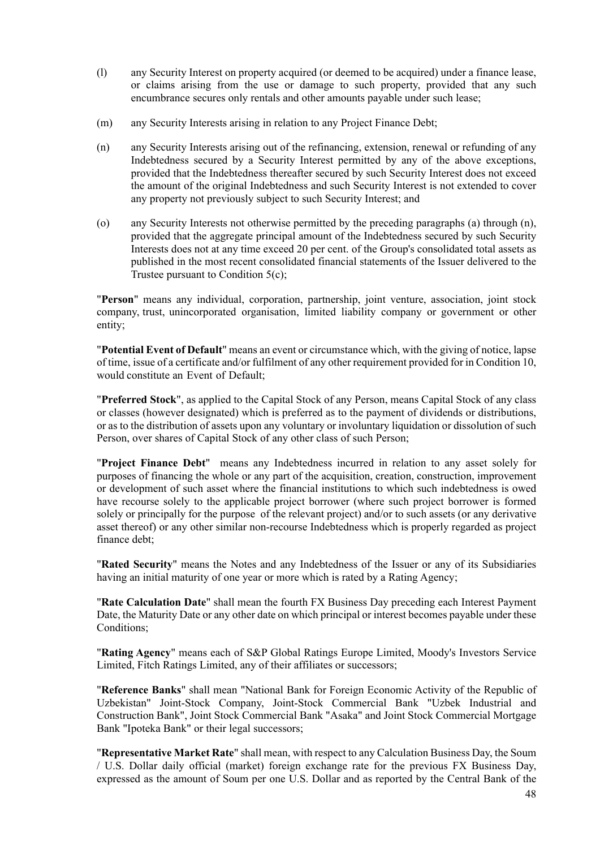- (l) any Security Interest on property acquired (or deemed to be acquired) under a finance lease, or claims arising from the use or damage to such property, provided that any such encumbrance secures only rentals and other amounts payable under such lease;
- (m) any Security Interests arising in relation to any Project Finance Debt;
- (n) any Security Interests arising out of the refinancing, extension, renewal or refunding of any Indebtedness secured by a Security Interest permitted by any of the above exceptions, provided that the Indebtedness thereafter secured by such Security Interest does not exceed the amount of the original Indebtedness and such Security Interest is not extended to cover any property not previously subject to such Security Interest; and
- (o) any Security Interests not otherwise permitted by the preceding paragraphs (a) through (n), provided that the aggregate principal amount of the Indebtedness secured by such Security Interests does not at any time exceed 20 per cent. of the Group's consolidated total assets as published in the most recent consolidated financial statements of the Issuer delivered to the Trustee pursuant to Condition 5(c);

"**Person**" means any individual, corporation, partnership, joint venture, association, joint stock company, trust, unincorporated organisation, limited liability company or government or other entity;

"**Potential Event of Default**" means an event or circumstance which, with the giving of notice, lapse of time, issue of a certificate and/or fulfilment of any other requirement provided for in Condition 10, would constitute an Event of Default;

"**Preferred Stock**", as applied to the Capital Stock of any Person, means Capital Stock of any class or classes (however designated) which is preferred as to the payment of dividends or distributions, or as to the distribution of assets upon any voluntary or involuntary liquidation or dissolution of such Person, over shares of Capital Stock of any other class of such Person;

"**Project Finance Debt**" means any Indebtedness incurred in relation to any asset solely for purposes of financing the whole or any part of the acquisition, creation, construction, improvement or development of such asset where the financial institutions to which such indebtedness is owed have recourse solely to the applicable project borrower (where such project borrower is formed solely or principally for the purpose of the relevant project) and/or to such assets (or any derivative asset thereof) or any other similar non-recourse Indebtedness which is properly regarded as project finance debt;

"**Rated Security**" means the Notes and any Indebtedness of the Issuer or any of its Subsidiaries having an initial maturity of one year or more which is rated by a Rating Agency;

"**Rate Calculation Date**" shall mean the fourth FX Business Day preceding each Interest Payment Date, the Maturity Date or any other date on which principal or interest becomes payable under these Conditions;

"**Rating Agency**" means each of S&P Global Ratings Europe Limited, Moody's Investors Service Limited, Fitch Ratings Limited, any of their affiliates or successors;

"**Reference Banks**" shall mean "National Bank for Foreign Economic Activity of the Republic of Uzbekistan" Joint-Stock Company, Joint-Stock Commercial Bank "Uzbek Industrial and Construction Bank", Joint Stock Commercial Bank "Asaka" and Joint Stock Commercial Mortgage Bank "Ipoteka Bank" or their legal successors;

"**Representative Market Rate**" shall mean, with respect to any Calculation Business Day, the Soum / U.S. Dollar daily official (market) foreign exchange rate for the previous FX Business Day, expressed as the amount of Soum per one U.S. Dollar and as reported by the Central Bank of the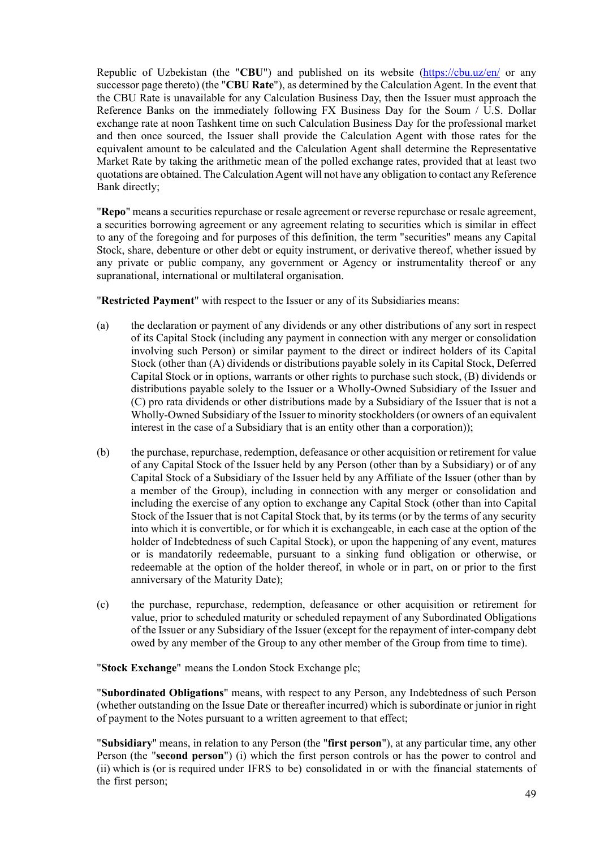Republic of Uzbekistan (the "**CBU**") and published on its website (https://cbu.uz/en/ or any successor page thereto) (the "**CBU Rate**"), as determined by the Calculation Agent. In the event that the CBU Rate is unavailable for any Calculation Business Day, then the Issuer must approach the Reference Banks on the immediately following FX Business Day for the Soum / U.S. Dollar exchange rate at noon Tashkent time on such Calculation Business Day for the professional market and then once sourced, the Issuer shall provide the Calculation Agent with those rates for the equivalent amount to be calculated and the Calculation Agent shall determine the Representative Market Rate by taking the arithmetic mean of the polled exchange rates, provided that at least two quotations are obtained. The Calculation Agent will not have any obligation to contact any Reference Bank directly;

"**Repo**" means a securities repurchase or resale agreement or reverse repurchase or resale agreement, a securities borrowing agreement or any agreement relating to securities which is similar in effect to any of the foregoing and for purposes of this definition, the term "securities" means any Capital Stock, share, debenture or other debt or equity instrument, or derivative thereof, whether issued by any private or public company, any government or Agency or instrumentality thereof or any supranational, international or multilateral organisation.

"**Restricted Payment**" with respect to the Issuer or any of its Subsidiaries means:

- (a) the declaration or payment of any dividends or any other distributions of any sort in respect of its Capital Stock (including any payment in connection with any merger or consolidation involving such Person) or similar payment to the direct or indirect holders of its Capital Stock (other than (A) dividends or distributions payable solely in its Capital Stock, Deferred Capital Stock or in options, warrants or other rights to purchase such stock, (B) dividends or distributions payable solely to the Issuer or a Wholly-Owned Subsidiary of the Issuer and (C) pro rata dividends or other distributions made by a Subsidiary of the Issuer that is not a Wholly-Owned Subsidiary of the Issuer to minority stockholders (or owners of an equivalent interest in the case of a Subsidiary that is an entity other than a corporation));
- (b) the purchase, repurchase, redemption, defeasance or other acquisition or retirement for value of any Capital Stock of the Issuer held by any Person (other than by a Subsidiary) or of any Capital Stock of a Subsidiary of the Issuer held by any Affiliate of the Issuer (other than by a member of the Group), including in connection with any merger or consolidation and including the exercise of any option to exchange any Capital Stock (other than into Capital Stock of the Issuer that is not Capital Stock that, by its terms (or by the terms of any security into which it is convertible, or for which it is exchangeable, in each case at the option of the holder of Indebtedness of such Capital Stock), or upon the happening of any event, matures or is mandatorily redeemable, pursuant to a sinking fund obligation or otherwise, or redeemable at the option of the holder thereof, in whole or in part, on or prior to the first anniversary of the Maturity Date);
- (c) the purchase, repurchase, redemption, defeasance or other acquisition or retirement for value, prior to scheduled maturity or scheduled repayment of any Subordinated Obligations of the Issuer or any Subsidiary of the Issuer (except for the repayment of inter-company debt owed by any member of the Group to any other member of the Group from time to time).

"**Stock Exchange**" means the London Stock Exchange plc;

"**Subordinated Obligations**" means, with respect to any Person, any Indebtedness of such Person (whether outstanding on the Issue Date or thereafter incurred) which is subordinate or junior in right of payment to the Notes pursuant to a written agreement to that effect;

"**Subsidiary**" means, in relation to any Person (the "**first person**"), at any particular time, any other Person (the "**second person**") (i) which the first person controls or has the power to control and (ii) which is (or is required under IFRS to be) consolidated in or with the financial statements of the first person;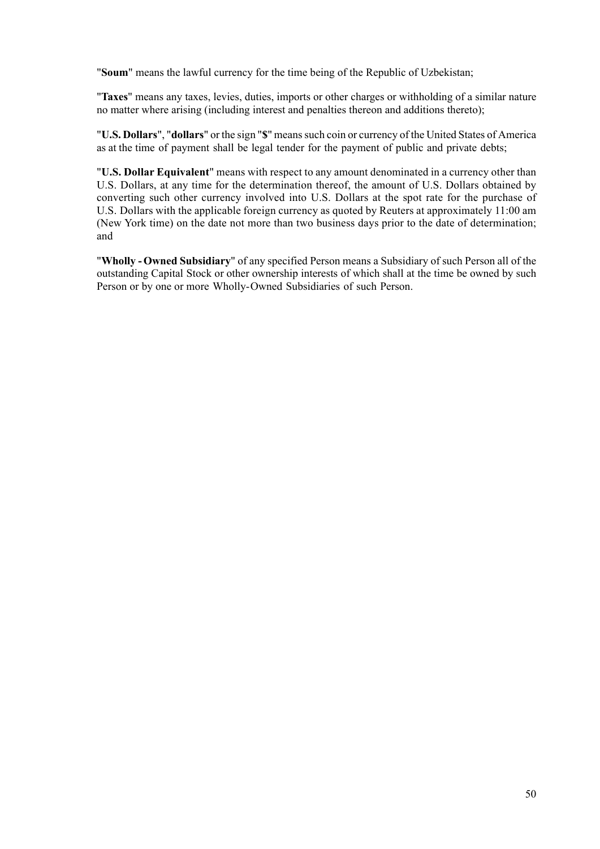"**Soum**" means the lawful currency for the time being of the Republic of Uzbekistan;

"**Taxes**" means any taxes, levies, duties, imports or other charges or withholding of a similar nature no matter where arising (including interest and penalties thereon and additions thereto);

"**U.S. Dollars**", "**dollars**" or the sign "**\$**" means such coin or currency of the United States of America as at the time of payment shall be legal tender for the payment of public and private debts;

"**U.S. Dollar Equivalent**" means with respect to any amount denominated in a currency other than U.S. Dollars, at any time for the determination thereof, the amount of U.S. Dollars obtained by converting such other currency involved into U.S. Dollars at the spot rate for the purchase of U.S. Dollars with the applicable foreign currency as quoted by Reuters at approximately 11:00 am (New York time) on the date not more than two business days prior to the date of determination; and

"**Wholly - Owned Subsidiary**" of any specified Person means a Subsidiary of such Person all of the outstanding Capital Stock or other ownership interests of which shall at the time be owned by such Person or by one or more Wholly-Owned Subsidiaries of such Person.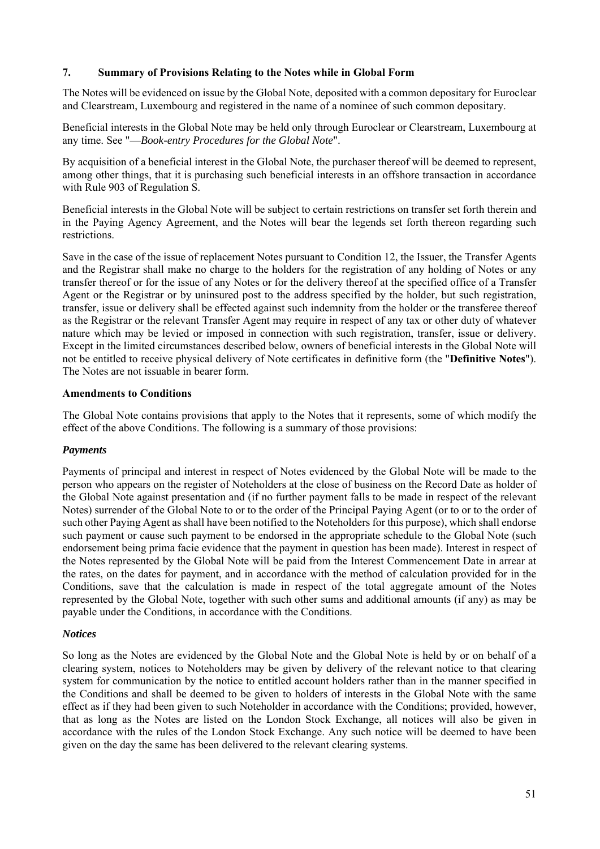# **7. Summary of Provisions Relating to the Notes while in Global Form**

The Notes will be evidenced on issue by the Global Note, deposited with a common depositary for Euroclear and Clearstream, Luxembourg and registered in the name of a nominee of such common depositary.

Beneficial interests in the Global Note may be held only through Euroclear or Clearstream, Luxembourg at any time. See "—*Book-entry Procedures for the Global Note*".

By acquisition of a beneficial interest in the Global Note, the purchaser thereof will be deemed to represent, among other things, that it is purchasing such beneficial interests in an offshore transaction in accordance with Rule 903 of Regulation S.

Beneficial interests in the Global Note will be subject to certain restrictions on transfer set forth therein and in the Paying Agency Agreement, and the Notes will bear the legends set forth thereon regarding such restrictions.

Save in the case of the issue of replacement Notes pursuant to Condition 12, the Issuer, the Transfer Agents and the Registrar shall make no charge to the holders for the registration of any holding of Notes or any transfer thereof or for the issue of any Notes or for the delivery thereof at the specified office of a Transfer Agent or the Registrar or by uninsured post to the address specified by the holder, but such registration, transfer, issue or delivery shall be effected against such indemnity from the holder or the transferee thereof as the Registrar or the relevant Transfer Agent may require in respect of any tax or other duty of whatever nature which may be levied or imposed in connection with such registration, transfer, issue or delivery. Except in the limited circumstances described below, owners of beneficial interests in the Global Note will not be entitled to receive physical delivery of Note certificates in definitive form (the "**Definitive Notes**"). The Notes are not issuable in bearer form.

#### **Amendments to Conditions**

The Global Note contains provisions that apply to the Notes that it represents, some of which modify the effect of the above Conditions. The following is a summary of those provisions:

#### *Payments*

Payments of principal and interest in respect of Notes evidenced by the Global Note will be made to the person who appears on the register of Noteholders at the close of business on the Record Date as holder of the Global Note against presentation and (if no further payment falls to be made in respect of the relevant Notes) surrender of the Global Note to or to the order of the Principal Paying Agent (or to or to the order of such other Paying Agent as shall have been notified to the Noteholders for this purpose), which shall endorse such payment or cause such payment to be endorsed in the appropriate schedule to the Global Note (such endorsement being prima facie evidence that the payment in question has been made). Interest in respect of the Notes represented by the Global Note will be paid from the Interest Commencement Date in arrear at the rates, on the dates for payment, and in accordance with the method of calculation provided for in the Conditions, save that the calculation is made in respect of the total aggregate amount of the Notes represented by the Global Note, together with such other sums and additional amounts (if any) as may be payable under the Conditions, in accordance with the Conditions.

#### *Notices*

So long as the Notes are evidenced by the Global Note and the Global Note is held by or on behalf of a clearing system, notices to Noteholders may be given by delivery of the relevant notice to that clearing system for communication by the notice to entitled account holders rather than in the manner specified in the Conditions and shall be deemed to be given to holders of interests in the Global Note with the same effect as if they had been given to such Noteholder in accordance with the Conditions; provided, however, that as long as the Notes are listed on the London Stock Exchange, all notices will also be given in accordance with the rules of the London Stock Exchange. Any such notice will be deemed to have been given on the day the same has been delivered to the relevant clearing systems.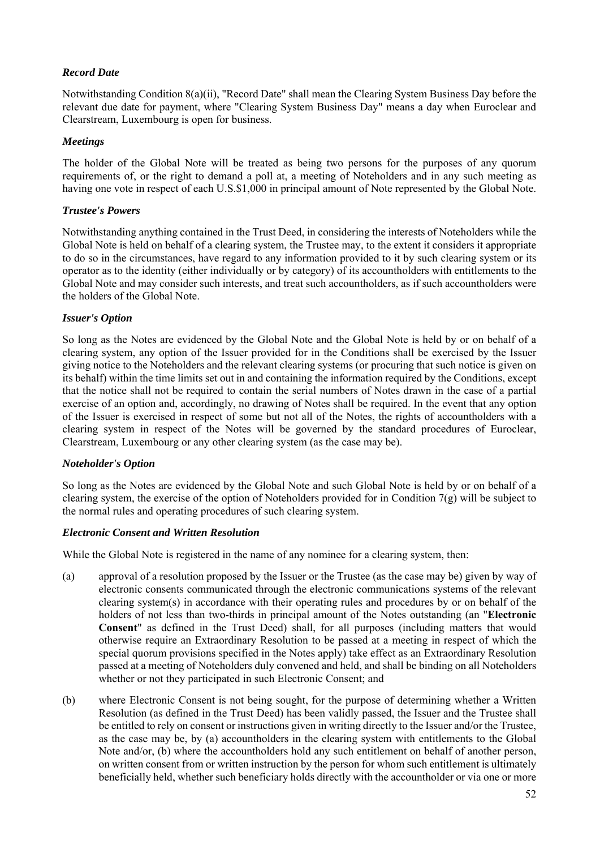# *Record Date*

Notwithstanding Condition 8(a)(ii), "Record Date" shall mean the Clearing System Business Day before the relevant due date for payment, where "Clearing System Business Day" means a day when Euroclear and Clearstream, Luxembourg is open for business.

#### *Meetings*

The holder of the Global Note will be treated as being two persons for the purposes of any quorum requirements of, or the right to demand a poll at, a meeting of Noteholders and in any such meeting as having one vote in respect of each U.S.\$1,000 in principal amount of Note represented by the Global Note.

#### *Trustee's Powers*

Notwithstanding anything contained in the Trust Deed, in considering the interests of Noteholders while the Global Note is held on behalf of a clearing system, the Trustee may, to the extent it considers it appropriate to do so in the circumstances, have regard to any information provided to it by such clearing system or its operator as to the identity (either individually or by category) of its accountholders with entitlements to the Global Note and may consider such interests, and treat such accountholders, as if such accountholders were the holders of the Global Note.

## *Issuer's Option*

So long as the Notes are evidenced by the Global Note and the Global Note is held by or on behalf of a clearing system, any option of the Issuer provided for in the Conditions shall be exercised by the Issuer giving notice to the Noteholders and the relevant clearing systems (or procuring that such notice is given on its behalf) within the time limits set out in and containing the information required by the Conditions, except that the notice shall not be required to contain the serial numbers of Notes drawn in the case of a partial exercise of an option and, accordingly, no drawing of Notes shall be required. In the event that any option of the Issuer is exercised in respect of some but not all of the Notes, the rights of accountholders with a clearing system in respect of the Notes will be governed by the standard procedures of Euroclear, Clearstream, Luxembourg or any other clearing system (as the case may be).

#### *Noteholder's Option*

So long as the Notes are evidenced by the Global Note and such Global Note is held by or on behalf of a clearing system, the exercise of the option of Noteholders provided for in Condition 7(g) will be subject to the normal rules and operating procedures of such clearing system.

#### *Electronic Consent and Written Resolution*

While the Global Note is registered in the name of any nominee for a clearing system, then:

- (a) approval of a resolution proposed by the Issuer or the Trustee (as the case may be) given by way of electronic consents communicated through the electronic communications systems of the relevant clearing system(s) in accordance with their operating rules and procedures by or on behalf of the holders of not less than two-thirds in principal amount of the Notes outstanding (an "**Electronic Consent**" as defined in the Trust Deed) shall, for all purposes (including matters that would otherwise require an Extraordinary Resolution to be passed at a meeting in respect of which the special quorum provisions specified in the Notes apply) take effect as an Extraordinary Resolution passed at a meeting of Noteholders duly convened and held, and shall be binding on all Noteholders whether or not they participated in such Electronic Consent; and
- (b) where Electronic Consent is not being sought, for the purpose of determining whether a Written Resolution (as defined in the Trust Deed) has been validly passed, the Issuer and the Trustee shall be entitled to rely on consent or instructions given in writing directly to the Issuer and/or the Trustee, as the case may be, by (a) accountholders in the clearing system with entitlements to the Global Note and/or, (b) where the accountholders hold any such entitlement on behalf of another person, on written consent from or written instruction by the person for whom such entitlement is ultimately beneficially held, whether such beneficiary holds directly with the accountholder or via one or more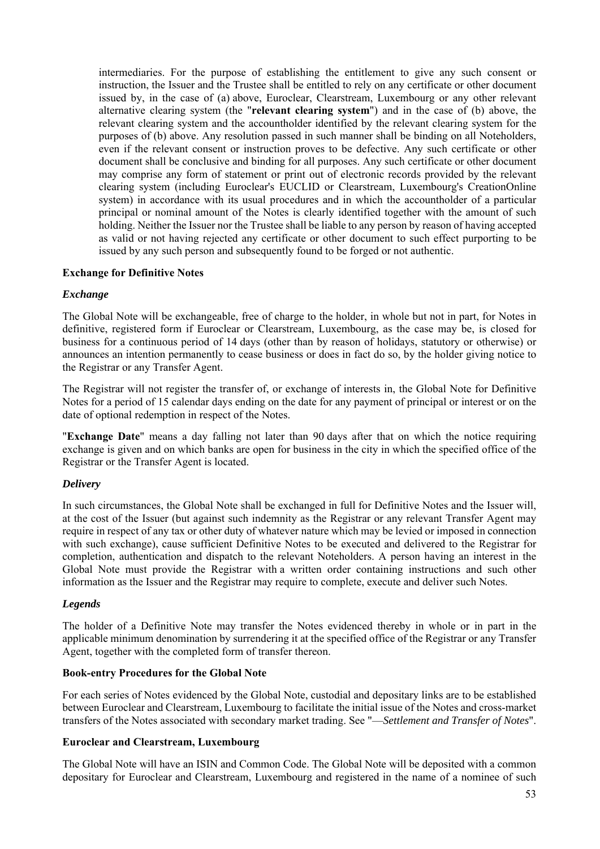intermediaries. For the purpose of establishing the entitlement to give any such consent or instruction, the Issuer and the Trustee shall be entitled to rely on any certificate or other document issued by, in the case of (a) above, Euroclear, Clearstream, Luxembourg or any other relevant alternative clearing system (the "**relevant clearing system**") and in the case of (b) above, the relevant clearing system and the accountholder identified by the relevant clearing system for the purposes of (b) above. Any resolution passed in such manner shall be binding on all Noteholders, even if the relevant consent or instruction proves to be defective. Any such certificate or other document shall be conclusive and binding for all purposes. Any such certificate or other document may comprise any form of statement or print out of electronic records provided by the relevant clearing system (including Euroclear's EUCLID or Clearstream, Luxembourg's CreationOnline system) in accordance with its usual procedures and in which the accountholder of a particular principal or nominal amount of the Notes is clearly identified together with the amount of such holding. Neither the Issuer nor the Trustee shall be liable to any person by reason of having accepted as valid or not having rejected any certificate or other document to such effect purporting to be issued by any such person and subsequently found to be forged or not authentic.

#### **Exchange for Definitive Notes**

## *Exchange*

The Global Note will be exchangeable, free of charge to the holder, in whole but not in part, for Notes in definitive, registered form if Euroclear or Clearstream, Luxembourg, as the case may be, is closed for business for a continuous period of 14 days (other than by reason of holidays, statutory or otherwise) or announces an intention permanently to cease business or does in fact do so, by the holder giving notice to the Registrar or any Transfer Agent.

The Registrar will not register the transfer of, or exchange of interests in, the Global Note for Definitive Notes for a period of 15 calendar days ending on the date for any payment of principal or interest or on the date of optional redemption in respect of the Notes.

"**Exchange Date**" means a day falling not later than 90 days after that on which the notice requiring exchange is given and on which banks are open for business in the city in which the specified office of the Registrar or the Transfer Agent is located.

# *Delivery*

In such circumstances, the Global Note shall be exchanged in full for Definitive Notes and the Issuer will, at the cost of the Issuer (but against such indemnity as the Registrar or any relevant Transfer Agent may require in respect of any tax or other duty of whatever nature which may be levied or imposed in connection with such exchange), cause sufficient Definitive Notes to be executed and delivered to the Registrar for completion, authentication and dispatch to the relevant Noteholders. A person having an interest in the Global Note must provide the Registrar with a written order containing instructions and such other information as the Issuer and the Registrar may require to complete, execute and deliver such Notes.

#### *Legends*

The holder of a Definitive Note may transfer the Notes evidenced thereby in whole or in part in the applicable minimum denomination by surrendering it at the specified office of the Registrar or any Transfer Agent, together with the completed form of transfer thereon.

#### **Book-entry Procedures for the Global Note**

For each series of Notes evidenced by the Global Note, custodial and depositary links are to be established between Euroclear and Clearstream, Luxembourg to facilitate the initial issue of the Notes and cross-market transfers of the Notes associated with secondary market trading. See "—*Settlement and Transfer of Notes*".

#### **Euroclear and Clearstream, Luxembourg**

The Global Note will have an ISIN and Common Code. The Global Note will be deposited with a common depositary for Euroclear and Clearstream, Luxembourg and registered in the name of a nominee of such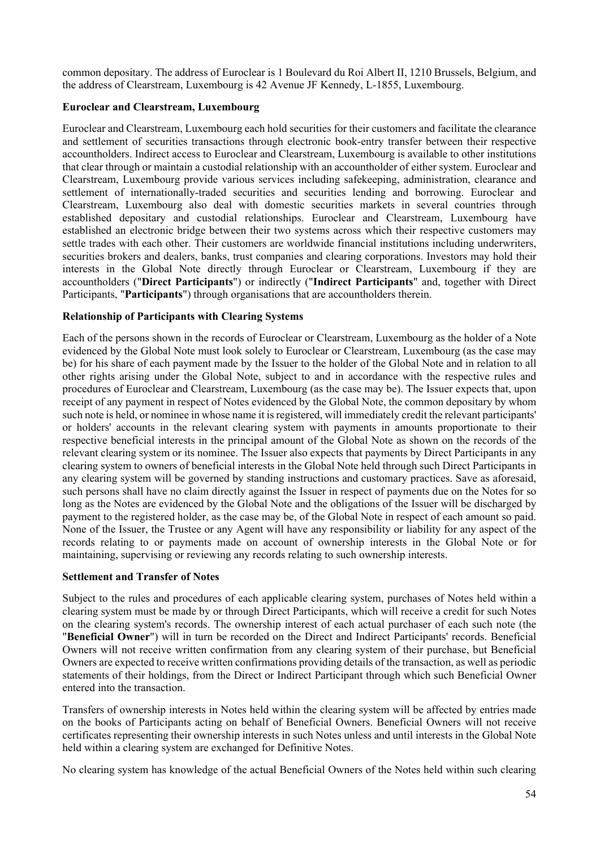common depositary. The address of Euroclear is 1 Boulevard du Roi Albert II, 1210 Brussels, Belgium, and the address of Clearstream, Luxembourg is 42 Avenue JF Kennedy, L-1855, Luxembourg.

#### **Euroclear and Clearstream, Luxembourg**

Euroclear and Clearstream, Luxembourg each hold securities for their customers and facilitate the clearance and settlement of securities transactions through electronic book-entry transfer between their respective accountholders. Indirect access to Euroclear and Clearstream, Luxembourg is available to other institutions that clear through or maintain a custodial relationship with an accountholder of either system. Euroclear and Clearstream, Luxembourg provide various services including safekeeping, administration, clearance and settlement of internationally-traded securities and securities lending and borrowing. Euroclear and Clearstream, Luxembourg also deal with domestic securities markets in several countries through established depositary and custodial relationships. Euroclear and Clearstream, Luxembourg have established an electronic bridge between their two systems across which their respective customers may settle trades with each other. Their customers are worldwide financial institutions including underwriters, securities brokers and dealers, banks, trust companies and clearing corporations. Investors may hold their interests in the Global Note directly through Euroclear or Clearstream, Luxembourg if they are accountholders ("**Direct Participants**") or indirectly ("**Indirect Participants**" and, together with Direct Participants, "**Participants**") through organisations that are accountholders therein.

## **Relationship of Participants with Clearing Systems**

Each of the persons shown in the records of Euroclear or Clearstream, Luxembourg as the holder of a Note evidenced by the Global Note must look solely to Euroclear or Clearstream, Luxembourg (as the case may be) for his share of each payment made by the Issuer to the holder of the Global Note and in relation to all other rights arising under the Global Note, subject to and in accordance with the respective rules and procedures of Euroclear and Clearstream, Luxembourg (as the case may be). The Issuer expects that, upon receipt of any payment in respect of Notes evidenced by the Global Note, the common depositary by whom such note is held, or nominee in whose name it is registered, will immediately credit the relevant participants' or holders' accounts in the relevant clearing system with payments in amounts proportionate to their respective beneficial interests in the principal amount of the Global Note as shown on the records of the relevant clearing system or its nominee. The Issuer also expects that payments by Direct Participants in any clearing system to owners of beneficial interests in the Global Note held through such Direct Participants in any clearing system will be governed by standing instructions and customary practices. Save as aforesaid, such persons shall have no claim directly against the Issuer in respect of payments due on the Notes for so long as the Notes are evidenced by the Global Note and the obligations of the Issuer will be discharged by payment to the registered holder, as the case may be, of the Global Note in respect of each amount so paid. None of the Issuer, the Trustee or any Agent will have any responsibility or liability for any aspect of the records relating to or payments made on account of ownership interests in the Global Note or for maintaining, supervising or reviewing any records relating to such ownership interests.

#### **Settlement and Transfer of Notes**

Subject to the rules and procedures of each applicable clearing system, purchases of Notes held within a clearing system must be made by or through Direct Participants, which will receive a credit for such Notes on the clearing system's records. The ownership interest of each actual purchaser of each such note (the "**Beneficial Owner**") will in turn be recorded on the Direct and Indirect Participants' records. Beneficial Owners will not receive written confirmation from any clearing system of their purchase, but Beneficial Owners are expected to receive written confirmations providing details of the transaction, as well as periodic statements of their holdings, from the Direct or Indirect Participant through which such Beneficial Owner entered into the transaction.

Transfers of ownership interests in Notes held within the clearing system will be affected by entries made on the books of Participants acting on behalf of Beneficial Owners. Beneficial Owners will not receive certificates representing their ownership interests in such Notes unless and until interests in the Global Note held within a clearing system are exchanged for Definitive Notes.

No clearing system has knowledge of the actual Beneficial Owners of the Notes held within such clearing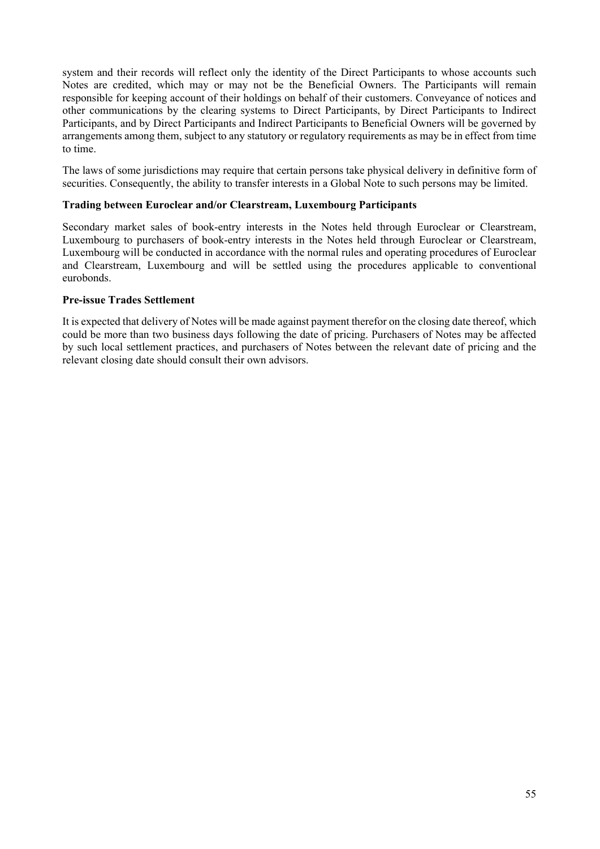system and their records will reflect only the identity of the Direct Participants to whose accounts such Notes are credited, which may or may not be the Beneficial Owners. The Participants will remain responsible for keeping account of their holdings on behalf of their customers. Conveyance of notices and other communications by the clearing systems to Direct Participants, by Direct Participants to Indirect Participants, and by Direct Participants and Indirect Participants to Beneficial Owners will be governed by arrangements among them, subject to any statutory or regulatory requirements as may be in effect from time to time.

The laws of some jurisdictions may require that certain persons take physical delivery in definitive form of securities. Consequently, the ability to transfer interests in a Global Note to such persons may be limited.

#### **Trading between Euroclear and/or Clearstream, Luxembourg Participants**

Secondary market sales of book-entry interests in the Notes held through Euroclear or Clearstream, Luxembourg to purchasers of book-entry interests in the Notes held through Euroclear or Clearstream, Luxembourg will be conducted in accordance with the normal rules and operating procedures of Euroclear and Clearstream, Luxembourg and will be settled using the procedures applicable to conventional eurobonds.

#### **Pre-issue Trades Settlement**

It is expected that delivery of Notes will be made against payment therefor on the closing date thereof, which could be more than two business days following the date of pricing. Purchasers of Notes may be affected by such local settlement practices, and purchasers of Notes between the relevant date of pricing and the relevant closing date should consult their own advisors.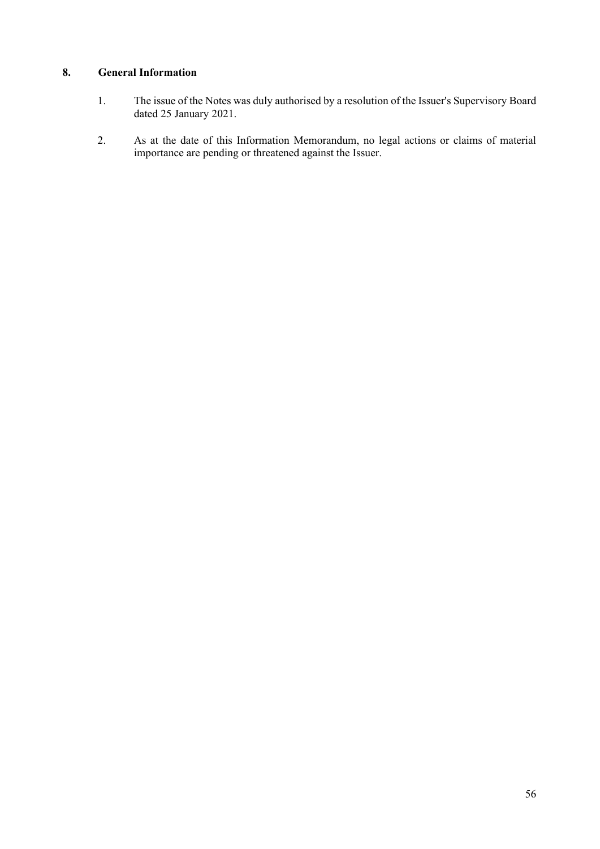# **8. General Information**

- 1. The issue of the Notes was duly authorised by a resolution of the Issuer's Supervisory Board dated 25 January 2021.
- 2. As at the date of this Information Memorandum, no legal actions or claims of material importance are pending or threatened against the Issuer.